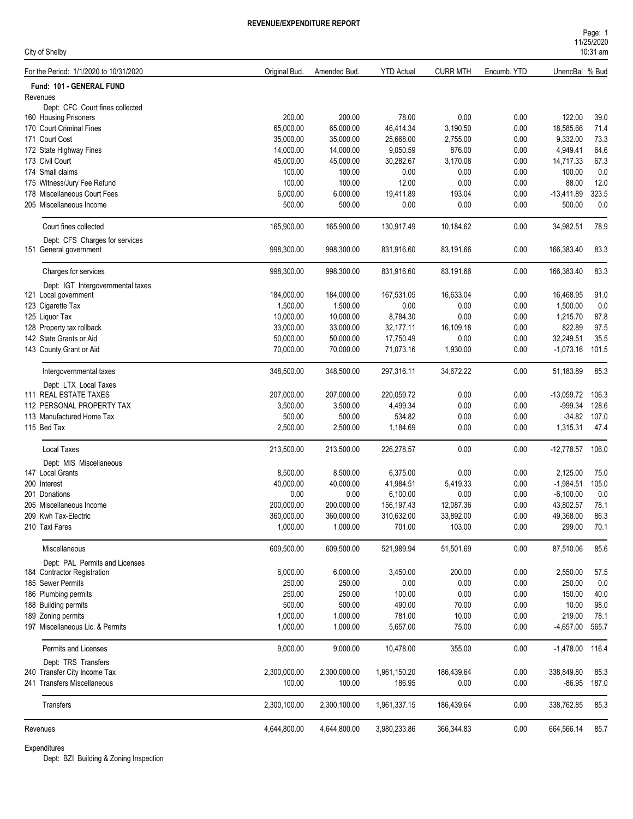| Page: 1    |  |
|------------|--|
| 11/25/2020 |  |
| $10:31$ am |  |

| City of Shelby                                    |                          |                        |                          |                     |              | <b>I IILVILULU</b><br>$10:31$ am |              |
|---------------------------------------------------|--------------------------|------------------------|--------------------------|---------------------|--------------|----------------------------------|--------------|
| For the Period: 1/1/2020 to 10/31/2020            | Original Bud.            | Amended Bud.           | <b>YTD Actual</b>        | <b>CURR MTH</b>     | Encumb. YTD  | UnencBal % Bud                   |              |
| Fund: 101 - GENERAL FUND                          |                          |                        |                          |                     |              |                                  |              |
| Revenues                                          |                          |                        |                          |                     |              |                                  |              |
| Dept: CFC Court fines collected                   | 200.00                   |                        |                          |                     |              |                                  |              |
| 160 Housing Prisoners<br>170 Court Criminal Fines | 65,000.00                | 200.00<br>65,000.00    | 78.00<br>46,414.34       | 0.00<br>3,190.50    | 0.00<br>0.00 | 122.00<br>18,585.66              | 39.0<br>71.4 |
| 171 Court Cost                                    | 35,000.00                | 35,000.00              | 25,668.00                | 2,755.00            | 0.00         | 9,332.00                         | 73.3         |
| 172 State Highway Fines                           | 14,000.00                | 14,000.00              | 9,050.59                 | 876.00              | 0.00         | 4,949.41                         | 64.6         |
| 173 Civil Court                                   | 45,000.00                | 45,000.00              | 30,282.67                | 3,170.08            | 0.00         | 14,717.33                        | 67.3         |
| 174 Small claims                                  | 100.00                   | 100.00                 | 0.00                     | 0.00                | 0.00         | 100.00                           | 0.0          |
| 175 Witness/Jury Fee Refund                       | 100.00                   | 100.00                 | 12.00                    | 0.00                | 0.00         | 88.00                            | 12.0         |
| 178 Miscellaneous Court Fees                      | 6,000.00                 | 6,000.00               | 19,411.89                | 193.04              | 0.00         | $-13,411.89$                     | 323.5        |
| 205 Miscellaneous Income                          | 500.00                   | 500.00                 | 0.00                     | 0.00                | 0.00         | 500.00                           | 0.0          |
| Court fines collected                             | 165,900.00               | 165,900.00             | 130,917.49               | 10,184.62           | 0.00         | 34,982.51                        | 78.9         |
| Dept: CFS Charges for services                    |                          |                        |                          |                     |              |                                  |              |
| 151 General government                            | 998,300.00               | 998,300.00             | 831,916.60               | 83,191.66           | 0.00         | 166,383.40                       | 83.3         |
| Charges for services                              | 998,300.00               | 998,300.00             | 831,916.60               | 83,191.66           | 0.00         | 166,383.40                       | 83.3         |
| Dept: IGT Intergovernmental taxes                 |                          |                        |                          |                     |              |                                  |              |
| 121 Local government                              | 184,000.00               | 184,000.00             | 167,531.05               | 16,633.04           | 0.00         | 16,468.95                        | 91.0         |
| 123 Cigarette Tax                                 | 1,500.00                 | 1,500.00               | 0.00                     | 0.00                | 0.00         | 1,500.00                         | 0.0          |
| 125 Liquor Tax                                    | 10,000.00                | 10,000.00              | 8,784.30                 | 0.00                | 0.00         | 1,215.70                         | 87.8         |
| 128 Property tax rollback                         | 33,000.00                | 33,000.00              | 32,177.11                | 16,109.18           | 0.00         | 822.89                           | 97.5         |
| 142 State Grants or Aid                           | 50,000.00                | 50,000.00              | 17,750.49                | 0.00                | 0.00         | 32,249.51                        | 35.5         |
| 143 County Grant or Aid                           | 70,000.00                | 70,000.00              | 71,073.16                | 1,930.00            | 0.00         | $-1,073.16$                      | 101.5        |
| Intergovernmental taxes                           | 348,500.00               | 348,500.00             | 297,316.11               | 34,672.22           | 0.00         | 51,183.89                        | 85.3         |
| Dept: LTX Local Taxes                             |                          |                        |                          |                     |              |                                  |              |
| 111 REAL ESTATE TAXES                             | 207,000.00               | 207,000.00             | 220,059.72               | 0.00                | 0.00         | $-13,059.72$                     | 106.3        |
| 112 PERSONAL PROPERTY TAX                         | 3,500.00                 | 3,500.00               | 4,499.34                 | 0.00                | 0.00         | $-999.34$                        | 128.6        |
| 113 Manufactured Home Tax                         | 500.00                   | 500.00                 | 534.82                   | 0.00                | 0.00         | $-34.82$                         | 107.0        |
| 115 Bed Tax                                       | 2,500.00                 | 2,500.00               | 1,184.69                 | 0.00                | 0.00         | 1,315.31                         | 47.4         |
| Local Taxes                                       | 213,500.00               | 213,500.00             | 226,278.57               | 0.00                | 0.00         | $-12,778.57$ 106.0               |              |
| Dept: MIS Miscellaneous                           |                          |                        |                          |                     |              |                                  |              |
| 147 Local Grants                                  | 8,500.00                 | 8,500.00               | 6,375.00                 | 0.00                | 0.00         | 2,125.00                         | 75.0         |
| 200 Interest                                      | 40,000.00                | 40,000.00              | 41,984.51                | 5,419.33            | 0.00         | $-1,984.51$                      | 105.0        |
| 201 Donations                                     | 0.00                     | 0.00                   | 6,100.00                 | 0.00                | 0.00         | $-6,100.00$                      | 0.0          |
| 205 Miscellaneous Income<br>209 Kwh Tax-Electric  | 200,000.00<br>360,000.00 | 200,000.00             | 156,197.43<br>310,632.00 | 12,087.36           | 0.00         | 43,802.57<br>49,368.00           | 78.1<br>86.3 |
| 210 Taxi Fares                                    | 1,000.00                 | 360,000.00<br>1,000.00 | 701.00                   | 33,892.00<br>103.00 | 0.00<br>0.00 | 299.00                           | 70.1         |
| Miscellaneous                                     | 609,500.00               | 609,500.00             | 521,989.94               | 51,501.69           | 0.00         | 87,510.06                        | 85.6         |
| Dept: PAL Permits and Licenses                    |                          |                        |                          |                     |              |                                  |              |
| 184 Contractor Registration                       | 6,000.00                 | 6,000.00               | 3,450.00                 | 200.00              | 0.00         | 2,550.00                         | 57.5         |
| 185 Sewer Permits                                 | 250.00                   | 250.00                 | 0.00                     | 0.00                | 0.00         | 250.00                           | 0.0          |
| 186 Plumbing permits                              | 250.00                   | 250.00                 | 100.00                   | 0.00                | 0.00         | 150.00                           | 40.0         |
| 188 Building permits                              | 500.00                   | 500.00                 | 490.00                   | 70.00               | 0.00         | 10.00                            | 98.0         |
| 189 Zoning permits                                | 1,000.00                 | 1,000.00               | 781.00                   | 10.00               | 0.00         | 219.00                           | 78.1         |
| 197 Miscellaneous Lic. & Permits                  | 1,000.00                 | 1,000.00               | 5,657.00                 | 75.00               | 0.00         | $-4,657.00$                      | 565.7        |
| Permits and Licenses                              | 9,000.00                 | 9,000.00               | 10,478.00                | 355.00              | 0.00         | $-1,478.00$ 116.4                |              |
| Dept: TRS Transfers                               |                          |                        |                          |                     |              |                                  |              |
| 240 Transfer City Income Tax                      | 2,300,000.00             | 2,300,000.00           | 1,961,150.20             | 186,439.64          | 0.00         | 338,849.80                       | 85.3         |
| 241 Transfers Miscellaneous                       | 100.00                   | 100.00                 | 186.95                   | 0.00                | 0.00         | $-86.95$                         | 187.0        |
| Transfers                                         | 2,300,100.00             | 2,300,100.00           | 1,961,337.15             | 186,439.64          | 0.00         | 338,762.85                       | 85.3         |
| Revenues                                          | 4,644,800.00             | 4,644,800.00           | 3,980,233.86             | 366,344.83          | 0.00         | 664,566.14                       | 85.7         |
|                                                   |                          |                        |                          |                     |              |                                  |              |

Expenditures

Dept: BZI Building & Zoning Inspection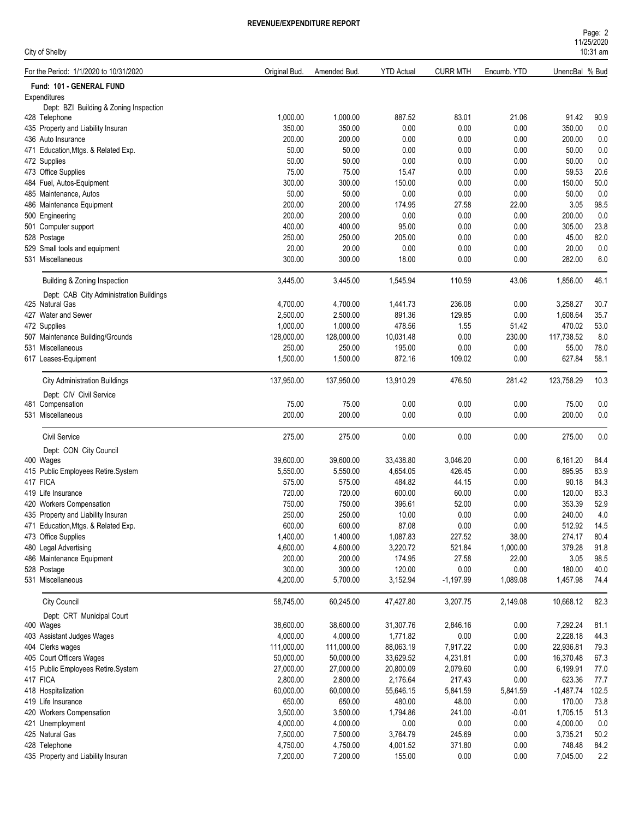| Page: 2    |  |
|------------|--|
| 11/25/2020 |  |
| $10:31$ am |  |

| City of Shelby                              |                 |                 |                   |                 |               |                | 10:31 am    |
|---------------------------------------------|-----------------|-----------------|-------------------|-----------------|---------------|----------------|-------------|
| For the Period: 1/1/2020 to 10/31/2020      | Original Bud.   | Amended Bud.    | <b>YTD Actual</b> | <b>CURR MTH</b> | Encumb. YTD   | UnencBal % Bud |             |
| Fund: 101 - GENERAL FUND                    |                 |                 |                   |                 |               |                |             |
| Expenditures                                |                 |                 |                   |                 |               |                |             |
| Dept: BZI Building & Zoning Inspection      |                 |                 |                   |                 |               |                |             |
| 428 Telephone                               | 1,000.00        | 1,000.00        | 887.52            | 83.01           | 21.06         | 91.42          | 90.9        |
| 435 Property and Liability Insuran          | 350.00          | 350.00          | 0.00              | 0.00            | 0.00          | 350.00         | 0.0         |
| 436 Auto Insurance                          | 200.00          | 200.00          | 0.00              | 0.00            | 0.00          | 200.00         | 0.0         |
| 471 Education, Mtgs. & Related Exp.         | 50.00           | 50.00           | 0.00              | 0.00            | 0.00          | 50.00          | 0.0         |
| 472 Supplies                                | 50.00           | 50.00           | 0.00              | 0.00            | 0.00          | 50.00          | 0.0         |
| 473 Office Supplies                         | 75.00           | 75.00           | 15.47             | 0.00            | 0.00          | 59.53          | 20.6        |
| 484 Fuel, Autos-Equipment                   | 300.00          | 300.00          | 150.00            | 0.00            | 0.00          | 150.00         | 50.0        |
| 485 Maintenance, Autos                      | 50.00<br>200.00 | 50.00<br>200.00 | 0.00              | 0.00            | 0.00          | 50.00<br>3.05  | 0.0         |
| 486 Maintenance Equipment                   | 200.00          | 200.00          | 174.95<br>0.00    | 27.58<br>0.00   | 22.00<br>0.00 | 200.00         | 98.5<br>0.0 |
| 500 Engineering                             | 400.00          | 400.00          | 95.00             | 0.00            | 0.00          | 305.00         | 23.8        |
| 501 Computer support<br>528 Postage         |                 |                 |                   |                 |               |                | 82.0        |
| 529 Small tools and equipment               | 250.00<br>20.00 | 250.00<br>20.00 | 205.00<br>0.00    | 0.00<br>0.00    | 0.00          | 45.00<br>20.00 | 0.0         |
|                                             |                 |                 |                   |                 | 0.00          |                |             |
| 531 Miscellaneous                           | 300.00          | 300.00          | 18.00             | 0.00            | 0.00          | 282.00         | 6.0         |
| Building & Zoning Inspection                | 3,445.00        | 3,445.00        | 1,545.94          | 110.59          | 43.06         | 1,856.00       | 46.1        |
| Dept: CAB City Administration Buildings     |                 |                 |                   |                 |               |                |             |
| 425 Natural Gas                             | 4,700.00        | 4,700.00        | 1,441.73          | 236.08          | 0.00          | 3,258.27       | 30.7        |
| 427 Water and Sewer                         | 2,500.00        | 2,500.00        | 891.36            | 129.85          | 0.00          | 1,608.64       | 35.7        |
| 472 Supplies                                | 1,000.00        | 1,000.00        | 478.56            | 1.55            | 51.42         | 470.02         | 53.0        |
| 507 Maintenance Building/Grounds            | 128,000.00      | 128,000.00      | 10,031.48         | 0.00            | 230.00        | 117,738.52     | 8.0         |
| 531 Miscellaneous                           | 250.00          | 250.00          | 195.00            | 0.00            | 0.00          | 55.00          | 78.0        |
| 617 Leases-Equipment                        | 1,500.00        | 1,500.00        | 872.16            | 109.02          | 0.00          | 627.84         | 58.1        |
| <b>City Administration Buildings</b>        | 137,950.00      | 137,950.00      | 13,910.29         | 476.50          | 281.42        | 123,758.29     | 10.3        |
|                                             |                 |                 |                   |                 |               |                |             |
| Dept: CIV Civil Service<br>481 Compensation | 75.00           | 75.00           | 0.00              | 0.00            | 0.00          | 75.00          | 0.0         |
| 531 Miscellaneous                           | 200.00          | 200.00          | 0.00              | 0.00            | 0.00          | 200.00         | 0.0         |
|                                             |                 |                 |                   |                 |               |                |             |
| <b>Civil Service</b>                        | 275.00          | 275.00          | 0.00              | 0.00            | 0.00          | 275.00         | 0.0         |
| Dept: CON City Council                      |                 |                 |                   |                 |               |                |             |
| 400 Wages                                   | 39,600.00       | 39,600.00       | 33,438.80         | 3.046.20        | 0.00          | 6,161.20       | 84.4        |
| 415 Public Employees Retire.System          | 5,550.00        | 5,550.00        | 4,654.05          | 426.45          | 0.00          | 895.95         | 83.9        |
| 417 FICA                                    | 575.00          | 575.00          | 484.82            | 44.15           | 0.00          | 90.18          | 84.3        |
| 419 Life Insurance                          | 720.00          | 720.00          | 600.00            | 60.00           | 0.00          | 120.00         | 83.3        |
| 420 Workers Compensation                    | 750.00          | 750.00          | 396.61            | 52.00           | 0.00          | 353.39         | 52.9        |
| 435 Property and Liability Insuran          | 250.00          | 250.00          | 10.00             | 0.00            | 0.00          | 240.00         | 4.0         |
| 471 Education, Mtgs. & Related Exp.         | 600.00          | 600.00          | 87.08             | 0.00            | 0.00          | 512.92         | 14.5        |
| 473 Office Supplies                         | 1,400.00        | 1,400.00        | 1,087.83          | 227.52          | 38.00         | 274.17         | 80.4        |
| 480 Legal Advertising                       | 4,600.00        | 4,600.00        | 3,220.72          | 521.84          | 1,000.00      | 379.28         | 91.8        |
| 486 Maintenance Equipment                   | 200.00          | 200.00          | 174.95            | 27.58           | 22.00         | 3.05           | 98.5        |
| 528 Postage                                 | 300.00          | 300.00          | 120.00            | 0.00            | 0.00          | 180.00         | 40.0        |
| 531 Miscellaneous                           | 4,200.00        | 5,700.00        | 3,152.94          | $-1,197.99$     | 1,089.08      | 1,457.98       | 74.4        |
| <b>City Council</b>                         | 58,745.00       | 60,245.00       | 47,427.80         | 3,207.75        | 2,149.08      | 10,668.12      | 82.3        |
| Dept: CRT Municipal Court                   |                 |                 |                   |                 |               |                |             |
| 400 Wages                                   | 38,600.00       | 38,600.00       | 31,307.76         | 2,846.16        | 0.00          | 7,292.24       | 81.1        |
| 403 Assistant Judges Wages                  | 4,000.00        | 4,000.00        | 1,771.82          | 0.00            | 0.00          | 2,228.18       | 44.3        |
| 404 Clerks wages                            | 111,000.00      | 111,000.00      | 88,063.19         | 7,917.22        | 0.00          | 22,936.81      | 79.3        |
| 405 Court Officers Wages                    | 50,000.00       | 50,000.00       | 33,629.52         | 4,231.81        | 0.00          | 16,370.48      | 67.3        |
| 415 Public Employees Retire.System          | 27,000.00       | 27,000.00       | 20,800.09         | 2,079.60        | 0.00          | 6,199.91       | 77.0        |
| 417 FICA                                    | 2,800.00        | 2,800.00        | 2,176.64          | 217.43          | 0.00          | 623.36         | 77.7        |
| 418 Hospitalization                         | 60,000.00       | 60,000.00       | 55,646.15         | 5,841.59        | 5,841.59      | $-1,487.74$    | 102.5       |
| 419 Life Insurance                          | 650.00          | 650.00          | 480.00            | 48.00           | 0.00          | 170.00         | 73.8        |
| 420 Workers Compensation                    | 3,500.00        | 3,500.00        | 1,794.86          | 241.00          | $-0.01$       | 1,705.15       | 51.3        |
| 421 Unemployment                            | 4,000.00        | 4,000.00        | $0.00\,$          | 0.00            | 0.00          | 4,000.00       | $0.0\,$     |
| 425 Natural Gas                             | 7,500.00        | 7,500.00        | 3,764.79          | 245.69          | 0.00          | 3,735.21       | 50.2        |
| 428 Telephone                               | 4,750.00        | 4,750.00        | 4,001.52          | 371.80          | 0.00          | 748.48         | 84.2        |
| 435 Property and Liability Insuran          | 7,200.00        | 7,200.00        | 155.00            | 0.00            | 0.00          | 7,045.00       | 2.2         |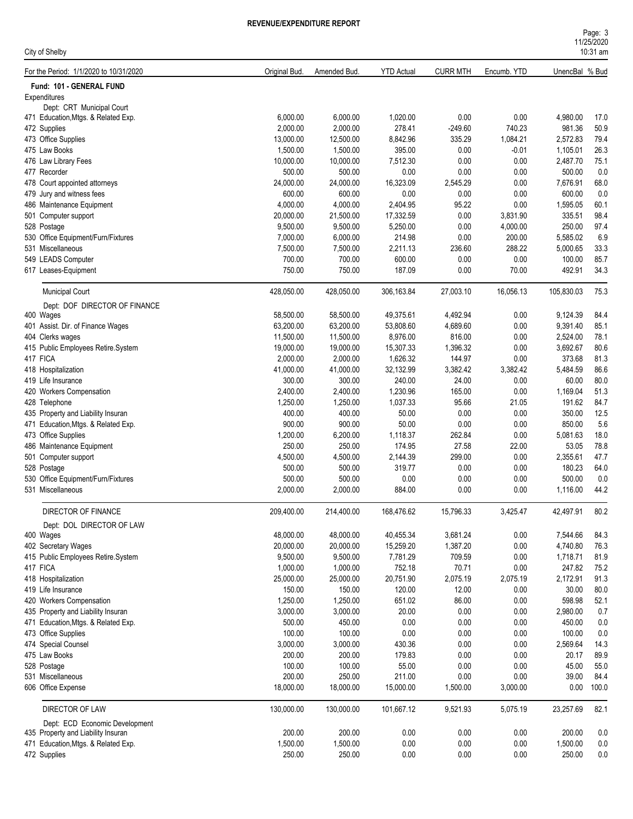| City of Shelby                                                       |                     |                     |                     |                  |                  |                | 10:31 am      |
|----------------------------------------------------------------------|---------------------|---------------------|---------------------|------------------|------------------|----------------|---------------|
| For the Period: 1/1/2020 to 10/31/2020                               | Original Bud.       | Amended Bud.        | <b>YTD Actual</b>   | <b>CURR MTH</b>  | Encumb. YTD      | UnencBal % Bud |               |
| Fund: 101 - GENERAL FUND                                             |                     |                     |                     |                  |                  |                |               |
| Expenditures                                                         |                     |                     |                     |                  |                  |                |               |
| Dept: CRT Municipal Court                                            |                     |                     |                     |                  |                  |                |               |
| 471 Education, Mtgs. & Related Exp.                                  | 6,000.00            | 6,000.00            | 1,020.00            | 0.00             | 0.00             | 4,980.00       | 17.0          |
| 472 Supplies                                                         | 2,000.00            | 2,000.00            | 278.41              | $-249.60$        | 740.23           | 981.36         | 50.9          |
| 473 Office Supplies                                                  | 13,000.00           | 12,500.00           | 8,842.96            | 335.29           | 1,084.21         | 2,572.83       | 79.4          |
| 475 Law Books                                                        | 1,500.00            | 1,500.00            | 395.00              | 0.00             | $-0.01$          | 1,105.01       | 26.3          |
| 476 Law Library Fees                                                 | 10,000.00           | 10,000.00           | 7,512.30            | 0.00             | 0.00             | 2,487.70       | 75.1          |
| 477 Recorder                                                         | 500.00              | 500.00              | 0.00                | 0.00             | 0.00             | 500.00         | 0.0           |
| 478 Court appointed attorneys                                        | 24,000.00           | 24,000.00           | 16,323.09           | 2,545.29         | 0.00             | 7,676.91       | 68.0          |
| 479 Jury and witness fees                                            | 600.00              | 600.00              | 0.00                | 0.00             | 0.00             | 600.00         | 0.0           |
| 486 Maintenance Equipment                                            | 4,000.00            | 4,000.00            | 2,404.95            | 95.22            | 0.00             | 1,595.05       | 60.1          |
| 501 Computer support                                                 | 20,000.00           | 21,500.00           | 17,332.59           | 0.00             | 3,831.90         | 335.51         | 98.4          |
| 528 Postage                                                          | 9,500.00            | 9,500.00            | 5,250.00            | 0.00             | 4,000.00         | 250.00         | 97.4          |
| 530 Office Equipment/Furn/Fixtures                                   | 7,000.00            | 6,000.00            | 214.98              | 0.00             | 200.00           | 5,585.02       | 6.9           |
| 531 Miscellaneous                                                    | 7,500.00            | 7,500.00            | 2,211.13            | 236.60           | 288.22           | 5,000.65       | 33.3          |
| 549 LEADS Computer                                                   | 700.00              | 700.00              | 600.00              | 0.00             | 0.00             | 100.00         | 85.7          |
| 617 Leases-Equipment                                                 | 750.00              | 750.00              | 187.09              | 0.00             | 70.00            | 492.91         | 34.3          |
| <b>Municipal Court</b>                                               | 428,050.00          | 428,050.00          | 306,163.84          | 27,003.10        | 16,056.13        | 105,830.03     | 75.3          |
| Dept: DOF DIRECTOR OF FINANCE                                        |                     |                     |                     |                  |                  |                |               |
| 400 Wages                                                            | 58,500.00           | 58,500.00           | 49,375.61           | 4,492.94         | 0.00             | 9,124.39       | 84.4          |
| 401 Assist. Dir. of Finance Wages                                    | 63,200.00           | 63,200.00           | 53,808.60           | 4,689.60         | 0.00             | 9,391.40       | 85.1          |
| 404 Clerks wages                                                     | 11,500.00           | 11,500.00           | 8,976.00            | 816.00           | 0.00             | 2,524.00       | 78.1          |
| 415 Public Employees Retire.System                                   | 19,000.00           | 19,000.00           | 15,307.33           | 1,396.32         | 0.00             | 3,692.67       | 80.6          |
| 417 FICA                                                             | 2,000.00            | 2,000.00            | 1,626.32            | 144.97           | 0.00             | 373.68         | 81.3          |
| 418 Hospitalization                                                  | 41,000.00           | 41,000.00           | 32,132.99           | 3,382.42         | 3,382.42         | 5,484.59       | 86.6          |
| 419 Life Insurance                                                   | 300.00              | 300.00              | 240.00              | 24.00            | 0.00             | 60.00          | 80.0          |
| 420 Workers Compensation                                             | 2,400.00            | 2,400.00            | 1,230.96            | 165.00           | 0.00             | 1,169.04       | 51.3          |
| 428 Telephone                                                        | 1,250.00            | 1,250.00            | 1,037.33            | 95.66            | 21.05            | 191.62         | 84.7          |
| 435 Property and Liability Insuran                                   | 400.00              | 400.00              | 50.00               | 0.00             | 0.00             | 350.00         | 12.5          |
| 471 Education, Mtgs. & Related Exp.                                  | 900.00              | 900.00              | 50.00               | 0.00             | 0.00             | 850.00         | 5.6           |
| 473 Office Supplies                                                  | 1,200.00            | 6,200.00            | 1,118.37            | 262.84           | 0.00             | 5,081.63       | 18.0          |
| 486 Maintenance Equipment                                            | 250.00              | 250.00              | 174.95              | 27.58            | 22.00            | 53.05          | 78.8          |
| 501 Computer support                                                 | 4,500.00            | 4,500.00            | 2,144.39            | 299.00           | 0.00             | 2,355.61       | 47.7          |
| 528 Postage                                                          | 500.00              | 500.00              | 319.77              | 0.00             | 0.00             | 180.23         | 64.0          |
| 530 Office Equipment/Furn/Fixtures                                   | 500.00              | 500.00              | 0.00                | 0.00             | 0.00             | 500.00         | 0.0           |
| 531 Miscellaneous                                                    | 2,000.00            | 2,000.00            | 884.00              | 0.00             | 0.00             | 1,116.00       | 44.2          |
| DIRECTOR OF FINANCE                                                  | 209,400.00          | 214,400.00          | 168,476.62          | 15,796.33        | 3,425.47         | 42,497.91      | 80.2          |
|                                                                      |                     |                     |                     |                  |                  |                |               |
| Dept: DOL DIRECTOR OF LAW<br>400 Wages                               | 48,000.00           | 48,000.00           | 40,455.34           | 3,681.24         | 0.00             | 7,544.66       | 84.3          |
| 402 Secretary Wages                                                  | 20,000.00           | 20,000.00           | 15,259.20           | 1,387.20         | 0.00             | 4,740.80       | 76.3          |
| 415 Public Employees Retire.System                                   | 9,500.00            | 9,500.00            | 7,781.29            | 709.59           | 0.00             | 1,718.71       | 81.9          |
| 417 FICA                                                             | 1,000.00            | 1,000.00            | 752.18              | 70.71            | 0.00             | 247.82         | 75.2          |
| 418 Hospitalization                                                  | 25,000.00           | 25,000.00           | 20,751.90           | 2,075.19         | 2,075.19         | 2,172.91       | 91.3          |
| 419 Life Insurance                                                   | 150.00              | 150.00              | 120.00              | 12.00            | 0.00             | 30.00          | 80.0          |
| 420 Workers Compensation                                             | 1,250.00            | 1,250.00            | 651.02              | 86.00            | 0.00             | 598.98         | 52.1          |
| 435 Property and Liability Insuran                                   | 3,000.00            | 3,000.00            | 20.00               | 0.00             | 0.00             | 2,980.00       | 0.7           |
| 471 Education, Mtgs. & Related Exp.                                  | 500.00              | 450.00              | $0.00\,$            | 0.00             | 0.00             | 450.00         | 0.0           |
| 473 Office Supplies                                                  | 100.00              | 100.00              | 0.00                | 0.00             | 0.00             | 100.00         | 0.0           |
| 474 Special Counsel                                                  | 3,000.00            | 3,000.00            | 430.36              | 0.00             | 0.00             | 2,569.64       | 14.3          |
| 475 Law Books                                                        | 200.00              | 200.00              | 179.83              | 0.00             | 0.00             | 20.17          | 89.9          |
| 528 Postage                                                          | 100.00              | 100.00              | 55.00               | 0.00             | 0.00             | 45.00          | 55.0          |
|                                                                      |                     |                     |                     |                  |                  |                |               |
| 531 Miscellaneous<br>606 Office Expense                              | 200.00<br>18,000.00 | 250.00<br>18,000.00 | 211.00<br>15,000.00 | 0.00<br>1,500.00 | 0.00<br>3,000.00 | 39.00<br>0.00  | 84.4<br>100.0 |
|                                                                      |                     |                     |                     |                  |                  |                |               |
| DIRECTOR OF LAW                                                      | 130,000.00          | 130,000.00          | 101,667.12          | 9,521.93         | 5,075.19         | 23,257.69      | 82.1          |
| Dept: ECD Economic Development<br>435 Property and Liability Insuran |                     |                     |                     |                  |                  |                |               |
|                                                                      | 200.00              | 200.00              | 0.00                | 0.00             | 0.00             | 200.00         | 0.0           |
| 471 Education, Mtgs. & Related Exp.                                  | 1,500.00            | 1,500.00            | 0.00                | 0.00             | 0.00             | 1,500.00       | 0.0           |
| 472 Supplies                                                         | 250.00              | 250.00              | 0.00                | 0.00             | 0.00             | 250.00         | 0.0           |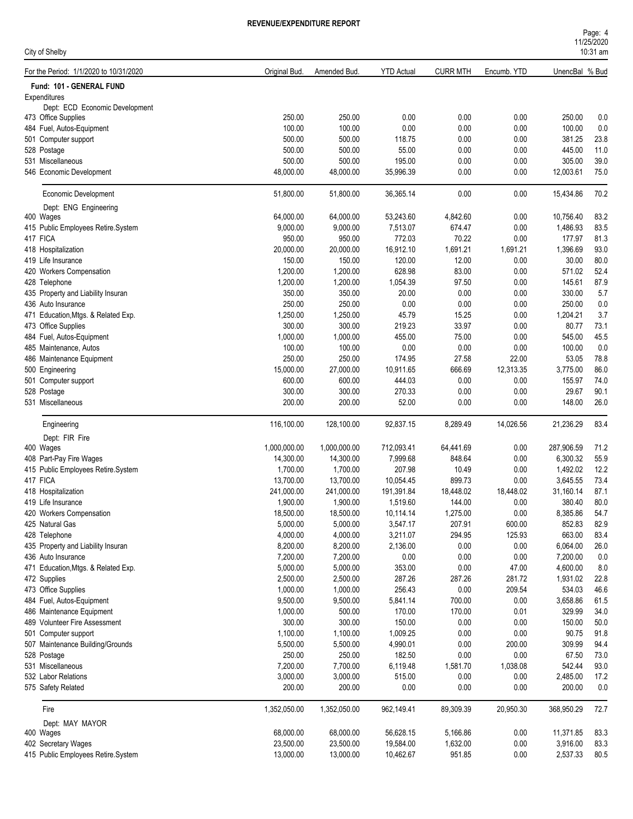| City of Shelby                                        |               |              |                   |                 |             |                | <b>I IILUILULU</b><br>$10:31$ am |
|-------------------------------------------------------|---------------|--------------|-------------------|-----------------|-------------|----------------|----------------------------------|
| For the Period: 1/1/2020 to 10/31/2020                | Original Bud. | Amended Bud. | <b>YTD Actual</b> | <b>CURR MTH</b> | Encumb. YTD | UnencBal % Bud |                                  |
| Fund: 101 - GENERAL FUND                              |               |              |                   |                 |             |                |                                  |
| Expenditures                                          |               |              |                   |                 |             |                |                                  |
| Dept: ECD Economic Development<br>473 Office Supplies | 250.00        | 250.00       | 0.00              | 0.00            | 0.00        | 250.00         | 0.0                              |
| 484 Fuel, Autos-Equipment                             | 100.00        | 100.00       | 0.00              | 0.00            | 0.00        | 100.00         | 0.0                              |
| 501 Computer support                                  | 500.00        | 500.00       | 118.75            | 0.00            | 0.00        | 381.25         | 23.8                             |
| 528 Postage                                           | 500.00        | 500.00       | 55.00             | 0.00            | 0.00        | 445.00         | 11.0                             |
| 531 Miscellaneous                                     | 500.00        | 500.00       | 195.00            | 0.00            | 0.00        | 305.00         | 39.0                             |
| 546 Economic Development                              | 48,000.00     | 48,000.00    | 35,996.39         | 0.00            | 0.00        | 12,003.61      | 75.0                             |
| Economic Development                                  | 51,800.00     | 51,800.00    | 36,365.14         | 0.00            | 0.00        | 15,434.86      | 70.2                             |
| Dept: ENG Engineering                                 |               |              |                   |                 |             |                |                                  |
| 400 Wages                                             | 64,000.00     | 64,000.00    | 53,243.60         | 4,842.60        | 0.00        | 10,756.40      | 83.2                             |
| 415 Public Employees Retire.System                    | 9,000.00      | 9,000.00     | 7,513.07          | 674.47          | 0.00        | 1,486.93       | 83.5                             |
| 417 FICA                                              | 950.00        | 950.00       | 772.03            | 70.22           | 0.00        | 177.97         | 81.3                             |
| 418 Hospitalization                                   | 20,000.00     | 20,000.00    | 16,912.10         | 1,691.21        | 1,691.21    | 1,396.69       | 93.0                             |
| 419 Life Insurance                                    | 150.00        | 150.00       | 120.00            | 12.00           | 0.00        | 30.00          | 80.0                             |
| 420 Workers Compensation                              | 1,200.00      | 1,200.00     | 628.98            | 83.00           | 0.00        | 571.02         | 52.4                             |
| 428 Telephone                                         | 1,200.00      | 1,200.00     | 1,054.39          | 97.50           | 0.00        | 145.61         | 87.9                             |
| 435 Property and Liability Insuran                    | 350.00        | 350.00       | 20.00             | 0.00            | 0.00        | 330.00         | 5.7                              |
| 436 Auto Insurance                                    | 250.00        | 250.00       | 0.00              | 0.00            | 0.00        | 250.00         | 0.0                              |
| 471 Education, Mtgs. & Related Exp.                   | 1,250.00      | 1,250.00     | 45.79             | 15.25           | 0.00        | 1,204.21       | 3.7                              |
| 473 Office Supplies                                   | 300.00        | 300.00       | 219.23            | 33.97           | 0.00        | 80.77          | 73.1                             |
| 484 Fuel, Autos-Equipment                             | 1,000.00      | 1,000.00     | 455.00            | 75.00           | 0.00        | 545.00         | 45.5                             |
| 485 Maintenance, Autos                                | 100.00        | 100.00       | 0.00              | 0.00            | 0.00        | 100.00         | 0.0                              |
| 486 Maintenance Equipment                             | 250.00        | 250.00       | 174.95            | 27.58           | 22.00       | 53.05          | 78.8                             |
| 500 Engineering                                       | 15,000.00     | 27,000.00    | 10,911.65         | 666.69          | 12,313.35   | 3,775.00       | 86.0                             |
| 501 Computer support                                  | 600.00        | 600.00       | 444.03            | 0.00            | 0.00        | 155.97         | 74.0                             |
| 528 Postage                                           | 300.00        | 300.00       | 270.33            | 0.00            | 0.00        | 29.67          | 90.1                             |
| 531 Miscellaneous                                     | 200.00        | 200.00       | 52.00             | 0.00            | 0.00        | 148.00         | 26.0                             |
| Engineering                                           | 116,100.00    | 128,100.00   | 92,837.15         | 8,289.49        | 14,026.56   | 21,236.29      | 83.4                             |
| Dept: FIR Fire                                        |               |              |                   |                 |             |                |                                  |
| 400 Wages                                             | 1,000,000.00  | 1,000,000.00 | 712,093.41        | 64,441.69       | 0.00        | 287,906.59     | 71.2                             |
| 408 Part-Pay Fire Wages                               | 14,300.00     | 14,300.00    | 7,999.68          | 848.64          | 0.00        | 6,300.32       | 55.9                             |
| 415 Public Employees Retire.System                    | 1,700.00      | 1,700.00     | 207.98            | 10.49           | 0.00        | 1,492.02       | 12.2                             |
| 417 FICA                                              | 13,700.00     | 13,700.00    | 10,054.45         | 899.73          | 0.00        | 3,645.55       | 73.4                             |
| 418 Hospitalization                                   | 241,000.00    | 241,000.00   | 191,391.84        | 18,448.02       | 18,448.02   | 31,160.14      | 87.1                             |
| 419 Life Insurance                                    | 1,900.00      | 1,900.00     | 1,519.60          | 144.00          | 0.00        | 380.40         | 80.0                             |
| 420 Workers Compensation                              | 18,500.00     | 18,500.00    | 10,114.14         | 1,275.00        | 0.00        | 8,385.86       | 54.7                             |
| 425 Natural Gas                                       | 5,000.00      | 5,000.00     | 3,547.17          | 207.91          | 600.00      | 852.83         | 82.9                             |
| 428 Telephone                                         | 4,000.00      | 4,000.00     | 3,211.07          | 294.95          | 125.93      | 663.00         | 83.4                             |
| 435 Property and Liability Insuran                    | 8,200.00      | 8,200.00     | 2,136.00          | 0.00            | 0.00        | 6,064.00       | 26.0                             |
| 436 Auto Insurance                                    | 7,200.00      | 7,200.00     | 0.00              | 0.00            | 0.00        | 7,200.00       | 0.0                              |
| 471 Education, Mtgs. & Related Exp.                   | 5,000.00      | 5,000.00     | 353.00            | 0.00            | 47.00       | 4,600.00       | 8.0                              |
| 472 Supplies                                          | 2,500.00      | 2,500.00     | 287.26            | 287.26          | 281.72      | 1,931.02       | 22.8                             |
| 473 Office Supplies                                   | 1,000.00      | 1,000.00     | 256.43            | 0.00            | 209.54      | 534.03         | 46.6                             |
| 484 Fuel, Autos-Equipment                             | 9,500.00      | 9,500.00     | 5,841.14          | 700.00          | 0.00        | 3,658.86       | 61.5                             |
| 486 Maintenance Equipment                             | 1,000.00      | 500.00       | 170.00            | 170.00          | 0.01        | 329.99         | 34.0                             |
| 489 Volunteer Fire Assessment                         | 300.00        | 300.00       | 150.00            | 0.00            | 0.00        | 150.00         | 50.0                             |
| 501 Computer support                                  | 1,100.00      | 1,100.00     | 1,009.25          | 0.00            | 0.00        | 90.75          | 91.8                             |
| 507 Maintenance Building/Grounds                      | 5,500.00      | 5,500.00     | 4,990.01          | 0.00            | 200.00      | 309.99         | 94.4                             |
| 528 Postage                                           | 250.00        | 250.00       | 182.50            | 0.00            | 0.00        | 67.50          | 73.0                             |
| 531 Miscellaneous                                     | 7,200.00      | 7,700.00     | 6,119.48          | 1,581.70        | 1,038.08    | 542.44         | 93.0                             |
| 532 Labor Relations                                   | 3,000.00      | 3,000.00     | 515.00            | 0.00            | 0.00        | 2,485.00       | 17.2                             |
| 575 Safety Related                                    | 200.00        | 200.00       | 0.00              | 0.00            | 0.00        | 200.00         | 0.0                              |
| Fire                                                  | 1,352,050.00  | 1,352,050.00 | 962,149.41        | 89,309.39       | 20,950.30   | 368,950.29     | 72.7                             |
| Dept: MAY MAYOR                                       |               |              |                   |                 |             |                |                                  |
| 400 Wages                                             | 68,000.00     | 68,000.00    | 56,628.15         | 5,166.86        | 0.00        | 11,371.85      | 83.3                             |

402 Secretary Wages 23,500.00 23,500.00 19,584.00 1,632.00 0.00 3,916.00 83.3

415 Public Employees Retire.System 13,000.00 13,000.00 10,462.67 951.85 0.00 2,537.33 80.5

 $11/25/2020$ Page: 4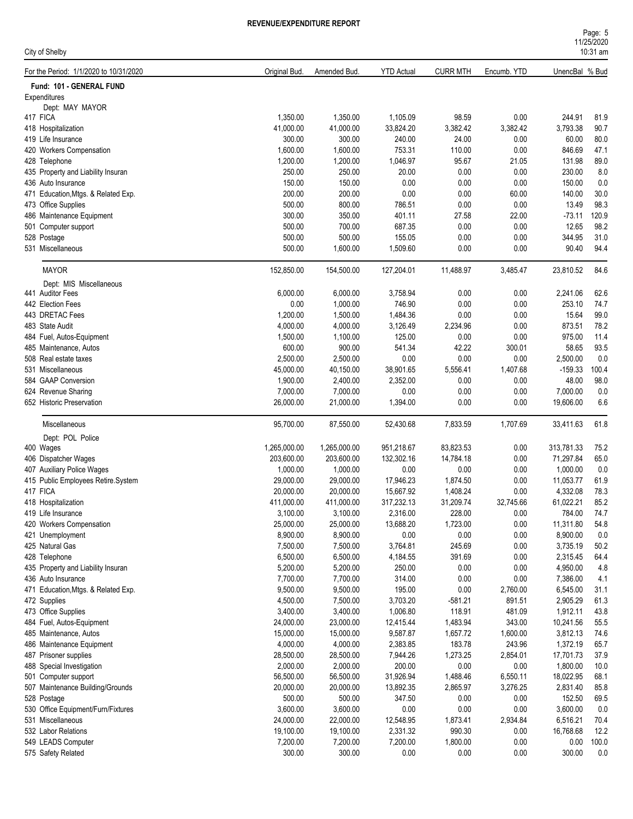| City of Shelby                         |               |              |                   |                 |             |                | <b>I IILUILULU</b><br>$10:31$ am |
|----------------------------------------|---------------|--------------|-------------------|-----------------|-------------|----------------|----------------------------------|
| For the Period: 1/1/2020 to 10/31/2020 | Original Bud. | Amended Bud. | <b>YTD Actual</b> | <b>CURR MTH</b> | Encumb. YTD | UnencBal % Bud |                                  |
| Fund: 101 - GENERAL FUND               |               |              |                   |                 |             |                |                                  |
| Expenditures                           |               |              |                   |                 |             |                |                                  |
| Dept: MAY MAYOR                        |               |              |                   |                 |             |                |                                  |
| 417 FICA                               | 1,350.00      | 1,350.00     | 1,105.09          | 98.59           | 0.00        | 244.91         | 81.9                             |
| 418 Hospitalization                    | 41,000.00     | 41,000.00    | 33,824.20         | 3,382.42        | 3,382.42    | 3,793.38       | 90.7                             |
| 419 Life Insurance                     | 300.00        | 300.00       | 240.00            | 24.00           | 0.00        | 60.00          | 80.0                             |
| 420 Workers Compensation               | 1,600.00      | 1,600.00     | 753.31            | 110.00          | 0.00        | 846.69         | 47.1                             |
| 428 Telephone                          | 1,200.00      | 1,200.00     | 1,046.97          | 95.67           | 21.05       | 131.98         | 89.0                             |
| 435 Property and Liability Insuran     | 250.00        | 250.00       | 20.00             | 0.00            | 0.00        | 230.00         | 8.0                              |
| 436 Auto Insurance                     | 150.00        | 150.00       | 0.00              | 0.00            | 0.00        | 150.00         | 0.0                              |
| 471 Education, Mtgs. & Related Exp.    | 200.00        | 200.00       | 0.00              | 0.00            | 60.00       | 140.00         | 30.0                             |
| 473 Office Supplies                    | 500.00        | 800.00       | 786.51            | 0.00            | 0.00        | 13.49          | 98.3                             |
| 486 Maintenance Equipment              | 300.00        | 350.00       | 401.11            | 27.58           | 22.00       | $-73.11$       | 120.9                            |
| 501 Computer support                   | 500.00        | 700.00       | 687.35            | 0.00            | 0.00        | 12.65          | 98.2                             |
| 528 Postage                            | 500.00        | 500.00       | 155.05            | 0.00            | 0.00        | 344.95         | 31.0                             |
| 531 Miscellaneous                      | 500.00        | 1,600.00     | 1,509.60          | 0.00            | 0.00        | 90.40          | 94.4                             |
| <b>MAYOR</b>                           | 152,850.00    | 154,500.00   | 127,204.01        | 11,488.97       | 3,485.47    | 23,810.52      | 84.6                             |
| Dept: MIS Miscellaneous                |               |              |                   |                 |             |                |                                  |
| 441 Auditor Fees                       | 6,000.00      | 6,000.00     | 3,758.94          | 0.00            | 0.00        | 2,241.06       | 62.6                             |
| 442 Election Fees                      | 0.00          | 1,000.00     | 746.90            | 0.00            | 0.00        | 253.10         | 74.7                             |
| 443 DRETAC Fees                        | 1,200.00      | 1,500.00     | 1,484.36          | 0.00            | 0.00        | 15.64          | 99.0                             |
| 483 State Audit                        | 4,000.00      | 4,000.00     | 3,126.49          | 2,234.96        | 0.00        | 873.51         | 78.2                             |
| 484 Fuel, Autos-Equipment              | 1,500.00      | 1,100.00     | 125.00            | 0.00            | 0.00        | 975.00         | 11.4                             |
| 485 Maintenance, Autos                 | 600.00        | 900.00       | 541.34            | 42.22           | 300.01      | 58.65          | 93.5                             |
| 508 Real estate taxes                  | 2,500.00      | 2,500.00     | 0.00              | 0.00            | 0.00        | 2,500.00       | 0.0                              |
| 531 Miscellaneous                      | 45,000.00     | 40,150.00    | 38,901.65         | 5,556.41        | 1,407.68    | $-159.33$      | 100.4                            |
| 584 GAAP Conversion                    | 1,900.00      | 2,400.00     | 2,352.00          | 0.00            | 0.00        | 48.00          | 98.0                             |
| 624 Revenue Sharing                    | 7,000.00      | 7,000.00     | 0.00              | 0.00            | 0.00        | 7,000.00       | 0.0                              |
| 652 Historic Preservation              | 26,000.00     | 21,000.00    | 1,394.00          | 0.00            | 0.00        | 19,606.00      | 6.6                              |
| Miscellaneous                          | 95,700.00     | 87,550.00    | 52,430.68         | 7,833.59        | 1,707.69    | 33,411.63      | 61.8                             |
| Dept: POL Police                       |               |              |                   |                 |             |                |                                  |
| 400 Wages                              | 1,265,000.00  | 1,265,000.00 | 951,218.67        | 83,823.53       | 0.00        | 313,781.33     | 75.2                             |
| 406 Dispatcher Wages                   | 203,600.00    | 203,600.00   | 132,302.16        | 14,784.18       | 0.00        | 71,297.84      | 65.0                             |
| 407 Auxiliary Police Wages             | 1,000.00      | 1,000.00     | 0.00              | 0.00            | 0.00        | 1,000.00       | 0.0                              |
|                                        |               |              |                   |                 |             |                |                                  |
| 415 Public Employees Retire.System     | 29,000.00     | 29,000.00    | 17,946.23         | 1,874.50        | 0.00        | 11,053.77      | 61.9                             |
| 417 FICA                               | 20,000.00     | 20,000.00    | 15,667.92         | 1,408.24        | 0.00        | 4,332.08       | 78.3                             |
| 418 Hospitalization                    | 411,000.00    | 411,000.00   | 317,232.13        | 31,209.74       | 32,745.66   | 61,022.21      | 85.2                             |
| 419 Life Insurance                     | 3,100.00      | 3,100.00     | 2,316.00          | 228.00          | 0.00        | 784.00         | 74.7                             |
| 420 Workers Compensation               | 25,000.00     | 25,000.00    | 13,688.20         | 1,723.00        | 0.00        | 11,311.80      | 54.8                             |
| 421 Unemployment                       | 8,900.00      | 8,900.00     | 0.00              | 0.00            | 0.00        | 8,900.00       | 0.0                              |
| 425 Natural Gas                        | 7,500.00      | 7,500.00     | 3,764.81          | 245.69          | 0.00        | 3,735.19       | 50.2                             |
| 428 Telephone                          | 6,500.00      | 6,500.00     | 4,184.55          | 391.69          | 0.00        | 2,315.45       | 64.4                             |
| 435 Property and Liability Insuran     | 5,200.00      | 5,200.00     | 250.00            | 0.00            | 0.00        | 4,950.00       | 4.8                              |
| 436 Auto Insurance                     | 7,700.00      | 7,700.00     | 314.00            | 0.00            | 0.00        | 7,386.00       | 4.1                              |
| 471 Education, Mtgs. & Related Exp.    | 9,500.00      | 9,500.00     | 195.00            | 0.00            | 2,760.00    | 6,545.00       | 31.1                             |
| 472 Supplies                           | 4,500.00      | 7,500.00     | 3,703.20          | $-581.21$       | 891.51      | 2,905.29       | 61.3                             |
| 473 Office Supplies                    | 3,400.00      | 3,400.00     | 1,006.80          | 118.91          | 481.09      | 1,912.11       | 43.8                             |
| 484 Fuel, Autos-Equipment              | 24,000.00     | 23,000.00    | 12,415.44         | 1,483.94        | 343.00      | 10,241.56      | 55.5                             |
| 485 Maintenance, Autos                 | 15,000.00     | 15,000.00    | 9,587.87          | 1,657.72        | 1,600.00    | 3,812.13       | 74.6                             |
| 486 Maintenance Equipment              | 4,000.00      | 4,000.00     | 2,383.85          | 183.78          | 243.96      | 1,372.19       | 65.7                             |
| 487 Prisoner supplies                  | 28,500.00     | 28,500.00    | 7,944.26          | 1,273.25        | 2,854.01    | 17,701.73      | 37.9                             |
| 488 Special Investigation              | 2,000.00      | 2,000.00     | 200.00            | 0.00            | $0.00\,$    | 1,800.00       | 10.0                             |
| 501 Computer support                   | 56,500.00     | 56,500.00    | 31,926.94         | 1,488.46        | 6,550.11    | 18,022.95      | 68.1                             |
| 507 Maintenance Building/Grounds       | 20,000.00     | 20,000.00    | 13,892.35         | 2,865.97        | 3,276.25    | 2,831.40       | 85.8                             |
| 528 Postage                            | 500.00        | 500.00       | 347.50            | 0.00            | $0.00\,$    | 152.50         | 69.5                             |
| 530 Office Equipment/Furn/Fixtures     | 3,600.00      | 3,600.00     | 0.00              | 0.00            | 0.00        | 3,600.00       | 0.0                              |
| 531 Miscellaneous                      | 24,000.00     | 22,000.00    | 12,548.95         | 1,873.41        | 2,934.84    | 6,516.21       | 70.4                             |
| 532 Labor Relations                    | 19,100.00     | 19,100.00    | 2,331.32          | 990.30          | 0.00        | 16,768.68      | 12.2                             |
| 549 LEADS Computer                     | 7,200.00      | 7,200.00     | 7,200.00          | 1,800.00        | 0.00        | 0.00           | 100.0                            |
| 575 Safety Related                     | 300.00        | 300.00       | 0.00              | 0.00            | 0.00        | 300.00         | 0.0                              |
|                                        |               |              |                   |                 |             |                |                                  |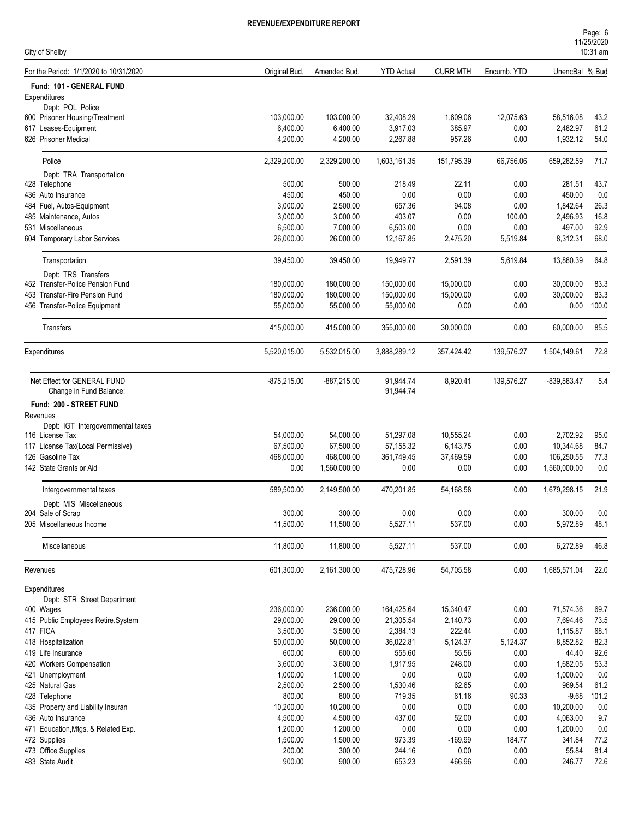| Page: 6    |  |  |
|------------|--|--|
| 11/25/2020 |  |  |
| $10:31$ am |  |  |

| City of Shelby                                         |               |               |                        |                 |             |                | 10:31 am |
|--------------------------------------------------------|---------------|---------------|------------------------|-----------------|-------------|----------------|----------|
| For the Period: 1/1/2020 to 10/31/2020                 | Original Bud. | Amended Bud.  | <b>YTD Actual</b>      | <b>CURR MTH</b> | Encumb. YTD | UnencBal % Bud |          |
| Fund: 101 - GENERAL FUND                               |               |               |                        |                 |             |                |          |
| Expenditures                                           |               |               |                        |                 |             |                |          |
| Dept: POL Police                                       | 103,000.00    | 103,000.00    | 32,408.29              | 1,609.06        | 12,075.63   | 58,516.08      | 43.2     |
| 600 Prisoner Housing/Treatment<br>617 Leases-Equipment | 6,400.00      | 6,400.00      | 3,917.03               | 385.97          | 0.00        | 2,482.97       | 61.2     |
| 626 Prisoner Medical                                   | 4,200.00      | 4,200.00      | 2,267.88               | 957.26          | 0.00        | 1,932.12       | 54.0     |
|                                                        |               |               |                        |                 |             |                |          |
| Police                                                 | 2,329,200.00  | 2,329,200.00  | 1,603,161.35           | 151,795.39      | 66,756.06   | 659,282.59     | 71.7     |
| Dept: TRA Transportation                               |               |               |                        |                 |             |                |          |
| 428 Telephone                                          | 500.00        | 500.00        | 218.49                 | 22.11           | 0.00        | 281.51         | 43.7     |
| 436 Auto Insurance                                     | 450.00        | 450.00        | 0.00                   | 0.00            | 0.00        | 450.00         | 0.0      |
| 484 Fuel, Autos-Equipment                              | 3,000.00      | 2,500.00      | 657.36                 | 94.08           | 0.00        | 1,842.64       | 26.3     |
| 485 Maintenance, Autos                                 | 3,000.00      | 3,000.00      | 403.07                 | 0.00            | 100.00      | 2,496.93       | 16.8     |
| 531 Miscellaneous                                      | 6,500.00      | 7,000.00      | 6,503.00               | 0.00            | 0.00        | 497.00         | 92.9     |
| 604 Temporary Labor Services                           | 26,000.00     | 26,000.00     | 12,167.85              | 2,475.20        | 5,519.84    | 8,312.31       | 68.0     |
| Transportation                                         | 39,450.00     | 39,450.00     | 19,949.77              | 2,591.39        | 5,619.84    | 13,880.39      | 64.8     |
| Dept: TRS Transfers                                    |               |               |                        |                 |             |                |          |
| 452 Transfer-Police Pension Fund                       | 180,000.00    | 180,000.00    | 150,000.00             | 15,000.00       | 0.00        | 30,000.00      | 83.3     |
| 453 Transfer-Fire Pension Fund                         | 180.000.00    | 180,000.00    | 150,000.00             | 15,000.00       | 0.00        | 30,000.00      | 83.3     |
| 456 Transfer-Police Equipment                          | 55,000.00     | 55,000.00     | 55,000.00              | 0.00            | 0.00        | 0.00           | 100.0    |
| Transfers                                              | 415,000.00    | 415,000.00    | 355,000.00             | 30,000.00       | 0.00        | 60,000.00      | 85.5     |
| Expenditures                                           | 5,520,015.00  | 5,532,015.00  | 3,888,289.12           | 357,424.42      | 139,576.27  | 1,504,149.61   | 72.8     |
|                                                        |               |               |                        |                 |             |                |          |
| Net Effect for GENERAL FUND<br>Change in Fund Balance: | $-875,215.00$ | $-887,215.00$ | 91,944.74<br>91,944.74 | 8,920.41        | 139,576.27  | -839,583.47    | 5.4      |
| Fund: 200 - STREET FUND                                |               |               |                        |                 |             |                |          |
| Revenues                                               |               |               |                        |                 |             |                |          |
| Dept: IGT Intergovernmental taxes                      |               |               |                        |                 |             |                |          |
| 116 License Tax                                        | 54,000.00     | 54,000.00     | 51,297.08              | 10,555.24       | 0.00        | 2,702.92       | 95.0     |
| 117 License Tax(Local Permissive)                      | 67,500.00     | 67,500.00     | 57, 155.32             | 6,143.75        | 0.00        | 10,344.68      | 84.7     |
| 126 Gasoline Tax                                       | 468,000.00    | 468,000.00    | 361,749.45             | 37,469.59       | 0.00        | 106,250.55     | 77.3     |
| 142 State Grants or Aid                                | 0.00          | 1,560,000.00  | 0.00                   | 0.00            | 0.00        | 1,560,000.00   | 0.0      |
| Intergovernmental taxes                                | 589,500.00    | 2,149,500.00  | 470,201.85             | 54,168.58       | 0.00        | 1,679,298.15   | 21.9     |
| Dept: MIS Miscellaneous                                |               |               |                        |                 |             |                |          |
| 204 Sale of Scrap                                      | 300.00        | 300.00        | 0.00                   | 0.00            | 0.00        | 300.00         | 0.0      |
| 205 Miscellaneous Income                               | 11,500.00     | 11,500.00     | 5,527.11               | 537.00          | 0.00        | 5,972.89       | 48.1     |
| Miscellaneous                                          | 11,800.00     | 11,800.00     | 5,527.11               | 537.00          | 0.00        | 6,272.89       | 46.8     |
|                                                        |               |               |                        |                 |             |                |          |
| Revenues                                               | 601,300.00    | 2,161,300.00  | 475,728.96             | 54,705.58       | 0.00        | 1,685,571.04   | 22.0     |
| Expenditures                                           |               |               |                        |                 |             |                |          |
| Dept: STR Street Department<br>400 Wages               | 236,000.00    | 236,000.00    | 164,425.64             | 15,340.47       | 0.00        | 71,574.36      | 69.7     |
| 415 Public Employees Retire.System                     | 29,000.00     | 29,000.00     | 21,305.54              | 2,140.73        | 0.00        | 7,694.46       | 73.5     |
| 417 FICA                                               | 3,500.00      | 3,500.00      | 2,384.13               | 222.44          | 0.00        | 1,115.87       | 68.1     |
| 418 Hospitalization                                    | 50,000.00     | 50,000.00     | 36,022.81              | 5,124.37        | 5,124.37    | 8,852.82       | 82.3     |
| 419 Life Insurance                                     | 600.00        | 600.00        | 555.60                 | 55.56           | 0.00        | 44.40          | 92.6     |
| 420 Workers Compensation                               | 3,600.00      | 3,600.00      | 1,917.95               | 248.00          | 0.00        | 1,682.05       | 53.3     |
| 421 Unemployment                                       | 1,000.00      | 1,000.00      | 0.00                   | 0.00            | 0.00        | 1,000.00       | 0.0      |
| 425 Natural Gas                                        | 2,500.00      | 2,500.00      | 1,530.46               | 62.65           | 0.00        | 969.54         | 61.2     |
| 428 Telephone                                          | 800.00        | 800.00        | 719.35                 | 61.16           | 90.33       | $-9.68$        | 101.2    |
| 435 Property and Liability Insuran                     | 10,200.00     | 10,200.00     | 0.00                   | 0.00            | 0.00        | 10,200.00      | 0.0      |
| 436 Auto Insurance                                     | 4,500.00      | 4,500.00      | 437.00                 | 52.00           | 0.00        | 4,063.00       | 9.7      |
| 471 Education, Mtgs. & Related Exp.                    | 1,200.00      | 1,200.00      | $0.00\,$               | 0.00            | 0.00        | 1,200.00       | 0.0      |
| 472 Supplies                                           | 1,500.00      | 1,500.00      | 973.39                 | $-169.99$       | 184.77      | 341.84         | 77.2     |
| 473 Office Supplies                                    | 200.00        | 300.00        | 244.16                 | 0.00            | 0.00        | 55.84          | 81.4     |
| 483 State Audit                                        | 900.00        | 900.00        | 653.23                 | 466.96          | 0.00        | 246.77         | 72.6     |
|                                                        |               |               |                        |                 |             |                |          |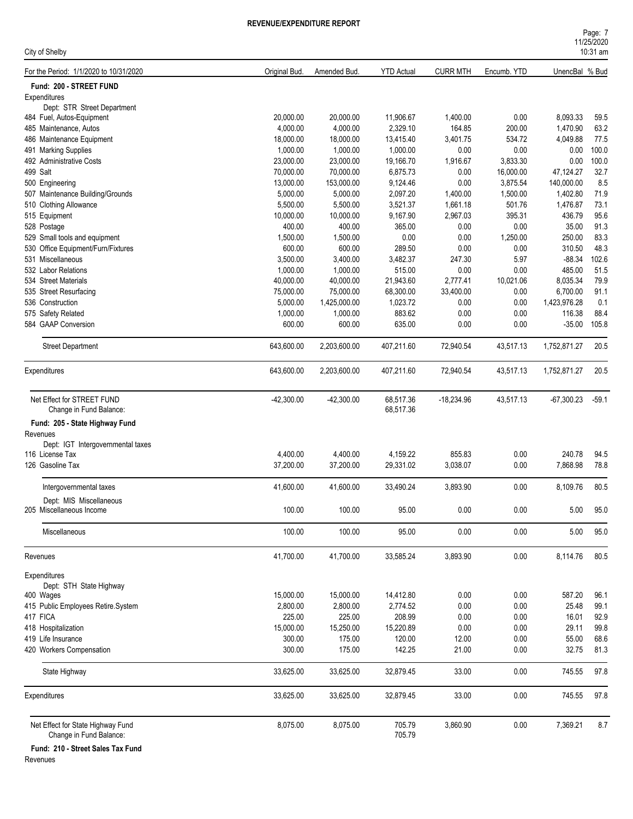| Page: 7    |  |
|------------|--|
| 11/25/2020 |  |
| $10:31$ am |  |

| City of Shelby                                               |               |              |                   |                 |             |                | 10:31 am |
|--------------------------------------------------------------|---------------|--------------|-------------------|-----------------|-------------|----------------|----------|
| For the Period: 1/1/2020 to 10/31/2020                       | Original Bud. | Amended Bud. | <b>YTD Actual</b> | <b>CURR MTH</b> | Encumb. YTD | UnencBal % Bud |          |
| Fund: 200 - STREET FUND                                      |               |              |                   |                 |             |                |          |
| Expenditures                                                 |               |              |                   |                 |             |                |          |
| Dept: STR Street Department                                  |               |              |                   |                 |             |                |          |
| 484 Fuel, Autos-Equipment                                    | 20,000.00     | 20,000.00    | 11,906.67         | 1,400.00        | 0.00        | 8,093.33       | 59.5     |
| 485 Maintenance, Autos                                       | 4,000.00      | 4,000.00     | 2,329.10          | 164.85          | 200.00      | 1,470.90       | 63.2     |
| 486 Maintenance Equipment                                    | 18,000.00     | 18,000.00    | 13,415.40         | 3,401.75        | 534.72      | 4,049.88       | 77.5     |
| 491 Marking Supplies                                         | 1,000.00      | 1,000.00     | 1,000.00          | 0.00            | 0.00        | 0.00           | 100.0    |
| 492 Administrative Costs                                     | 23,000.00     | 23,000.00    | 19,166.70         | 1,916.67        | 3,833.30    | 0.00           | 100.0    |
| 499 Salt                                                     | 70,000.00     | 70,000.00    | 6,875.73          | 0.00            | 16,000.00   | 47,124.27      | 32.7     |
| 500 Engineering                                              | 13,000.00     | 153,000.00   | 9,124.46          | 0.00            | 3,875.54    | 140,000.00     | 8.5      |
| 507 Maintenance Building/Grounds                             | 5,000.00      | 5,000.00     | 2,097.20          | 1,400.00        | 1,500.00    | 1,402.80       | 71.9     |
| 510 Clothing Allowance                                       | 5,500.00      | 5,500.00     | 3,521.37          | 1,661.18        | 501.76      | 1,476.87       | 73.1     |
| 515 Equipment                                                | 10,000.00     | 10,000.00    | 9,167.90          | 2,967.03        | 395.31      | 436.79         | 95.6     |
| 528 Postage                                                  | 400.00        | 400.00       | 365.00            | 0.00            | 0.00        | 35.00          | 91.3     |
| 529 Small tools and equipment                                | 1,500.00      | 1,500.00     | 0.00              | 0.00            | 1,250.00    | 250.00         | 83.3     |
| 530 Office Equipment/Furn/Fixtures                           | 600.00        | 600.00       | 289.50            | 0.00            | 0.00        | 310.50         | 48.3     |
| 531 Miscellaneous                                            | 3,500.00      | 3,400.00     | 3,482.37          | 247.30          | 5.97        | $-88.34$       | 102.6    |
| 532 Labor Relations                                          | 1,000.00      | 1,000.00     | 515.00            | 0.00            | 0.00        | 485.00         | 51.5     |
| 534 Street Materials                                         | 40,000.00     | 40,000.00    | 21,943.60         | 2,777.41        | 10,021.06   | 8,035.34       | 79.9     |
| 535 Street Resurfacing                                       | 75,000.00     | 75.000.00    | 68,300.00         | 33,400.00       | 0.00        | 6,700.00       | 91.1     |
| 536 Construction                                             | 5,000.00      | 1,425,000.00 | 1,023.72          | 0.00            | 0.00        | 1,423,976.28   | 0.1      |
| 575 Safety Related                                           | 1,000.00      | 1,000.00     | 883.62            | 0.00            | 0.00        | 116.38         | 88.4     |
| 584 GAAP Conversion                                          | 600.00        | 600.00       | 635.00            | 0.00            | 0.00        | $-35.00$       | 105.8    |
| <b>Street Department</b>                                     | 643,600.00    | 2,203,600.00 | 407,211.60        | 72,940.54       | 43,517.13   | 1,752,871.27   | 20.5     |
| Expenditures                                                 | 643,600.00    | 2,203,600.00 | 407,211.60        | 72,940.54       | 43,517.13   | 1,752,871.27   | 20.5     |
| Net Effect for STREET FUND                                   | $-42,300.00$  | $-42,300.00$ | 68,517.36         | $-18,234.96$    | 43,517.13   | $-67,300.23$   | $-59.1$  |
| Change in Fund Balance:                                      |               |              | 68,517.36         |                 |             |                |          |
| Fund: 205 - State Highway Fund                               |               |              |                   |                 |             |                |          |
| Revenues                                                     |               |              |                   |                 |             |                |          |
| Dept: IGT Intergovernmental taxes                            |               |              |                   |                 |             |                |          |
| 116 License Tax                                              | 4,400.00      | 4,400.00     | 4,159.22          | 855.83          | 0.00        | 240.78         | 94.5     |
| 126 Gasoline Tax                                             | 37,200.00     | 37,200.00    | 29,331.02         | 3,038.07        | 0.00        | 7,868.98       | 78.8     |
|                                                              |               |              |                   |                 |             |                |          |
| Intergovernmental taxes                                      | 41,600.00     | 41,600.00    | 33,490.24         | 3,893.90        | 0.00        | 8,109.76       | 80.5     |
| Dept: MIS Miscellaneous<br>205 Miscellaneous Income          | 100.00        | 100.00       | 95.00             | 0.00            | 0.00        | 5.00           | 95.0     |
|                                                              |               |              |                   |                 |             |                |          |
| Miscellaneous                                                | 100.00        | 100.00       | 95.00             | 0.00            | 0.00        | 5.00           | 95.0     |
| Revenues                                                     | 41,700.00     | 41,700.00    | 33,585.24         | 3,893.90        | 0.00        | 8,114.76       | 80.5     |
| Expenditures                                                 |               |              |                   |                 |             |                |          |
| Dept: STH State Highway                                      |               |              |                   |                 |             |                |          |
| 400 Wages                                                    | 15,000.00     | 15,000.00    | 14,412.80         | 0.00            | 0.00        | 587.20         | 96.1     |
| 415 Public Employees Retire.System                           | 2,800.00      | 2,800.00     | 2,774.52          | 0.00            | 0.00        | 25.48          | 99.1     |
| 417 FICA                                                     | 225.00        | 225.00       | 208.99            | 0.00            | 0.00        | 16.01          | 92.9     |
| 418 Hospitalization                                          | 15,000.00     | 15,250.00    | 15,220.89         | 0.00            | 0.00        | 29.11          | 99.8     |
| 419 Life Insurance                                           | 300.00        | 175.00       | 120.00            | 12.00           | 0.00        | 55.00          | 68.6     |
| 420 Workers Compensation                                     | 300.00        | 175.00       | 142.25            | 21.00           | 0.00        | 32.75          | 81.3     |
| State Highway                                                | 33,625.00     | 33,625.00    | 32,879.45         | 33.00           | 0.00        | 745.55         | 97.8     |
| Expenditures                                                 | 33,625.00     | 33,625.00    | 32,879.45         | 33.00           | 0.00        | 745.55         | 97.8     |
|                                                              |               |              |                   |                 |             |                |          |
| Net Effect for State Highway Fund<br>Change in Fund Balance: | 8,075.00      | 8,075.00     | 705.79<br>705.79  | 3,860.90        | 0.00        | 7,369.21       | 8.7      |

**Fund: 210 - Street Sales Tax Fund**

Revenues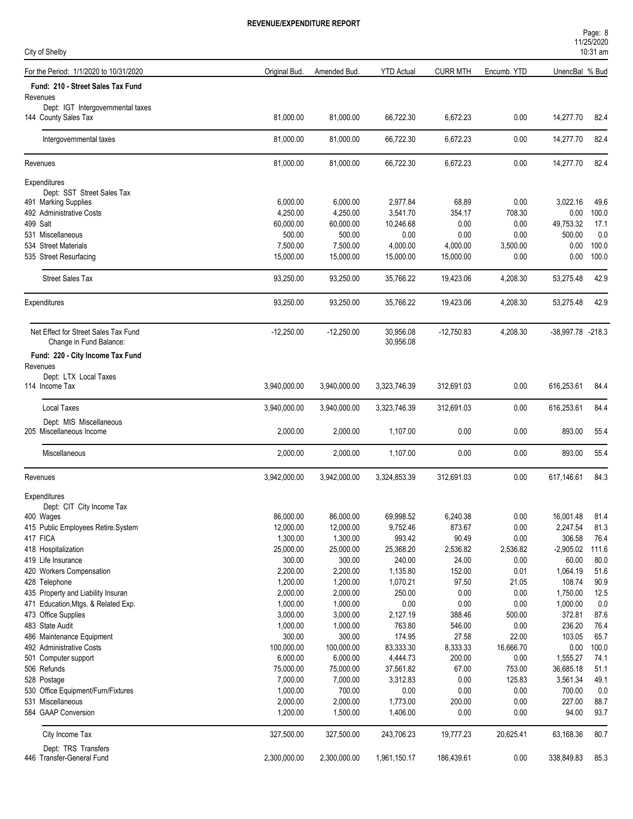| Page: 8    |  |
|------------|--|
| 11/25/2020 |  |
| $10:31$ am |  |
|            |  |

| City of Shelby                                                  |                      |                        |                        |                 |                |                       | 10:31 am      |
|-----------------------------------------------------------------|----------------------|------------------------|------------------------|-----------------|----------------|-----------------------|---------------|
| For the Period: 1/1/2020 to 10/31/2020                          | Original Bud.        | Amended Bud.           | <b>YTD Actual</b>      | <b>CURR MTH</b> | Encumb. YTD    | UnencBal % Bud        |               |
| Fund: 210 - Street Sales Tax Fund<br>Revenues                   |                      |                        |                        |                 |                |                       |               |
| Dept: IGT Intergovernmental taxes<br>144 County Sales Tax       | 81,000.00            | 81,000.00              | 66,722.30              | 6,672.23        | 0.00           | 14,277.70             | 82.4          |
| Intergovernmental taxes                                         | 81,000.00            | 81,000.00              | 66,722.30              | 6,672.23        | 0.00           | 14,277.70             | 82.4          |
| Revenues                                                        | 81,000.00            | 81,000.00              | 66,722.30              | 6,672.23        | 0.00           | 14,277.70             | 82.4          |
| Expenditures                                                    |                      |                        |                        |                 |                |                       |               |
| Dept: SST Street Sales Tax                                      |                      |                        |                        |                 |                |                       |               |
| 491 Marking Supplies<br>492 Administrative Costs                | 6,000.00<br>4,250.00 | 6,000.00<br>4,250.00   | 2,977.84<br>3,541.70   | 68.89<br>354.17 | 0.00<br>708.30 | 3,022.16<br>0.00      | 49.6<br>100.0 |
| 499 Salt                                                        | 60,000.00            | 60,000.00              | 10,246.68              | 0.00            | 0.00           | 49,753.32             | 17.1          |
| 531 Miscellaneous                                               | 500.00               | 500.00                 | 0.00                   | 0.00            | 0.00           | 500.00                | 0.0           |
| 534 Street Materials                                            | 7,500.00             | 7,500.00               | 4,000.00               | 4,000.00        | 3,500.00       | 0.00                  | 100.0         |
| 535 Street Resurfacing                                          | 15,000.00            | 15,000.00              | 15,000.00              | 15,000.00       | 0.00           | 0.00                  | 100.0         |
| <b>Street Sales Tax</b>                                         | 93,250.00            | 93,250.00              | 35,766.22              | 19,423.06       | 4,208.30       | 53,275.48             | 42.9          |
| Expenditures                                                    | 93,250.00            | 93,250.00              | 35,766.22              | 19,423.06       | 4,208.30       | 53,275.48             | 42.9          |
| Net Effect for Street Sales Tax Fund<br>Change in Fund Balance: | $-12,250.00$         | $-12,250.00$           | 30,956.08<br>30,956.08 | $-12,750.83$    | 4,208.30       | -38,997.78 -218.3     |               |
| Fund: 220 - City Income Tax Fund                                |                      |                        |                        |                 |                |                       |               |
| Revenues                                                        |                      |                        |                        |                 |                |                       |               |
| Dept: LTX Local Taxes                                           |                      |                        |                        |                 |                |                       |               |
| 114 Income Tax                                                  | 3,940,000.00         | 3,940,000.00           | 3,323,746.39           | 312,691.03      | 0.00           | 616,253.61            | 84.4          |
| <b>Local Taxes</b>                                              | 3,940,000.00         | 3,940,000.00           | 3,323,746.39           | 312,691.03      | 0.00           | 616,253.61            | 84.4          |
| Dept: MIS Miscellaneous<br>205 Miscellaneous Income             | 2,000.00             | 2,000.00               | 1,107.00               | 0.00            | 0.00           | 893.00                | 55.4          |
| Miscellaneous                                                   | 2,000.00             | 2,000.00               | 1,107.00               | 0.00            | 0.00           | 893.00                | 55.4          |
| Revenues                                                        | 3,942,000.00         | 3,942,000.00           | 3,324,853.39           | 312,691.03      | 0.00           | 617,146.61            | 84.3          |
| Expenditures                                                    |                      |                        |                        |                 |                |                       |               |
| Dept: CIT City Income Tax                                       | 86,000.00            |                        |                        | 6,240.38        |                |                       | 81.4          |
| 400 Wages<br>415 Public Employees Retire.System                 | 12,000.00            | 86,000.00<br>12,000.00 | 69,998.52<br>9,752.46  | 873.67          | 0.00<br>0.00   | 16,001.48<br>2,247.54 | 81.3          |
| 417 FICA                                                        | 1,300.00             | 1,300.00               | 993.42                 | 90.49           | 0.00           | 306.58                | 76.4          |
| 418 Hospitalization                                             | 25,000.00            | 25,000.00              | 25,368.20              | 2,536.82        | 2,536.82       | $-2,905.02$           | 111.6         |
| 419 Life Insurance                                              | 300.00               | 300.00                 | 240.00                 | 24.00           | 0.00           | 60.00                 | 80.0          |
| 420 Workers Compensation                                        | 2,200.00             | 2,200.00               | 1,135.80               | 152.00          | 0.01           | 1,064.19              | 51.6          |
| 428 Telephone                                                   | 1,200.00             | 1,200.00               | 1,070.21               | 97.50           | 21.05          | 108.74                | 90.9          |
| 435 Property and Liability Insuran                              | 2,000.00             | 2,000.00               | 250.00                 | 0.00            | 0.00           | 1,750.00              | 12.5          |
| 471 Education, Mtgs. & Related Exp.                             | 1,000.00             | 1,000.00               | 0.00                   | 0.00            | 0.00           | 1,000.00              | 0.0           |
| 473 Office Supplies                                             | 3,000.00             | 3,000.00               | 2,127.19               | 388.46          | 500.00         | 372.81                | 87.6          |
| 483 State Audit                                                 | 1,000.00             | 1,000.00               | 763.80                 | 546.00          | 0.00           | 236.20                | 76.4          |
| 486 Maintenance Equipment                                       | 300.00               | 300.00                 | 174.95                 | 27.58           | 22.00          | 103.05                | 65.7          |
| 492 Administrative Costs                                        | 100,000.00           | 100,000.00             | 83,333.30              | 8,333.33        | 16,666.70      | 0.00                  | 100.0         |
| 501 Computer support                                            | 6,000.00             | 6,000.00               | 4,444.73               | 200.00          | 0.00           | 1,555.27              | 74.1          |
| 506 Refunds                                                     | 75,000.00            | 75,000.00              | 37,561.82              | 67.00           | 753.00         | 36,685.18             | 51.1          |
| 528 Postage                                                     | 7,000.00             | 7,000.00               | 3,312.83               | 0.00            | 125.83         | 3,561.34              | 49.1          |
| 530 Office Equipment/Furn/Fixtures                              | 1,000.00             | 700.00                 | 0.00                   | 0.00            | 0.00           | 700.00                | $0.0\,$       |
| 531 Miscellaneous                                               | 2,000.00             | 2,000.00               | 1,773.00               | 200.00          | 0.00           | 227.00                | 88.7          |
| 584 GAAP Conversion                                             | 1,200.00             | 1,500.00               | 1,406.00               | 0.00            | 0.00           | 94.00                 | 93.7          |
| City Income Tax                                                 | 327,500.00           | 327,500.00             | 243,706.23             | 19,777.23       | 20,625.41      | 63,168.36             | 80.7          |
| Dept: TRS Transfers                                             |                      |                        |                        |                 |                |                       |               |
| 446 Transfer-General Fund                                       | 2,300,000.00         | 2,300,000.00           | 1,961,150.17           | 186,439.61      | 0.00           | 338,849.83            | 85.3          |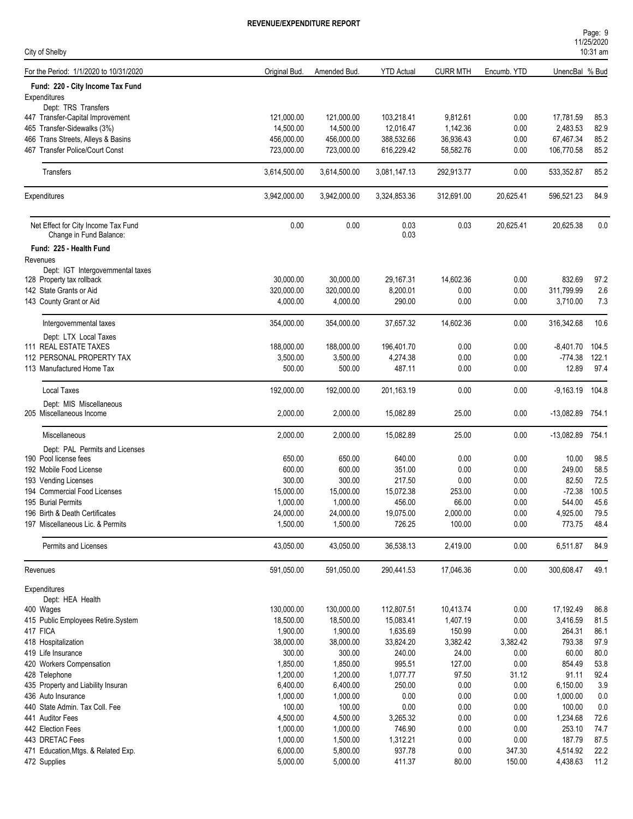| Page: 9    |  |  |
|------------|--|--|
| 11/25/2020 |  |  |
| $10:31$ am |  |  |

| City of Shelby                                                 |               |              |                   |                 |             |                   | 10:31 am |
|----------------------------------------------------------------|---------------|--------------|-------------------|-----------------|-------------|-------------------|----------|
| For the Period: 1/1/2020 to 10/31/2020                         | Original Bud. | Amended Bud. | <b>YTD Actual</b> | <b>CURR MTH</b> | Encumb. YTD | UnencBal % Bud    |          |
| Fund: 220 - City Income Tax Fund                               |               |              |                   |                 |             |                   |          |
| Expenditures                                                   |               |              |                   |                 |             |                   |          |
| Dept: TRS Transfers                                            |               |              |                   |                 |             |                   |          |
| 447 Transfer-Capital Improvement                               | 121,000.00    | 121,000.00   | 103,218.41        | 9,812.61        | 0.00        | 17,781.59         | 85.3     |
| 465 Transfer-Sidewalks (3%)                                    | 14,500.00     | 14,500.00    | 12,016.47         | 1,142.36        | 0.00        | 2,483.53          | 82.9     |
| 466 Trans Streets, Alleys & Basins                             | 456,000.00    | 456,000.00   | 388,532.66        | 36,936.43       | 0.00        | 67,467.34         | 85.2     |
| 467 Transfer Police/Court Const                                | 723,000.00    | 723,000.00   | 616,229.42        | 58,582.76       | 0.00        | 106,770.58        | 85.2     |
| Transfers                                                      | 3,614,500.00  | 3,614,500.00 | 3,081,147.13      | 292,913.77      | 0.00        | 533,352.87        | 85.2     |
| Expenditures                                                   | 3,942,000.00  | 3,942,000.00 | 3,324,853.36      | 312,691.00      | 20,625.41   | 596,521.23        | 84.9     |
| Net Effect for City Income Tax Fund<br>Change in Fund Balance: | 0.00          | 0.00         | 0.03<br>0.03      | 0.03            | 20,625.41   | 20,625.38         | 0.0      |
| Fund: 225 - Health Fund                                        |               |              |                   |                 |             |                   |          |
| Revenues                                                       |               |              |                   |                 |             |                   |          |
| Dept: IGT Intergovernmental taxes                              |               |              |                   |                 |             |                   |          |
| 128 Property tax rollback                                      | 30,000.00     | 30,000.00    | 29,167.31         | 14,602.36       | 0.00        | 832.69            | 97.2     |
| 142 State Grants or Aid                                        | 320,000.00    | 320,000.00   | 8,200.01          | 0.00            | 0.00        | 311,799.99        | 2.6      |
| 143 County Grant or Aid                                        | 4,000.00      | 4,000.00     | 290.00            | 0.00            | 0.00        | 3,710.00          | 7.3      |
| Intergovernmental taxes                                        | 354,000.00    | 354,000.00   | 37,657.32         | 14,602.36       | 0.00        | 316,342.68        | 10.6     |
| Dept: LTX Local Taxes                                          |               |              |                   |                 |             |                   |          |
| <b>111 REAL ESTATE TAXES</b>                                   | 188,000.00    | 188,000.00   | 196,401.70        | 0.00            | 0.00        | -8,401.70         | 104.5    |
| 112 PERSONAL PROPERTY TAX                                      | 3,500.00      | 3,500.00     | 4,274.38          | 0.00            | 0.00        | $-774.38$         | 122.1    |
| 113 Manufactured Home Tax                                      | 500.00        | 500.00       | 487.11            | 0.00            | 0.00        | 12.89             | 97.4     |
| Local Taxes                                                    | 192,000.00    | 192,000.00   | 201,163.19        | 0.00            | 0.00        | $-9,163.19$ 104.8 |          |
| Dept: MIS Miscellaneous                                        |               |              |                   |                 |             |                   |          |
| 205 Miscellaneous Income                                       | 2,000.00      | 2,000.00     | 15,082.89         | 25.00           | 0.00        | -13,082.89 754.1  |          |
| Miscellaneous                                                  | 2,000.00      | 2,000.00     | 15,082.89         | 25.00           | 0.00        | -13,082.89 754.1  |          |
| Dept: PAL Permits and Licenses                                 |               |              |                   |                 |             |                   |          |
| 190 Pool license fees                                          | 650.00        | 650.00       | 640.00            | 0.00            | 0.00        | 10.00             | 98.5     |
| 192 Mobile Food License                                        | 600.00        | 600.00       | 351.00            | 0.00            | 0.00        | 249.00            | 58.5     |
| 193 Vending Licenses                                           | 300.00        | 300.00       | 217.50            | 0.00            | 0.00        | 82.50             | 72.5     |
| 194 Commercial Food Licenses                                   | 15,000.00     | 15,000.00    | 15,072.38         | 253.00          | 0.00        | $-72.38$          | 100.5    |
| 195 Burial Permits                                             | 1,000.00      | 1,000.00     | 456.00            | 66.00           | 0.00        | 544.00            | 45.6     |
| 196 Birth & Death Certificates                                 | 24,000.00     | 24,000.00    | 19,075.00         | 2,000.00        | 0.00        | 4,925.00          | 79.5     |
| 197 Miscellaneous Lic. & Permits                               | 1,500.00      | 1,500.00     | 726.25            | 100.00          | 0.00        | 773.75            | 48.4     |
| Permits and Licenses                                           | 43,050.00     | 43,050.00    | 36,538.13         | 2,419.00        | 0.00        | 6,511.87          | 84.9     |
| Revenues                                                       | 591,050.00    | 591,050.00   | 290,441.53        | 17,046.36       | 0.00        | 300,608.47        | 49.1     |
| Expenditures                                                   |               |              |                   |                 |             |                   |          |
| Dept: HEA Health<br>400 Wages                                  | 130,000.00    | 130,000.00   | 112,807.51        | 10,413.74       | 0.00        | 17,192.49         | 86.8     |
| 415 Public Employees Retire.System                             | 18,500.00     | 18,500.00    | 15,083.41         | 1,407.19        | 0.00        | 3,416.59          | 81.5     |
| 417 FICA                                                       | 1,900.00      | 1,900.00     | 1,635.69          | 150.99          | 0.00        | 264.31            | 86.1     |
| 418 Hospitalization                                            | 38,000.00     | 38,000.00    | 33,824.20         | 3,382.42        | 3,382.42    | 793.38            | 97.9     |
| 419 Life Insurance                                             | 300.00        | 300.00       | 240.00            | 24.00           | 0.00        | 60.00             | 80.0     |
| 420 Workers Compensation                                       | 1,850.00      | 1,850.00     | 995.51            | 127.00          | 0.00        | 854.49            | 53.8     |
| 428 Telephone                                                  | 1,200.00      | 1,200.00     | 1,077.77          | 97.50           | 31.12       | 91.11             | 92.4     |
| 435 Property and Liability Insuran                             | 6,400.00      | 6,400.00     | 250.00            | 0.00            | 0.00        | 6,150.00          | 3.9      |
| 436 Auto Insurance                                             | 1,000.00      | 1,000.00     | $0.00\,$          | 0.00            | 0.00        | 1,000.00          | 0.0      |
| 440 State Admin. Tax Coll. Fee                                 | 100.00        | 100.00       | 0.00              | 0.00            | 0.00        | 100.00            | 0.0      |
| 441 Auditor Fees                                               | 4,500.00      | 4,500.00     | 3,265.32          | 0.00            | 0.00        | 1,234.68          | 72.6     |
| 442 Election Fees                                              | 1,000.00      | 1,000.00     | 746.90            | 0.00            | 0.00        | 253.10            | 74.7     |
| 443 DRETAC Fees                                                | 1,000.00      | 1,500.00     | 1,312.21          | 0.00            | 0.00        | 187.79            | 87.5     |
| 471 Education, Mtgs. & Related Exp.                            | 6,000.00      | 5,800.00     | 937.78            | 0.00            | 347.30      | 4,514.92          | 22.2     |
| 472 Supplies                                                   | 5,000.00      | 5,000.00     | 411.37            | 80.00           | 150.00      | 4,438.63          | 11.2     |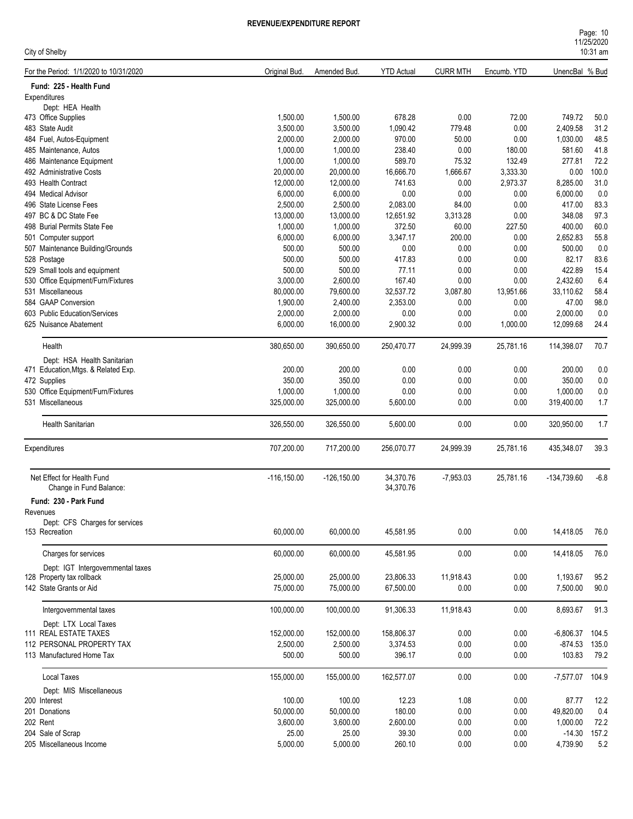| Page: 10   |  |
|------------|--|
| 11/25/2020 |  |
| $10:31$ am |  |

| City of Shelby                                        |                       |                       |                     |                 |                  |                      | $10:31$ am    |
|-------------------------------------------------------|-----------------------|-----------------------|---------------------|-----------------|------------------|----------------------|---------------|
| For the Period: 1/1/2020 to 10/31/2020                | Original Bud.         | Amended Bud.          | <b>YTD Actual</b>   | <b>CURR MTH</b> | Encumb. YTD      | UnencBal % Bud       |               |
| Fund: 225 - Health Fund                               |                       |                       |                     |                 |                  |                      |               |
| Expenditures                                          |                       |                       |                     |                 |                  |                      |               |
| Dept: HEA Health                                      |                       |                       |                     |                 |                  |                      |               |
| 473 Office Supplies                                   | 1,500.00              | 1,500.00              | 678.28              | 0.00            | 72.00            | 749.72               | 50.0<br>31.2  |
| 483 State Audit<br>484 Fuel, Autos-Equipment          | 3,500.00              | 3,500.00              | 1,090.42            | 779.48          | 0.00             | 2,409.58             |               |
|                                                       | 2,000.00<br>1.000.00  | 2,000.00              | 970.00              | 50.00           | 0.00             | 1,030.00             | 48.5          |
| 485 Maintenance, Autos                                | 1,000.00              | 1,000.00              | 238.40              | 0.00            | 180.00<br>132.49 | 581.60               | 41.8<br>72.2  |
| 486 Maintenance Equipment<br>492 Administrative Costs | 20,000.00             | 1,000.00              | 589.70<br>16,666.70 | 75.32           |                  | 277.81               |               |
|                                                       |                       | 20,000.00             |                     | 1,666.67        | 3,333.30         | 0.00                 | 100.0<br>31.0 |
| 493 Health Contract<br>494 Medical Advisor            | 12,000.00<br>6,000.00 | 12,000.00<br>6,000.00 | 741.63<br>0.00      | 0.00<br>0.00    | 2,973.37<br>0.00 | 8,285.00<br>6,000.00 | 0.0           |
| 496 State License Fees                                | 2,500.00              | 2,500.00              | 2,083.00            | 84.00           | 0.00             | 417.00               | 83.3          |
| 497 BC & DC State Fee                                 | 13,000.00             |                       |                     |                 |                  | 348.08               |               |
|                                                       |                       | 13,000.00             | 12,651.92           | 3,313.28        | 0.00             |                      | 97.3<br>60.0  |
| 498 Burial Permits State Fee                          | 1,000.00              | 1,000.00              | 372.50              | 60.00           | 227.50           | 400.00               |               |
| 501 Computer support                                  | 6,000.00              | 6,000.00              | 3,347.17            | 200.00          | 0.00             | 2,652.83             | 55.8          |
| 507 Maintenance Building/Grounds                      | 500.00                | 500.00                | 0.00                | 0.00            | 0.00             | 500.00               | 0.0           |
| 528 Postage                                           | 500.00                | 500.00                | 417.83              | 0.00            | 0.00             | 82.17                | 83.6          |
| 529 Small tools and equipment                         | 500.00                | 500.00                | 77.11               | 0.00            | 0.00             | 422.89               | 15.4          |
| 530 Office Equipment/Furn/Fixtures                    | 3,000.00              | 2,600.00              | 167.40              | 0.00            | 0.00             | 2,432.60             | 6.4           |
| 531 Miscellaneous                                     | 80,000.00             | 79,600.00             | 32,537.72           | 3,087.80        | 13,951.66        | 33,110.62            | 58.4          |
| 584 GAAP Conversion                                   | 1,900.00              | 2,400.00              | 2,353.00            | 0.00            | 0.00             | 47.00                | 98.0          |
| 603 Public Education/Services                         | 2,000.00              | 2,000.00              | 0.00                | 0.00            | 0.00             | 2,000.00             | 0.0           |
| 625 Nuisance Abatement                                | 6,000.00              | 16,000.00             | 2,900.32            | 0.00            | 1,000.00         | 12,099.68            | 24.4          |
| Health                                                | 380,650.00            | 390,650.00            | 250,470.77          | 24,999.39       | 25,781.16        | 114,398.07           | 70.7          |
| Dept: HSA Health Sanitarian                           |                       |                       |                     |                 |                  |                      |               |
| 471 Education, Mtgs. & Related Exp.                   | 200.00                | 200.00                | 0.00                | 0.00            | 0.00             | 200.00               | 0.0           |
| 472 Supplies                                          | 350.00                | 350.00                | 0.00                | 0.00            | 0.00             | 350.00               | 0.0           |
| 530 Office Equipment/Furn/Fixtures                    | 1,000.00              | 1,000.00              | 0.00                | 0.00            | 0.00             | 1,000.00             | 0.0           |
| 531 Miscellaneous                                     | 325,000.00            | 325,000.00            | 5,600.00            | 0.00            | 0.00             | 319,400.00           | 1.7           |
| Health Sanitarian                                     | 326,550.00            | 326,550.00            | 5,600.00            | 0.00            | 0.00             | 320,950.00           | 1.7           |
| Expenditures                                          | 707,200.00            | 717,200.00            | 256,070.77          | 24,999.39       | 25,781.16        | 435,348.07           | 39.3          |
| Net Effect for Health Fund                            | $-116, 150.00$        | $-126, 150.00$        | 34,370.76           | $-7,953.03$     | 25,781.16        | -134,739.60          | $-6.8$        |
| Change in Fund Balance:                               |                       |                       | 34,370.76           |                 |                  |                      |               |
| Fund: 230 - Park Fund                                 |                       |                       |                     |                 |                  |                      |               |
| Revenues                                              |                       |                       |                     |                 |                  |                      |               |
| Dept: CFS Charges for services                        |                       |                       |                     |                 |                  |                      |               |
| 153 Recreation                                        | 60,000.00             | 60,000.00             | 45,581.95           | 0.00            | 0.00             | 14,418.05            | 76.0          |
| Charges for services                                  | 60.000.00             | 60,000.00             | 45,581.95           | 0.00            | 0.00             | 14,418.05            | 76.0          |
| Dept: IGT Intergovernmental taxes                     |                       |                       |                     |                 |                  |                      |               |
| 128 Property tax rollback                             | 25,000.00             | 25,000.00             | 23,806.33           | 11,918.43       | 0.00             | 1,193.67             | 95.2          |
| 142 State Grants or Aid                               | 75,000.00             | 75,000.00             | 67,500.00           | 0.00            | 0.00             | 7,500.00             | 90.0          |
| Intergovernmental taxes                               | 100,000.00            | 100,000.00            | 91,306.33           | 11,918.43       | 0.00             | 8,693.67             | 91.3          |
| Dept: LTX Local Taxes                                 |                       |                       |                     |                 |                  |                      |               |
| 111 REAL ESTATE TAXES                                 | 152,000.00            | 152,000.00            | 158,806.37          | 0.00            | 0.00             | $-6,806.37$          | 104.5         |
| 112 PERSONAL PROPERTY TAX                             | 2,500.00              | 2,500.00              | 3,374.53            | 0.00            | 0.00             | $-874.53$            | 135.0         |
| 113 Manufactured Home Tax                             | 500.00                | 500.00                | 396.17              | 0.00            | 0.00             | 103.83               | 79.2          |
| Local Taxes                                           | 155,000.00            | 155,000.00            | 162,577.07          | 0.00            | 0.00             | -7,577.07 104.9      |               |
|                                                       |                       |                       |                     |                 |                  |                      |               |
| Dept: MIS Miscellaneous<br>200 Interest               | 100.00                | 100.00                | 12.23               | 1.08            | 0.00             | 87.77                | 12.2          |
| 201 Donations                                         | 50,000.00             | 50,000.00             | 180.00              | 0.00            | 0.00             | 49,820.00            | 0.4           |
| 202 Rent                                              | 3,600.00              | 3,600.00              | 2,600.00            | 0.00            | 0.00             | 1,000.00             | 72.2          |
| 204 Sale of Scrap                                     | 25.00                 | 25.00                 | 39.30               | 0.00            | 0.00             | $-14.30$             | 157.2         |
| 205 Miscellaneous Income                              | 5,000.00              | 5,000.00              | 260.10              | 0.00            | 0.00             | 4,739.90             | 5.2           |
|                                                       |                       |                       |                     |                 |                  |                      |               |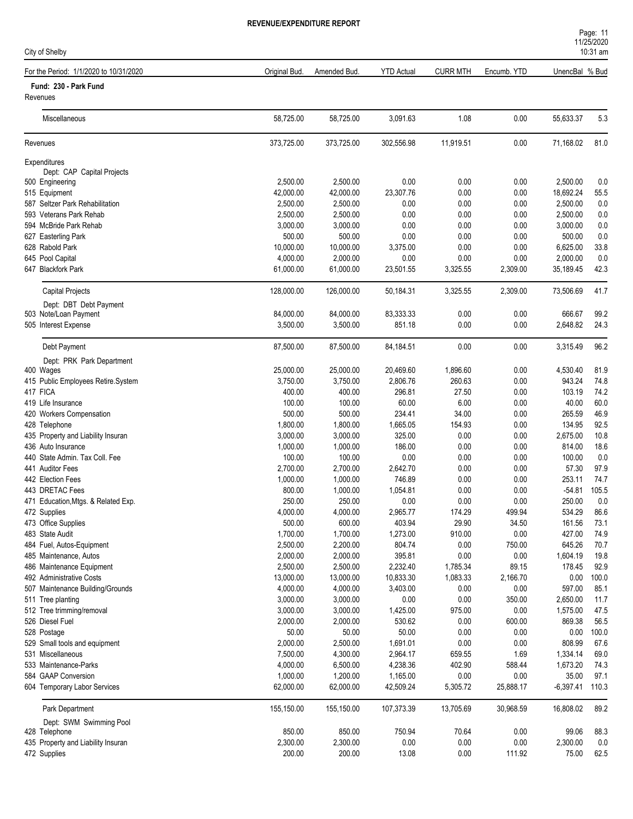| <b>REVENUE/EXPENDITURE REPORT</b> |
|-----------------------------------|
|                                   |

| City of Shelby                         |               |              |                   |                 |             |                | 1112012020<br>10:31 am |
|----------------------------------------|---------------|--------------|-------------------|-----------------|-------------|----------------|------------------------|
| For the Period: 1/1/2020 to 10/31/2020 | Original Bud. | Amended Bud. | <b>YTD Actual</b> | <b>CURR MTH</b> | Encumb. YTD | UnencBal % Bud |                        |
| Fund: 230 - Park Fund                  |               |              |                   |                 |             |                |                        |
| Revenues                               |               |              |                   |                 |             |                |                        |
| Miscellaneous                          | 58,725.00     | 58,725.00    | 3,091.63          | 1.08            | 0.00        | 55,633.37      | 5.3                    |
| Revenues                               | 373,725.00    | 373,725.00   | 302,556.98        | 11,919.51       | 0.00        | 71,168.02      | 81.0                   |
| Expenditures                           |               |              |                   |                 |             |                |                        |
| Dept: CAP Capital Projects             |               |              |                   |                 |             |                |                        |
| 500 Engineering                        | 2,500.00      | 2,500.00     | 0.00              | 0.00            | 0.00        | 2,500.00       | 0.0                    |
| 515 Equipment                          | 42,000.00     | 42,000.00    | 23,307.76         | 0.00            | 0.00        | 18,692.24      | 55.5                   |
| 587 Seltzer Park Rehabilitation        | 2,500.00      | 2,500.00     | 0.00              | 0.00            | 0.00        | 2,500.00       | 0.0                    |
| 593 Veterans Park Rehab                | 2,500.00      | 2,500.00     | 0.00              | 0.00            | 0.00        | 2,500.00       | 0.0                    |
| 594 McBride Park Rehab                 | 3,000.00      | 3,000.00     | 0.00              | 0.00            | 0.00        | 3,000.00       | 0.0                    |
| 627 Easterling Park                    | 500.00        | 500.00       | 0.00              | 0.00            | 0.00        | 500.00         | 0.0                    |
| 628 Rabold Park                        | 10,000.00     | 10,000.00    | 3,375.00          | 0.00            | 0.00        | 6,625.00       | 33.8                   |
| 645 Pool Capital                       | 4,000.00      | 2,000.00     | 0.00              | 0.00            | 0.00        | 2,000.00       | 0.0                    |
| 647 Blackfork Park                     | 61,000.00     | 61,000.00    | 23,501.55         | 3,325.55        | 2,309.00    | 35,189.45      | 42.3                   |
| <b>Capital Projects</b>                | 128,000.00    | 126,000.00   | 50.184.31         | 3,325.55        | 2,309.00    | 73,506.69      | 41.7                   |
| Dept: DBT Debt Payment                 |               |              |                   |                 |             |                |                        |
| 503 Note/Loan Payment                  | 84,000.00     | 84,000.00    | 83,333.33         | 0.00            | 0.00        | 666.67         | 99.2                   |
| 505 Interest Expense                   | 3,500.00      | 3,500.00     | 851.18            | 0.00            | 0.00        | 2,648.82       | 24.3                   |
| Debt Payment                           | 87,500.00     | 87,500.00    | 84,184.51         | 0.00            | 0.00        | 3,315.49       | 96.2                   |
| Dept: PRK Park Department              |               |              |                   |                 |             |                |                        |
| 400 Wages                              | 25,000.00     | 25,000.00    | 20,469.60         | 1,896.60        | 0.00        | 4,530.40       | 81.9                   |
| 415 Public Employees Retire.System     | 3,750.00      | 3,750.00     | 2,806.76          | 260.63          | 0.00        | 943.24         | 74.8                   |
| 417 FICA                               | 400.00        | 400.00       | 296.81            | 27.50           | 0.00        | 103.19         | 74.2                   |
| 419 Life Insurance                     | 100.00        | 100.00       | 60.00             | 6.00            | 0.00        | 40.00          | 60.0                   |
| 420 Workers Compensation               | 500.00        | 500.00       | 234.41            | 34.00           | 0.00        | 265.59         | 46.9                   |
| 428 Telenhone                          | 1,800,00      | 1,800,00     | 166505            | 154 93          | n nn        | 134 95         | 925                    |

| 420 Workers Compensation            | 500.00     | 500.00     | 234.41     | 34.00     | 0.00      | 265.59      | 46.9  |
|-------------------------------------|------------|------------|------------|-----------|-----------|-------------|-------|
| 428 Telephone                       | 1,800.00   | 1,800.00   | 1,665.05   | 154.93    | 0.00      | 134.95      | 92.5  |
| 435 Property and Liability Insuran  | 3,000.00   | 3,000.00   | 325.00     | 0.00      | 0.00      | 2,675.00    | 10.8  |
| 436 Auto Insurance                  | 1,000.00   | 1,000.00   | 186.00     | 0.00      | 0.00      | 814.00      | 18.6  |
| 440 State Admin. Tax Coll. Fee      | 100.00     | 100.00     | 0.00       | 0.00      | 0.00      | 100.00      | 0.0   |
| 441 Auditor Fees                    | 2,700.00   | 2,700.00   | 2,642.70   | 0.00      | 0.00      | 57.30       | 97.9  |
| 442 Election Fees                   | 1,000.00   | 1,000.00   | 746.89     | 0.00      | 0.00      | 253.11      | 74.7  |
| 443 DRETAC Fees                     | 800.00     | 1,000.00   | 1,054.81   | 0.00      | 0.00      | $-54.81$    | 105.5 |
| 471 Education, Mtgs. & Related Exp. | 250.00     | 250.00     | 0.00       | 0.00      | 0.00      | 250.00      | 0.0   |
| 472 Supplies                        | 4,000.00   | 4,000.00   | 2,965.77   | 174.29    | 499.94    | 534.29      | 86.6  |
| 473 Office Supplies                 | 500.00     | 600.00     | 403.94     | 29.90     | 34.50     | 161.56      | 73.1  |
| 483 State Audit                     | 1,700.00   | 1,700.00   | 1,273.00   | 910.00    | 0.00      | 427.00      | 74.9  |
| 484 Fuel, Autos-Equipment           | 2,500.00   | 2,200.00   | 804.74     | 0.00      | 750.00    | 645.26      | 70.7  |
| 485 Maintenance, Autos              | 2,000.00   | 2,000.00   | 395.81     | 0.00      | 0.00      | 1,604.19    | 19.8  |
| 486 Maintenance Equipment           | 2,500.00   | 2,500.00   | 2,232.40   | 1,785.34  | 89.15     | 178.45      | 92.9  |
| 492 Administrative Costs            | 13,000.00  | 13,000.00  | 10,833.30  | 1,083.33  | 2,166.70  | 0.00        | 100.0 |
| 507 Maintenance Building/Grounds    | 4,000.00   | 4,000.00   | 3,403.00   | 0.00      | 0.00      | 597.00      | 85.1  |
| 511 Tree planting                   | 3,000.00   | 3,000.00   | 0.00       | 0.00      | 350.00    | 2,650.00    | 11.7  |
| 512 Tree trimming/removal           | 3,000.00   | 3,000.00   | 1,425.00   | 975.00    | 0.00      | 1,575.00    | 47.5  |
| 526 Diesel Fuel                     | 2,000.00   | 2,000.00   | 530.62     | 0.00      | 600.00    | 869.38      | 56.5  |
| 528 Postage                         | 50.00      | 50.00      | 50.00      | 0.00      | 0.00      | 0.00        | 100.0 |
| 529 Small tools and equipment       | 2,000.00   | 2,500.00   | 1,691.01   | 0.00      | 0.00      | 808.99      | 67.6  |
| 531 Miscellaneous                   | 7,500.00   | 4,300.00   | 2.964.17   | 659.55    | 1.69      | 1,334.14    | 69.0  |
| 533 Maintenance-Parks               | 4,000.00   | 6,500.00   | 4,238.36   | 402.90    | 588.44    | 1,673.20    | 74.3  |
| 584 GAAP Conversion                 | 1,000.00   | 1,200.00   | 1,165.00   | 0.00      | 0.00      | 35.00       | 97.1  |
| 604 Temporary Labor Services        | 62,000.00  | 62,000.00  | 42,509.24  | 5,305.72  | 25,888.17 | $-6,397.41$ | 110.3 |
| Park Department                     | 155,150.00 | 155,150.00 | 107,373.39 | 13,705.69 | 30,968.59 | 16,808.02   | 89.2  |
| Dept: SWM Swimming Pool             |            |            |            |           |           |             |       |
| 428 Telephone                       | 850.00     | 850.00     | 750.94     | 70.64     | 0.00      | 99.06       | 88.3  |
| 435 Property and Liability Insuran  | 2,300.00   | 2,300.00   | 0.00       | 0.00      | 0.00      | 2,300.00    | 0.0   |
| 472 Supplies                        | 200.00     | 200.00     | 13.08      | 0.00      | 111.92    | 75.00       | 62.5  |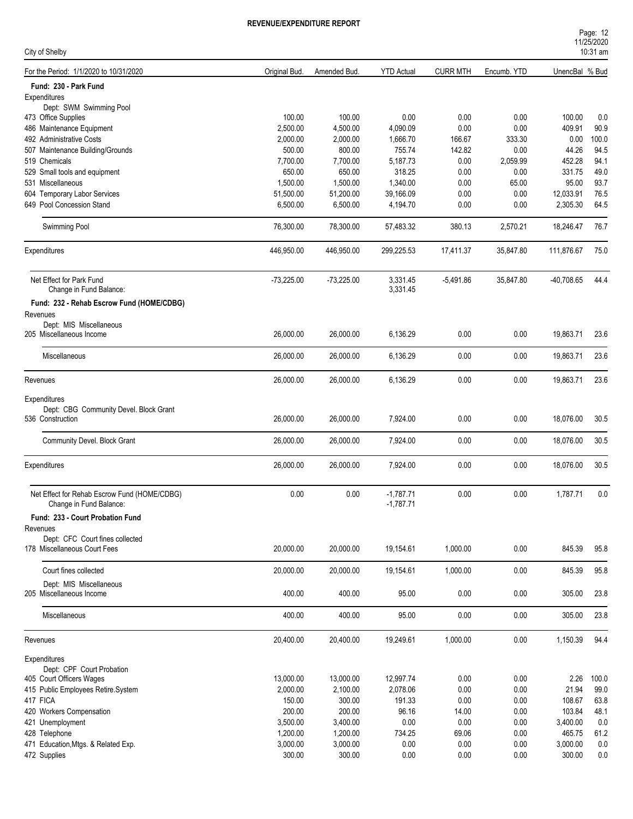| City of Shelby                                                  |               |              |                            |                 |             |                | 1112312020<br>10:31 am |
|-----------------------------------------------------------------|---------------|--------------|----------------------------|-----------------|-------------|----------------|------------------------|
| For the Period: 1/1/2020 to 10/31/2020                          | Original Bud. | Amended Bud. | <b>YTD Actual</b>          | <b>CURR MTH</b> | Encumb. YTD | UnencBal % Bud |                        |
| Fund: 230 - Park Fund                                           |               |              |                            |                 |             |                |                        |
| Expenditures                                                    |               |              |                            |                 |             |                |                        |
| Dept: SWM Swimming Pool                                         |               |              |                            |                 |             |                |                        |
| 473 Office Supplies                                             | 100.00        | 100.00       | 0.00                       | 0.00            | 0.00        | 100.00         | 0.0                    |
| 486 Maintenance Equipment                                       | 2,500.00      | 4,500.00     | 4,090.09                   | 0.00            | 0.00        | 409.91         | 90.9                   |
| 492 Administrative Costs                                        | 2,000.00      | 2,000.00     | 1,666.70                   | 166.67          | 333.30      | 0.00           | 100.0                  |
| 507 Maintenance Building/Grounds                                | 500.00        | 800.00       | 755.74                     | 142.82          | 0.00        | 44.26          | 94.5                   |
| 519 Chemicals                                                   | 7,700.00      | 7,700.00     | 5,187.73                   | 0.00            | 2,059.99    | 452.28         | 94.1                   |
| 529 Small tools and equipment                                   | 650.00        | 650.00       | 318.25                     | 0.00            | 0.00        | 331.75         | 49.0                   |
| 531 Miscellaneous                                               | 1,500.00      | 1,500.00     | 1,340.00                   | 0.00            | 65.00       | 95.00          | 93.7                   |
| 604 Temporary Labor Services                                    | 51,500.00     | 51,200.00    | 39,166.09                  | 0.00            | 0.00        | 12,033.91      | 76.5                   |
| 649 Pool Concession Stand                                       | 6,500.00      | 6,500.00     | 4,194.70                   | 0.00            | 0.00        | 2,305.30       | 64.5                   |
| Swimming Pool                                                   | 76,300.00     | 78,300.00    | 57,483.32                  | 380.13          | 2,570.21    | 18,246.47      | 76.7                   |
| Expenditures                                                    | 446,950.00    | 446,950.00   | 299,225.53                 | 17,411.37       | 35,847.80   | 111,876.67     | 75.0                   |
|                                                                 |               |              |                            |                 |             |                |                        |
| Net Effect for Park Fund<br>Change in Fund Balance:             | $-73,225.00$  | $-73,225.00$ | 3,331.45<br>3,331.45       | $-5.491.86$     | 35,847.80   | -40,708.65     | 44.4                   |
|                                                                 |               |              |                            |                 |             |                |                        |
| Fund: 232 - Rehab Escrow Fund (HOME/CDBG)<br>Revenues           |               |              |                            |                 |             |                |                        |
| Dept: MIS Miscellaneous                                         |               |              |                            |                 |             |                |                        |
| 205 Miscellaneous Income                                        | 26,000.00     | 26,000.00    | 6,136.29                   | 0.00            | 0.00        | 19,863.71      | 23.6                   |
| Miscellaneous                                                   | 26,000.00     | 26,000.00    | 6,136.29                   | 0.00            | 0.00        | 19,863.71      | 23.6                   |
| Revenues                                                        | 26,000.00     | 26,000.00    | 6,136.29                   | 0.00            | 0.00        | 19,863.71      | 23.6                   |
|                                                                 |               |              |                            |                 |             |                |                        |
| Expenditures                                                    |               |              |                            |                 |             |                |                        |
| Dept: CBG Community Devel. Block Grant                          |               |              |                            |                 |             |                |                        |
| 536 Construction                                                | 26,000.00     | 26,000.00    | 7,924.00                   | 0.00            | 0.00        | 18,076.00      | 30.5                   |
|                                                                 |               |              |                            |                 |             |                |                        |
| <b>Community Devel. Block Grant</b>                             | 26,000.00     | 26,000.00    | 7,924.00                   | 0.00            | 0.00        | 18,076.00      | 30.5                   |
| Expenditures                                                    | 26,000.00     | 26,000.00    | 7,924.00                   | 0.00            | 0.00        | 18,076.00      | 30.5                   |
|                                                                 |               |              |                            |                 |             |                |                        |
| Net Effect for Rehab Escrow Fund (HOME/CDBG)                    | 0.00          | 0.00         | $-1,787.71$<br>$-1,787.71$ | 0.00            | 0.00        | 1,787.71       | 0.0                    |
| Change in Fund Balance:                                         |               |              |                            |                 |             |                |                        |
| Fund: 233 - Court Probation Fund                                |               |              |                            |                 |             |                |                        |
| Revenues                                                        |               |              |                            |                 |             |                |                        |
| Dept: CFC Court fines collected<br>178 Miscellaneous Court Fees | 20,000.00     | 20,000.00    | 19,154.61                  | 1,000.00        | 0.00        | 845.39         | 95.8                   |
| Court fines collected                                           | 20,000.00     | 20,000.00    | 19,154.61                  | 1,000.00        | 0.00        | 845.39         | 95.8                   |
| Dept: MIS Miscellaneous                                         |               |              |                            |                 |             |                |                        |
| 205 Miscellaneous Income                                        | 400.00        | 400.00       | 95.00                      | 0.00            | 0.00        | 305.00         | 23.8                   |
| Miscellaneous                                                   | 400.00        | 400.00       | 95.00                      | 0.00            | 0.00        | 305.00         | 23.8                   |
| Revenues                                                        | 20,400.00     | 20,400.00    | 19,249.61                  | 1,000.00        | 0.00        | 1,150.39       | 94.4                   |
| Expenditures                                                    |               |              |                            |                 |             |                |                        |
| Dept: CPF Court Probation                                       |               |              |                            |                 |             |                |                        |
| 405 Court Officers Wages                                        | 13,000.00     | 13,000.00    | 12,997.74                  | 0.00            | 0.00        | 2.26           | 100.0                  |
| 415 Public Employees Retire.System                              | 2,000.00      | 2,100.00     | 2,078.06                   | 0.00            | 0.00        | 21.94          | 99.0                   |
| 417 FICA                                                        | 150.00        | 300.00       | 191.33                     | 0.00            | 0.00        | 108.67         | 63.8                   |
| 420 Workers Compensation                                        | 200.00        | 200.00       | 96.16                      | 14.00           | 0.00        | 103.84         | 48.1                   |
| 421 Unemployment                                                | 3,500.00      | 3,400.00     | 0.00                       | 0.00            | 0.00        | 3,400.00       | 0.0                    |
| 428 Telephone                                                   | 1,200.00      | 1,200.00     | 734.25                     | 69.06           | 0.00        | 465.75         | 61.2                   |
| 471 Education, Mtgs. & Related Exp.                             | 3,000.00      | 3,000.00     | $0.00\,$                   | 0.00            | 0.00        | 3,000.00       | 0.0                    |
| 472 Supplies                                                    | 300.00        | 300.00       | 0.00                       | 0.00            | 0.00        | 300.00         | 0.0                    |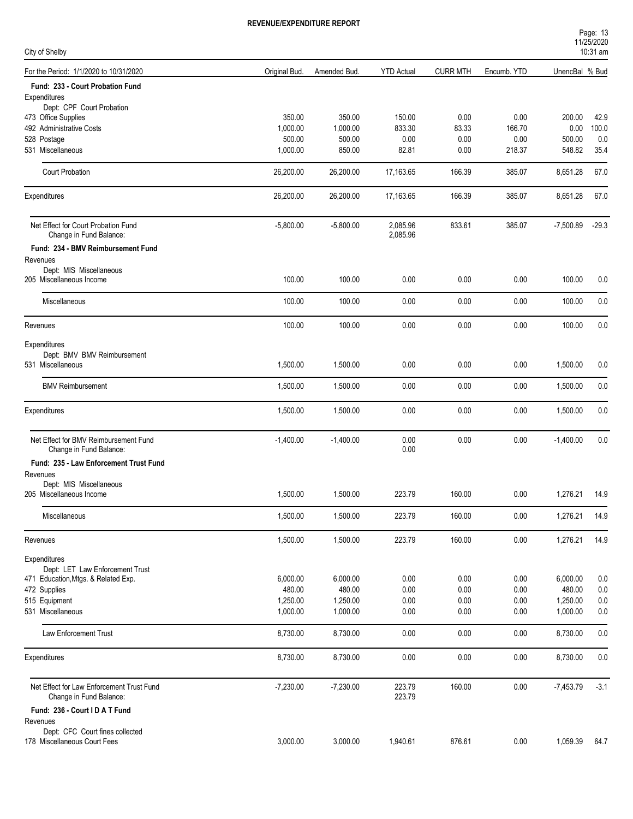| Page: 13             |  |
|----------------------|--|
| 11/25/2020           |  |
| $10.21 \, \text{cm}$ |  |

| City of Shelby                                                  |               |              |                      |                 |             | <b>I ILLUILULU</b><br>$10:31$ am |         |  |
|-----------------------------------------------------------------|---------------|--------------|----------------------|-----------------|-------------|----------------------------------|---------|--|
| For the Period: 1/1/2020 to 10/31/2020                          | Original Bud. | Amended Bud. | <b>YTD Actual</b>    | <b>CURR MTH</b> | Encumb. YTD | UnencBal % Bud                   |         |  |
| Fund: 233 - Court Probation Fund                                |               |              |                      |                 |             |                                  |         |  |
| Expenditures                                                    |               |              |                      |                 |             |                                  |         |  |
| Dept: CPF Court Probation                                       |               |              |                      |                 |             |                                  |         |  |
| 473 Office Supplies                                             | 350.00        | 350.00       | 150.00               | 0.00            | 0.00        | 200.00                           | 42.9    |  |
| 492 Administrative Costs                                        | 1,000.00      | 1,000.00     | 833.30               | 83.33           | 166.70      | 0.00                             | 100.0   |  |
| 528 Postage                                                     | 500.00        | 500.00       | 0.00                 | 0.00            | 0.00        | 500.00                           | 0.0     |  |
| 531 Miscellaneous                                               | 1,000.00      | 850.00       | 82.81                | 0.00            | 218.37      | 548.82                           | 35.4    |  |
| <b>Court Probation</b>                                          | 26,200.00     | 26,200.00    | 17,163.65            | 166.39          | 385.07      | 8,651.28                         | 67.0    |  |
| Expenditures                                                    | 26,200.00     | 26,200.00    | 17,163.65            | 166.39          | 385.07      | 8,651.28                         | 67.0    |  |
| Net Effect for Court Probation Fund<br>Change in Fund Balance:  | $-5,800.00$   | $-5,800.00$  | 2,085.96<br>2,085.96 | 833.61          | 385.07      | $-7,500.89$                      | $-29.3$ |  |
| Fund: 234 - BMV Reimbursement Fund                              |               |              |                      |                 |             |                                  |         |  |
| Revenues                                                        |               |              |                      |                 |             |                                  |         |  |
| Dept: MIS Miscellaneous<br>205 Miscellaneous Income             | 100.00        | 100.00       | 0.00                 | 0.00            | 0.00        | 100.00                           | 0.0     |  |
|                                                                 |               |              |                      |                 |             |                                  |         |  |
| Miscellaneous                                                   | 100.00        | 100.00       | 0.00                 | 0.00            | 0.00        | 100.00                           | 0.0     |  |
| Revenues                                                        | 100.00        | 100.00       | 0.00                 | 0.00            | 0.00        | 100.00                           | 0.0     |  |
| Expenditures                                                    |               |              |                      |                 |             |                                  |         |  |
| Dept: BMV BMV Reimbursement                                     |               |              |                      |                 |             |                                  |         |  |
| 531 Miscellaneous                                               | 1,500.00      | 1,500.00     | 0.00                 | 0.00            | 0.00        | 1,500.00                         | 0.0     |  |
| <b>BMV Reimbursement</b>                                        | 1,500.00      | 1,500.00     | 0.00                 | 0.00            | 0.00        | 1,500.00                         | 0.0     |  |
|                                                                 |               |              |                      |                 |             |                                  |         |  |
| Expenditures                                                    | 1,500.00      | 1,500.00     | 0.00                 | 0.00            | 0.00        | 1,500.00                         | 0.0     |  |
| Net Effect for BMV Reimbursement Fund                           | $-1,400.00$   | $-1,400.00$  | 0.00                 | 0.00            | 0.00        | $-1,400.00$                      | 0.0     |  |
| Change in Fund Balance:                                         |               |              | 0.00                 |                 |             |                                  |         |  |
| Fund: 235 - Law Enforcement Trust Fund                          |               |              |                      |                 |             |                                  |         |  |
| Revenues                                                        |               |              |                      |                 |             |                                  |         |  |
| Dept: MIS Miscellaneous                                         |               |              |                      |                 |             |                                  |         |  |
| 205 Miscellaneous Income                                        | 1,500.00      | 1,500.00     | 223.79               | 160.00          | 0.00        | 1,276.21                         | 14.9    |  |
| Miscellaneous                                                   | 1,500.00      | 1,500.00     | 223.79               | 160.00          | 0.00        | 1,276.21                         | 14.9    |  |
| Revenues                                                        | 1,500.00      | 1,500.00     | 223.79               | 160.00          | 0.00        | 1,276.21                         | 14.9    |  |
|                                                                 |               |              |                      |                 |             |                                  |         |  |
| Expenditures<br>Dept: LET Law Enforcement Trust                 |               |              |                      |                 |             |                                  |         |  |
| 471 Education, Mtgs. & Related Exp.                             | 6,000.00      | 6,000.00     | 0.00                 | 0.00            | 0.00        | 6,000.00                         | 0.0     |  |
| 472 Supplies                                                    | 480.00        | 480.00       | 0.00                 | 0.00            | 0.00        | 480.00                           | $0.0\,$ |  |
| 515 Equipment                                                   | 1,250.00      | 1,250.00     | 0.00                 | 0.00            | 0.00        | 1,250.00                         | 0.0     |  |
| 531 Miscellaneous                                               | 1,000.00      | 1,000.00     | 0.00                 | 0.00            | 0.00        | 1,000.00                         | 0.0     |  |
|                                                                 |               |              |                      |                 |             |                                  |         |  |
| Law Enforcement Trust                                           | 8,730.00      | 8,730.00     | 0.00                 | 0.00            | 0.00        | 8,730.00                         | 0.0     |  |
| Expenditures                                                    | 8,730.00      | 8,730.00     | 0.00                 | 0.00            | 0.00        | 8,730.00                         | 0.0     |  |
| Net Effect for Law Enforcement Trust Fund                       | $-7,230.00$   | $-7,230.00$  | 223.79               | 160.00          | 0.00        | $-7,453.79$                      | $-3.1$  |  |
| Change in Fund Balance:                                         |               |              | 223.79               |                 |             |                                  |         |  |
| Fund: 236 - Court I D A T Fund                                  |               |              |                      |                 |             |                                  |         |  |
| Revenues                                                        |               |              |                      |                 |             |                                  |         |  |
| Dept: CFC Court fines collected<br>178 Miscellaneous Court Fees | 3,000.00      | 3,000.00     | 1,940.61             | 876.61          | 0.00        | 1,059.39                         | 64.7    |  |
|                                                                 |               |              |                      |                 |             |                                  |         |  |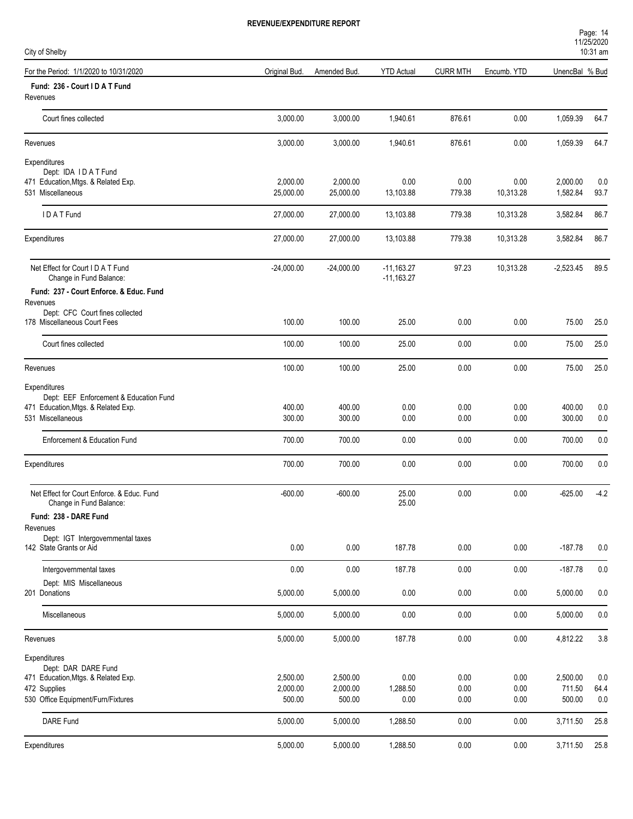| City of Shelby                                                        |                    |                    |                              |                 |              |                  | 10:31 am    |  |
|-----------------------------------------------------------------------|--------------------|--------------------|------------------------------|-----------------|--------------|------------------|-------------|--|
| For the Period: 1/1/2020 to 10/31/2020                                | Original Bud.      | Amended Bud.       | <b>YTD Actual</b>            | <b>CURR MTH</b> | Encumb. YTD  | UnencBal % Bud   |             |  |
| Fund: 236 - Court I D A T Fund<br>Revenues                            |                    |                    |                              |                 |              |                  |             |  |
| Court fines collected                                                 | 3,000.00           | 3,000.00           | 1,940.61                     | 876.61          | 0.00         | 1,059.39         | 64.7        |  |
| Revenues                                                              | 3,000.00           | 3,000.00           | 1,940.61                     | 876.61          | 0.00         | 1,059.39         | 64.7        |  |
| Expenditures                                                          |                    |                    |                              |                 |              |                  |             |  |
| Dept: IDA IDAT Fund<br>471 Education, Mtgs. & Related Exp.            | 2,000.00           | 2,000.00           | 0.00                         | 0.00            | 0.00         | 2,000.00         | 0.0         |  |
| 531 Miscellaneous                                                     | 25,000.00          | 25,000.00          | 13,103.88                    | 779.38          | 10,313.28    | 1,582.84         | 93.7        |  |
| IDATFund                                                              | 27,000.00          | 27,000.00          | 13,103.88                    | 779.38          | 10,313.28    | 3,582.84         | 86.7        |  |
| Expenditures                                                          | 27,000.00          | 27,000.00          | 13,103.88                    | 779.38          | 10,313.28    | 3,582.84         | 86.7        |  |
| Net Effect for Court I D A T Fund<br>Change in Fund Balance:          | $-24,000.00$       | $-24,000.00$       | $-11,163.27$<br>$-11,163.27$ | 97.23           | 10,313.28    | $-2,523.45$      | 89.5        |  |
| Fund: 237 - Court Enforce. & Educ. Fund                               |                    |                    |                              |                 |              |                  |             |  |
| Revenues<br>Dept: CFC Court fines collected                           |                    |                    |                              |                 |              |                  |             |  |
| 178 Miscellaneous Court Fees                                          | 100.00             | 100.00             | 25.00                        | 0.00            | 0.00         | 75.00            | 25.0        |  |
| Court fines collected                                                 | 100.00             | 100.00             | 25.00                        | 0.00            | 0.00         | 75.00            | 25.0        |  |
| Revenues                                                              | 100.00             | 100.00             | 25.00                        | 0.00            | 0.00         | 75.00            | 25.0        |  |
| Expenditures                                                          |                    |                    |                              |                 |              |                  |             |  |
| Dept: EEF Enforcement & Education Fund                                |                    |                    |                              |                 |              |                  |             |  |
| 471 Education, Mtgs. & Related Exp.                                   | 400.00             | 400.00             | 0.00                         | 0.00            | 0.00         | 400.00           | 0.0         |  |
| 531 Miscellaneous                                                     | 300.00             | 300.00             | 0.00                         | 0.00            | 0.00         | 300.00           | 0.0         |  |
| Enforcement & Education Fund                                          | 700.00             | 700.00             | 0.00                         | 0.00            | 0.00         | 700.00           | 0.0         |  |
| Expenditures                                                          | 700.00             | 700.00             | 0.00                         | 0.00            | 0.00         | 700.00           | 0.0         |  |
| Net Effect for Court Enforce. & Educ. Fund<br>Change in Fund Balance: | $-600.00$          | $-600.00$          | 25.00<br>25.00               | 0.00            | 0.00         | $-625.00$        | $-4.2$      |  |
| Fund: 238 - DARE Fund                                                 |                    |                    |                              |                 |              |                  |             |  |
| Revenues                                                              |                    |                    |                              |                 |              |                  |             |  |
| Dept: IGT Intergovernmental taxes<br>142 State Grants or Aid          | 0.00               | 0.00               | 187.78                       | 0.00            | 0.00         | $-187.78$        | 0.0         |  |
| Intergovernmental taxes                                               | 0.00               | 0.00               | 187.78                       | 0.00            | 0.00         | $-187.78$        | 0.0         |  |
| Dept: MIS Miscellaneous<br>201 Donations                              | 5,000.00           | 5,000.00           | 0.00                         | $0.00\,$        | 0.00         | 5,000.00         | 0.0         |  |
| Miscellaneous                                                         | 5,000.00           | 5,000.00           | 0.00                         | $0.00\,$        | 0.00         | 5,000.00         | 0.0         |  |
| Revenues                                                              | 5,000.00           | 5,000.00           | 187.78                       | $0.00\,$        | 0.00         | 4,812.22         | 3.8         |  |
| Expenditures                                                          |                    |                    |                              |                 |              |                  |             |  |
| Dept: DAR DARE Fund                                                   |                    |                    |                              |                 |              |                  |             |  |
| 471 Education, Mtgs. & Related Exp.                                   | 2,500.00           | 2,500.00           | 0.00                         | 0.00            | 0.00         | 2,500.00         | 0.0         |  |
| 472 Supplies<br>530 Office Equipment/Furn/Fixtures                    | 2,000.00<br>500.00 | 2,000.00<br>500.00 | 1,288.50<br>0.00             | 0.00<br>0.00    | 0.00<br>0.00 | 711.50<br>500.00 | 64.4<br>0.0 |  |
|                                                                       |                    |                    |                              |                 |              |                  |             |  |
| DARE Fund                                                             | 5,000.00           | 5,000.00           | 1,288.50                     | 0.00            | 0.00         | 3,711.50         | 25.8        |  |
| Expenditures                                                          | 5,000.00           | 5,000.00           | 1,288.50                     | 0.00            | $0.00\,$     | 3,711.50         | 25.8        |  |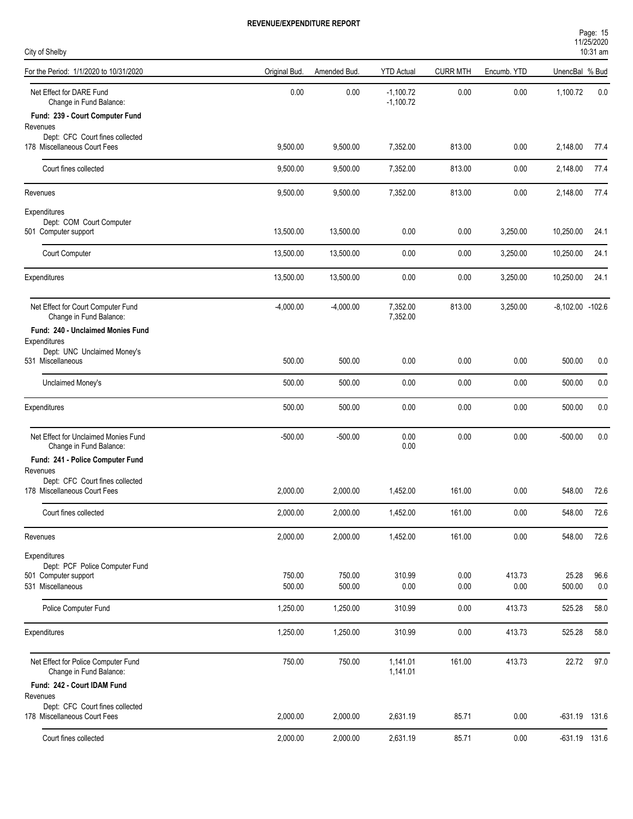| Page: 15   |  |
|------------|--|
| 11/25/2020 |  |
| $10:31$ am |  |

| City of Shelby                                                  |               |              |                            |                 |             |                      | 10:31 am |
|-----------------------------------------------------------------|---------------|--------------|----------------------------|-----------------|-------------|----------------------|----------|
| For the Period: 1/1/2020 to 10/31/2020                          | Original Bud. | Amended Bud. | <b>YTD Actual</b>          | <b>CURR MTH</b> | Encumb. YTD | UnencBal % Bud       |          |
| Net Effect for DARE Fund<br>Change in Fund Balance:             | 0.00          | 0.00         | $-1,100.72$<br>$-1,100.72$ | 0.00            | 0.00        | 1,100.72             | 0.0      |
| Fund: 239 - Court Computer Fund                                 |               |              |                            |                 |             |                      |          |
| Revenues<br>Dept: CFC Court fines collected                     |               |              |                            |                 |             |                      |          |
| 178 Miscellaneous Court Fees                                    | 9,500.00      | 9,500.00     | 7,352.00                   | 813.00          | 0.00        | 2,148.00             | 77.4     |
| Court fines collected                                           | 9,500.00      | 9,500.00     | 7,352.00                   | 813.00          | 0.00        | 2,148.00             | 77.4     |
| Revenues                                                        | 9,500.00      | 9,500.00     | 7,352.00                   | 813.00          | 0.00        | 2,148.00             | 77.4     |
| Expenditures                                                    |               |              |                            |                 |             |                      |          |
| Dept: COM Court Computer<br>501 Computer support                | 13,500.00     | 13,500.00    | 0.00                       | 0.00            | 3,250.00    | 10,250.00            | 24.1     |
|                                                                 |               |              |                            |                 |             |                      |          |
| Court Computer                                                  | 13,500.00     | 13,500.00    | 0.00                       | 0.00            | 3,250.00    | 10,250.00            | 24.1     |
| Expenditures                                                    | 13,500.00     | 13,500.00    | 0.00                       | 0.00            | 3,250.00    | 10,250.00            | 24.1     |
| Net Effect for Court Computer Fund<br>Change in Fund Balance:   | $-4,000.00$   | $-4,000.00$  | 7,352.00<br>7,352.00       | 813.00          | 3,250.00    | $-8,102.00$ $-102.6$ |          |
| Fund: 240 - Unclaimed Monies Fund                               |               |              |                            |                 |             |                      |          |
| Expenditures<br>Dept: UNC Unclaimed Money's                     |               |              |                            |                 |             |                      |          |
| 531 Miscellaneous                                               | 500.00        | 500.00       | 0.00                       | 0.00            | 0.00        | 500.00               | 0.0      |
| Unclaimed Money's                                               | 500.00        | 500.00       | 0.00                       | 0.00            | 0.00        | 500.00               | 0.0      |
| Expenditures                                                    | 500.00        | 500.00       | 0.00                       | 0.00            | 0.00        | 500.00               | 0.0      |
| Net Effect for Unclaimed Monies Fund<br>Change in Fund Balance: | $-500.00$     | $-500.00$    | 0.00<br>0.00               | 0.00            | 0.00        | $-500.00$            | 0.0      |
| Fund: 241 - Police Computer Fund                                |               |              |                            |                 |             |                      |          |
| Revenues<br>Dept: CFC Court fines collected                     |               |              |                            |                 |             |                      |          |
| 178 Miscellaneous Court Fees                                    | 2,000.00      | 2,000.00     | 1,452.00                   | 161.00          | 0.00        | 548.00               | 72.6     |
| Court fines collected                                           | 2,000.00      | 2,000.00     | 1,452.00                   | 161.00          | 0.00        | 548.00               | 72.6     |
| Revenues                                                        | 2,000.00      | 2,000.00     | 1,452.00                   | 161.00          | 0.00        | 548.00               | 72.6     |
| Expenditures                                                    |               |              |                            |                 |             |                      |          |
| Dept: PCF Police Computer Fund<br>501 Computer support          | 750.00        | 750.00       | 310.99                     | 0.00            | 413.73      | 25.28                | 96.6     |
| 531 Miscellaneous                                               | 500.00        | 500.00       | $0.00\,$                   | 0.00            | 0.00        | 500.00               | 0.0      |
| Police Computer Fund                                            | 1,250.00      | 1,250.00     | 310.99                     | 0.00            | 413.73      | 525.28               | 58.0     |
| Expenditures                                                    | 1,250.00      | 1,250.00     | 310.99                     | 0.00            | 413.73      | 525.28               | 58.0     |
| Net Effect for Police Computer Fund<br>Change in Fund Balance:  | 750.00        | 750.00       | 1,141.01<br>1,141.01       | 161.00          | 413.73      | 22.72                | 97.0     |
| Fund: 242 - Court IDAM Fund                                     |               |              |                            |                 |             |                      |          |
| Revenues                                                        |               |              |                            |                 |             |                      |          |
| Dept: CFC Court fines collected<br>178 Miscellaneous Court Fees | 2,000.00      | 2,000.00     | 2,631.19                   | 85.71           | 0.00        | -631.19 131.6        |          |
| Court fines collected                                           | 2,000.00      | 2,000.00     | 2,631.19                   | 85.71           | 0.00        | $-631.19$ 131.6      |          |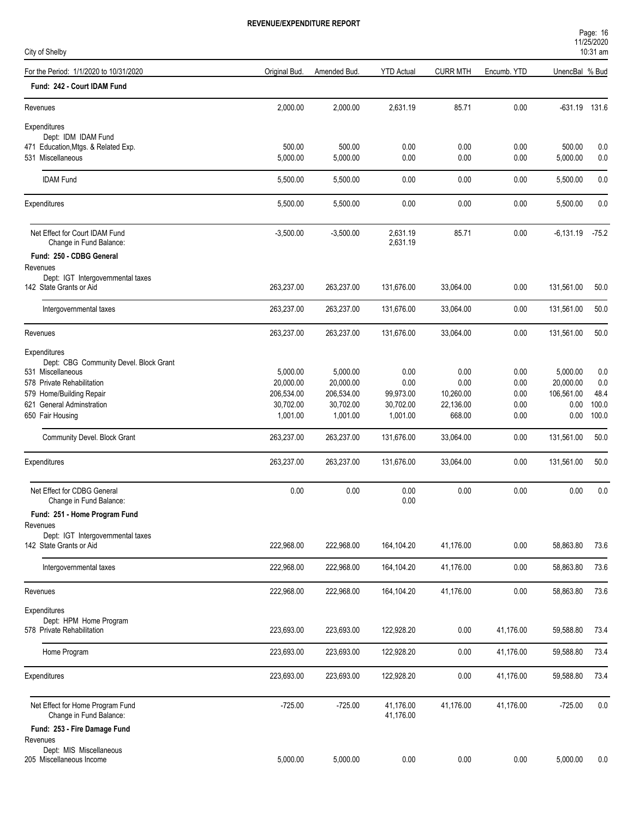| City of Shelby                                               |               |              |                        |                 |             |                | 10:31 am |
|--------------------------------------------------------------|---------------|--------------|------------------------|-----------------|-------------|----------------|----------|
| For the Period: 1/1/2020 to 10/31/2020                       | Original Bud. | Amended Bud. | <b>YTD</b> Actual      | <b>CURR MTH</b> | Encumb. YTD | UnencBal % Bud |          |
| Fund: 242 - Court IDAM Fund                                  |               |              |                        |                 |             |                |          |
| Revenues                                                     | 2,000.00      | 2,000.00     | 2,631.19               | 85.71           | 0.00        | -631.19 131.6  |          |
| Expenditures                                                 |               |              |                        |                 |             |                |          |
| Dept: IDM IDAM Fund                                          |               |              |                        |                 |             |                |          |
| 471 Education, Mtgs. & Related Exp.                          | 500.00        | 500.00       | 0.00                   | 0.00            | 0.00        | 500.00         | 0.0      |
| 531 Miscellaneous                                            | 5,000.00      | 5,000.00     | 0.00                   | 0.00            | 0.00        | 5,000.00       | 0.0      |
| <b>IDAM Fund</b>                                             | 5,500.00      | 5,500.00     | 0.00                   | 0.00            | 0.00        | 5,500.00       | 0.0      |
| Expenditures                                                 | 5,500.00      | 5,500.00     | 0.00                   | 0.00            | 0.00        | 5,500.00       | 0.0      |
| Net Effect for Court IDAM Fund<br>Change in Fund Balance:    | $-3,500.00$   | $-3,500.00$  | 2,631.19<br>2,631.19   | 85.71           | 0.00        | $-6,131.19$    | $-75.2$  |
| Fund: 250 - CDBG General                                     |               |              |                        |                 |             |                |          |
| Revenues                                                     |               |              |                        |                 |             |                |          |
| Dept: IGT Intergovernmental taxes<br>142 State Grants or Aid | 263,237.00    | 263,237.00   | 131,676.00             | 33,064.00       | 0.00        | 131,561.00     | 50.0     |
| Intergovernmental taxes                                      | 263,237.00    | 263,237.00   | 131,676.00             | 33,064.00       | 0.00        | 131,561.00     | 50.0     |
| Revenues                                                     | 263,237.00    | 263,237.00   | 131,676.00             | 33,064.00       | 0.00        | 131,561.00     | 50.0     |
| Expenditures                                                 |               |              |                        |                 |             |                |          |
| Dept: CBG Community Devel. Block Grant                       |               |              |                        |                 |             |                |          |
| 531 Miscellaneous                                            | 5,000.00      | 5,000.00     | 0.00                   | 0.00            | 0.00        | 5,000.00       | 0.0      |
| 578 Private Rehabilitation                                   | 20,000.00     | 20,000.00    | 0.00                   | 0.00            | 0.00        | 20,000.00      | 0.0      |
| 579 Home/Building Repair                                     | 206,534.00    | 206,534.00   | 99,973.00              | 10,260.00       | 0.00        | 106,561.00     | 48.4     |
| 621 General Adminstration                                    | 30,702.00     | 30,702.00    | 30,702.00              | 22,136.00       | 0.00        | 0.00           | 100.0    |
| 650 Fair Housing                                             | 1,001.00      | 1,001.00     | 1,001.00               | 668.00          | 0.00        | 0.00           | 100.0    |
| Community Devel. Block Grant                                 | 263,237.00    | 263,237.00   | 131,676.00             | 33,064.00       | 0.00        | 131,561.00     | 50.0     |
| Expenditures                                                 | 263,237.00    | 263,237.00   | 131,676.00             | 33,064.00       | 0.00        | 131,561.00     | 50.0     |
| Net Effect for CDBG General<br>Change in Fund Balance:       | 0.00          | 0.00         | 0.00<br>0.00           | 0.00            | 0.00        | 0.00           | 0.0      |
| Fund: 251 - Home Program Fund                                |               |              |                        |                 |             |                |          |
| Revenues                                                     |               |              |                        |                 |             |                |          |
| Dept: IGT Intergovernmental taxes                            |               |              |                        |                 |             |                |          |
| 142 State Grants or Aid                                      | 222,968.00    | 222,968.00   | 164,104.20             | 41,176.00       | 0.00        | 58,863.80      | 73.6     |
| Intergovernmental taxes                                      | 222,968.00    | 222,968.00   | 164,104.20             | 41,176.00       | 0.00        | 58,863.80      | 73.6     |
| Revenues                                                     | 222,968.00    | 222,968.00   | 164,104.20             | 41,176.00       | 0.00        | 58,863.80      | 73.6     |
| Expenditures                                                 |               |              |                        |                 |             |                |          |
| Dept: HPM Home Program                                       |               |              |                        |                 |             |                |          |
| 578 Private Rehabilitation                                   | 223,693.00    | 223,693.00   | 122,928.20             | 0.00            | 41,176.00   | 59,588.80      | 73.4     |
| Home Program                                                 | 223,693.00    | 223,693.00   | 122,928.20             | 0.00            | 41,176.00   | 59,588.80      | 73.4     |
| Expenditures                                                 | 223,693.00    | 223,693.00   | 122,928.20             | 0.00            | 41,176.00   | 59,588.80      | 73.4     |
| Net Effect for Home Program Fund<br>Change in Fund Balance:  | $-725.00$     | $-725.00$    | 41,176.00<br>41,176.00 | 41,176.00       | 41,176.00   | $-725.00$      | $0.0\,$  |
| Fund: 253 - Fire Damage Fund                                 |               |              |                        |                 |             |                |          |
| Revenues                                                     |               |              |                        |                 |             |                |          |
| Dept: MIS Miscellaneous                                      |               |              |                        |                 |             |                |          |
| 205 Miscellaneous Income                                     | 5,000.00      | 5,000.00     | 0.00                   | 0.00            | 0.00        | 5,000.00       | $0.0\,$  |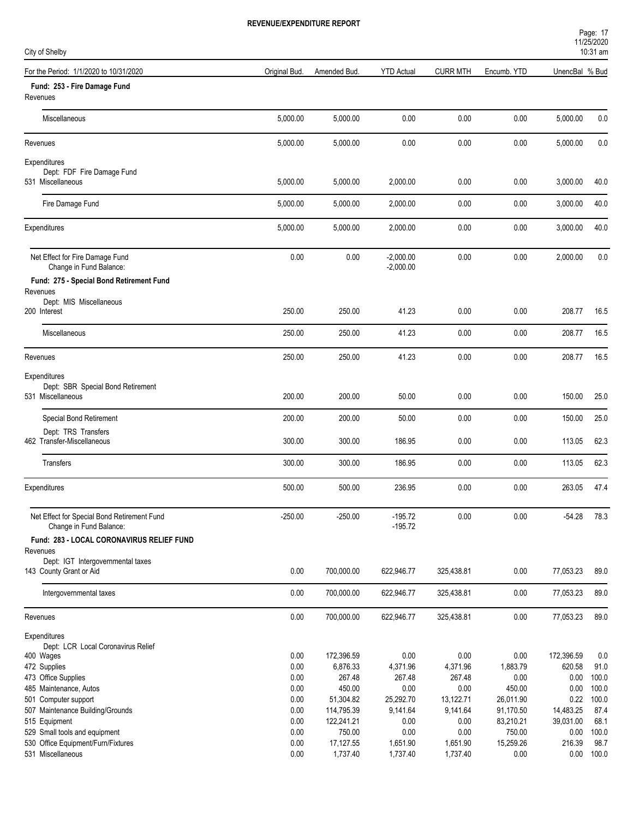| Page: 17           |  |  |
|--------------------|--|--|
| 11/25/2020         |  |  |
| $10.31 \text{ nm}$ |  |  |

| City of Shelby                                                         |               |              |                            |                 |             |                | 10:31 am     |
|------------------------------------------------------------------------|---------------|--------------|----------------------------|-----------------|-------------|----------------|--------------|
| For the Period: 1/1/2020 to 10/31/2020                                 | Original Bud. | Amended Bud. | <b>YTD Actual</b>          | <b>CURR MTH</b> | Encumb. YTD | UnencBal % Bud |              |
| Fund: 253 - Fire Damage Fund<br>Revenues                               |               |              |                            |                 |             |                |              |
| Miscellaneous                                                          | 5,000.00      | 5,000.00     | 0.00                       | 0.00            | 0.00        | 5,000.00       | 0.0          |
| Revenues                                                               | 5,000.00      | 5,000.00     | 0.00                       | 0.00            | 0.00        | 5,000.00       | 0.0          |
| Expenditures<br>Dept: FDF Fire Damage Fund<br>531 Miscellaneous        | 5,000.00      | 5,000.00     | 2,000.00                   | 0.00            | 0.00        | 3,000.00       | 40.0         |
| Fire Damage Fund                                                       | 5,000.00      | 5,000.00     | 2,000.00                   | 0.00            | 0.00        | 3,000.00       | 40.0         |
| Expenditures                                                           | 5,000.00      | 5,000.00     | 2,000.00                   | 0.00            | 0.00        | 3,000.00       | 40.0         |
| Net Effect for Fire Damage Fund<br>Change in Fund Balance:             | 0.00          | 0.00         | $-2,000.00$<br>$-2,000.00$ | 0.00            | 0.00        | 2,000.00       | 0.0          |
| Fund: 275 - Special Bond Retirement Fund                               |               |              |                            |                 |             |                |              |
| Revenues<br>Dept: MIS Miscellaneous                                    |               |              |                            |                 |             |                |              |
| 200 Interest                                                           | 250.00        | 250.00       | 41.23                      | 0.00            | 0.00        | 208.77         | 16.5         |
| Miscellaneous                                                          | 250.00        | 250.00       | 41.23                      | 0.00            | 0.00        | 208.77         | 16.5         |
| Revenues                                                               | 250.00        | 250.00       | 41.23                      | 0.00            | 0.00        | 208.77         | 16.5         |
| Expenditures                                                           |               |              |                            |                 |             |                |              |
| Dept: SBR Special Bond Retirement<br>531 Miscellaneous                 | 200.00        | 200.00       | 50.00                      | 0.00            | 0.00        | 150.00         | 25.0         |
| Special Bond Retirement                                                | 200.00        | 200.00       | 50.00                      | 0.00            | 0.00        | 150.00         | 25.0         |
| Dept: TRS Transfers                                                    |               |              |                            |                 |             |                |              |
| 462 Transfer-Miscellaneous                                             | 300.00        | 300.00       | 186.95                     | 0.00            | 0.00        | 113.05         | 62.3         |
| <b>Transfers</b>                                                       | 300.00        | 300.00       | 186.95                     | 0.00            | 0.00        | 113.05         | 62.3         |
| Expenditures                                                           | 500.00        | 500.00       | 236.95                     | 0.00            | 0.00        | 263.05         | 47.4         |
| Net Effect for Special Bond Retirement Fund<br>Change in Fund Balance: | $-250.00$     | $-250.00$    | $-195.72$<br>$-195.72$     | 0.00            | 0.00        | $-54.28$       | 78.3         |
| Fund: 283 - LOCAL CORONAVIRUS RELIEF FUND                              |               |              |                            |                 |             |                |              |
| Revenues<br>Dept: IGT Intergovernmental taxes                          |               |              |                            |                 |             |                |              |
| 143 County Grant or Aid                                                | 0.00          | 700,000.00   | 622,946.77                 | 325,438.81      | 0.00        | 77,053.23      | 89.0         |
| Intergovernmental taxes                                                | 0.00          | 700,000.00   | 622,946.77                 | 325,438.81      | 0.00        | 77,053.23      | 89.0         |
| Revenues                                                               | 0.00          | 700,000.00   | 622,946.77                 | 325,438.81      | 0.00        | 77,053.23      | 89.0         |
| Expenditures                                                           |               |              |                            |                 |             |                |              |
| Dept: LCR Local Coronavirus Relief<br>400 Wages                        | 0.00          | 172,396.59   | 0.00                       | 0.00            | 0.00        | 172,396.59     | 0.0          |
| 472 Supplies                                                           | 0.00          | 6,876.33     | 4,371.96                   | 4,371.96        | 1,883.79    | 620.58         | 91.0         |
| 473 Office Supplies                                                    | 0.00          | 267.48       | 267.48                     | 267.48          | 0.00        | 0.00           | 100.0        |
| 485 Maintenance, Autos                                                 | 0.00          | 450.00       | 0.00                       | 0.00            | 450.00      | 0.00           | 100.0        |
| 501 Computer support                                                   | 0.00          | 51,304.82    | 25,292.70                  | 13,122.71       | 26,011.90   | 0.22           | 100.0        |
| 507 Maintenance Building/Grounds                                       | 0.00          | 114,795.39   | 9,141.64                   | 9,141.64        | 91,170.50   | 14,483.25      | 87.4         |
| 515 Equipment                                                          | 0.00          | 122,241.21   | 0.00                       | 0.00            | 83,210.21   | 39,031.00      | 68.1         |
| 529 Small tools and equipment                                          | 0.00          | 750.00       | $0.00\,$                   | 0.00            | 750.00      | 0.00           | 100.0        |
| 530 Office Equipment/Furn/Fixtures                                     | 0.00          | 17,127.55    | 1,651.90                   | 1,651.90        | 15,259.26   | 216.39         | 98.7         |
| 531 Miscellaneous                                                      | 0.00          | 1,737.40     | 1,737.40                   | 1,737.40        | 0.00        |                | $0.00$ 100.0 |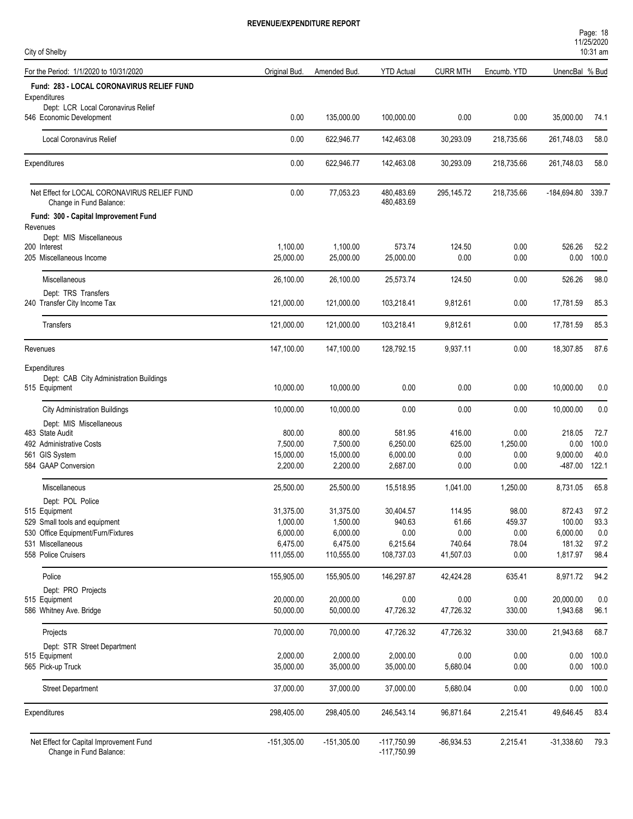| Page: 18   |  |
|------------|--|
| 11/25/2020 |  |
| 10.21 cm   |  |

| City of Shelby                                                          |                       |                       |                                |                 |              |                   | 1112312020<br>10:31 am |
|-------------------------------------------------------------------------|-----------------------|-----------------------|--------------------------------|-----------------|--------------|-------------------|------------------------|
| For the Period: 1/1/2020 to 10/31/2020                                  | Original Bud.         | Amended Bud.          | <b>YTD Actual</b>              | <b>CURR MTH</b> | Encumb. YTD  | UnencBal % Bud    |                        |
| Fund: 283 - LOCAL CORONAVIRUS RELIEF FUND                               |                       |                       |                                |                 |              |                   |                        |
| Expenditures                                                            |                       |                       |                                |                 |              |                   |                        |
| Dept: LCR Local Coronavirus Relief<br>546 Economic Development          | 0.00                  | 135,000.00            | 100,000.00                     | 0.00            | 0.00         | 35,000.00         | 74.1                   |
| <b>Local Coronavirus Relief</b>                                         | 0.00                  | 622,946.77            | 142,463.08                     | 30,293.09       | 218,735.66   | 261,748.03        | 58.0                   |
| Expenditures                                                            | 0.00                  | 622,946.77            | 142,463.08                     | 30,293.09       | 218,735.66   | 261,748.03        | 58.0                   |
| Net Effect for LOCAL CORONAVIRUS RELIEF FUND<br>Change in Fund Balance: | 0.00                  | 77,053.23             | 480,483.69<br>480,483.69       | 295,145.72      | 218,735.66   | -184,694.80 339.7 |                        |
| Fund: 300 - Capital Improvement Fund<br>Revenues                        |                       |                       |                                |                 |              |                   |                        |
| Dept: MIS Miscellaneous                                                 |                       |                       |                                |                 |              |                   |                        |
| 200 Interest<br>205 Miscellaneous Income                                | 1,100.00<br>25,000.00 | 1,100.00<br>25,000.00 | 573.74<br>25,000.00            | 124.50<br>0.00  | 0.00<br>0.00 | 526.26<br>0.00    | 52.2<br>100.0          |
| Miscellaneous                                                           | 26,100.00             | 26,100.00             | 25,573.74                      | 124.50          | 0.00         | 526.26            | 98.0                   |
| Dept: TRS Transfers<br>240 Transfer City Income Tax                     | 121,000.00            | 121,000.00            | 103,218.41                     | 9,812.61        | 0.00         | 17,781.59         | 85.3                   |
| Transfers                                                               | 121,000.00            | 121,000.00            | 103,218.41                     | 9,812.61        | 0.00         | 17,781.59         | 85.3                   |
| Revenues                                                                | 147,100.00            | 147,100.00            | 128,792.15                     | 9,937.11        | 0.00         | 18,307.85         | 87.6                   |
| Expenditures                                                            |                       |                       |                                |                 |              |                   |                        |
| Dept: CAB City Administration Buildings<br>515 Equipment                | 10,000.00             | 10,000.00             | 0.00                           | 0.00            | 0.00         | 10,000.00         | 0.0                    |
| <b>City Administration Buildings</b>                                    | 10,000.00             | 10,000.00             | 0.00                           | 0.00            | 0.00         | 10,000.00         | 0.0                    |
| Dept: MIS Miscellaneous<br>483 State Audit                              | 800.00                | 800.00                | 581.95                         | 416.00          | 0.00         | 218.05            | 72.7                   |
| 492 Administrative Costs                                                | 7,500.00              | 7,500.00              | 6,250.00                       | 625.00          | 1,250.00     | 0.00              | 100.0                  |
| 561 GIS System                                                          | 15,000.00             | 15,000.00             | 6,000.00                       | 0.00            | 0.00         | 9,000.00          | 40.0                   |
| 584 GAAP Conversion                                                     | 2,200.00              | 2,200.00              | 2,687.00                       | 0.00            | 0.00         | $-487.00$         | 122.1                  |
| Miscellaneous                                                           | 25,500.00             | 25,500.00             | 15,518.95                      | 1,041.00        | 1,250.00     | 8,731.05          | 65.8                   |
| Dept: POL Police<br>515 Equipment                                       | 31,375.00             | 31,375.00             | 30,404.57                      | 114.95          | 98.00        | 872.43            | 97.2                   |
| 529 Small tools and equipment                                           | 1,000.00              | 1,500.00              | 940.63                         | 61.66           | 459.37       | 100.00            | 93.3                   |
| 530 Office Equipment/Furn/Fixtures                                      | 6,000.00              | 6,000.00              | 0.00                           | 0.00            | 0.00         | 6,000.00          | 0.0                    |
| 531 Miscellaneous                                                       | 6,475.00              | 6,475.00              | 6,215.64                       | 740.64          | 78.04        | 181.32            | 97.2                   |
| 558 Police Cruisers                                                     | 111,055.00            | 110,555.00            | 108,737.03                     | 41,507.03       | 0.00         | 1,817.97          | 98.4                   |
| Police<br>Dept: PRO Projects                                            | 155,905.00            | 155,905.00            | 146,297.87                     | 42,424.28       | 635.41       | 8,971.72          | 94.2                   |
| 515 Equipment                                                           | 20,000.00             | 20,000.00             | 0.00                           | 0.00            | 0.00         | 20,000.00         | 0.0                    |
| 586 Whitney Ave. Bridge                                                 | 50,000.00             | 50,000.00             | 47,726.32                      | 47,726.32       | 330.00       | 1,943.68          | 96.1                   |
| Projects                                                                | 70,000.00             | 70,000.00             | 47,726.32                      | 47,726.32       | 330.00       | 21,943.68         | 68.7                   |
| Dept: STR Street Department<br>515 Equipment                            | 2,000.00              | 2,000.00              | 2,000.00                       | 0.00            | 0.00         | 0.00              | 100.0                  |
| 565 Pick-up Truck                                                       | 35,000.00             | 35,000.00             | 35,000.00                      | 5,680.04        | 0.00         | 0.00              | 100.0                  |
| <b>Street Department</b>                                                | 37,000.00             | 37,000.00             | 37,000.00                      | 5,680.04        | 0.00         | 0.00              | 100.0                  |
| Expenditures                                                            | 298,405.00            | 298,405.00            | 246,543.14                     | 96,871.64       | 2,215.41     | 49,646.45         | 83.4                   |
| Net Effect for Capital Improvement Fund<br>Change in Fund Balance:      | $-151,305.00$         | $-151,305.00$         | $-117,750.99$<br>$-117,750.99$ | $-86,934.53$    | 2,215.41     | $-31,338.60$      | 79.3                   |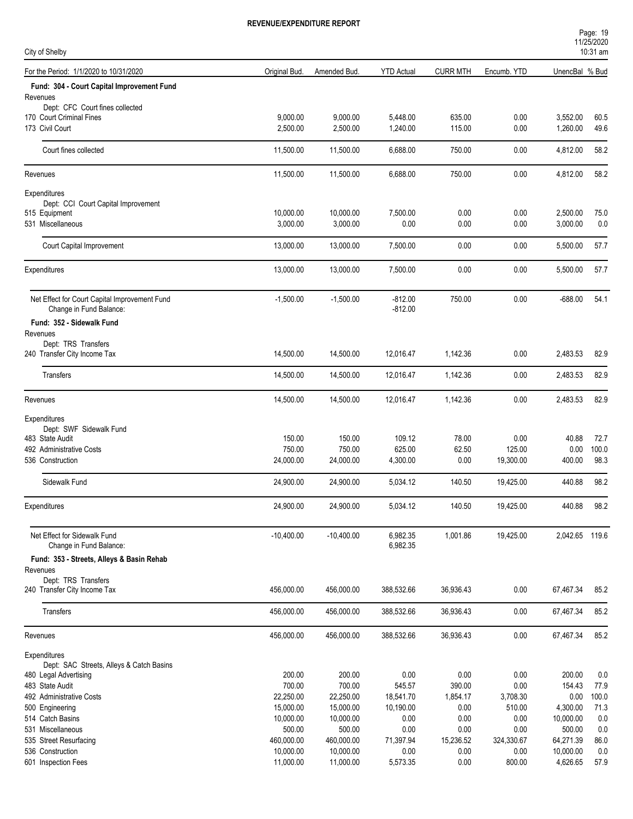| Page: 19           |  |
|--------------------|--|
| 11/25/2020         |  |
| $10.31 \text{ nm}$ |  |

| City of Shelby                                              |               |              |                      |                 |             |                | 10:31 am |
|-------------------------------------------------------------|---------------|--------------|----------------------|-----------------|-------------|----------------|----------|
| For the Period: 1/1/2020 to 10/31/2020                      | Original Bud. | Amended Bud. | <b>YTD Actual</b>    | <b>CURR MTH</b> | Encumb. YTD | UnencBal % Bud |          |
| Fund: 304 - Court Capital Improvement Fund                  |               |              |                      |                 |             |                |          |
| Revenues                                                    |               |              |                      |                 |             |                |          |
| Dept: CFC Court fines collected<br>170 Court Criminal Fines | 9,000.00      | 9,000.00     | 5,448.00             | 635.00          | 0.00        | 3,552.00       | 60.5     |
| 173 Civil Court                                             | 2,500.00      | 2,500.00     | 1,240.00             | 115.00          | 0.00        | 1,260.00       | 49.6     |
|                                                             |               |              |                      |                 |             |                |          |
| Court fines collected                                       | 11,500.00     | 11,500.00    | 6,688.00             | 750.00          | 0.00        | 4,812.00       | 58.2     |
| Revenues                                                    | 11,500.00     | 11,500.00    | 6,688.00             | 750.00          | 0.00        | 4,812.00       | 58.2     |
| Expenditures                                                |               |              |                      |                 |             |                |          |
| Dept: CCI Court Capital Improvement                         |               |              |                      |                 |             |                |          |
| 515 Equipment                                               | 10,000.00     | 10,000.00    | 7,500.00             | 0.00            | 0.00        | 2,500.00       | 75.0     |
| 531 Miscellaneous                                           | 3,000.00      | 3,000.00     | 0.00                 | 0.00            | 0.00        | 3,000.00       | 0.0      |
| Court Capital Improvement                                   | 13,000.00     | 13,000.00    | 7,500.00             | 0.00            | 0.00        | 5,500.00       | 57.7     |
| Expenditures                                                | 13,000.00     | 13,000.00    | 7,500.00             | 0.00            | 0.00        | 5,500.00       | 57.7     |
| Net Effect for Court Capital Improvement Fund               | $-1,500.00$   | $-1,500.00$  | $-812.00$            | 750.00          | 0.00        | $-688.00$      | 54.1     |
| Change in Fund Balance:                                     |               |              | $-812.00$            |                 |             |                |          |
| Fund: 352 - Sidewalk Fund                                   |               |              |                      |                 |             |                |          |
| Revenues                                                    |               |              |                      |                 |             |                |          |
| Dept: TRS Transfers<br>240 Transfer City Income Tax         | 14,500.00     | 14,500.00    | 12,016.47            | 1,142.36        | 0.00        | 2,483.53       | 82.9     |
|                                                             |               |              |                      |                 |             |                |          |
| Transfers                                                   | 14,500.00     | 14,500.00    | 12,016.47            | 1,142.36        | 0.00        | 2,483.53       | 82.9     |
| Revenues                                                    | 14,500.00     | 14,500.00    | 12,016.47            | 1,142.36        | 0.00        | 2,483.53       | 82.9     |
| Expenditures                                                |               |              |                      |                 |             |                |          |
| Dept: SWF Sidewalk Fund                                     |               |              |                      |                 |             |                |          |
| 483 State Audit                                             | 150.00        | 150.00       | 109.12               | 78.00           | 0.00        | 40.88          | 72.7     |
| 492 Administrative Costs                                    | 750.00        | 750.00       | 625.00               | 62.50           | 125.00      | 0.00           | 100.0    |
| 536 Construction                                            | 24,000.00     | 24,000.00    | 4,300.00             | 0.00            | 19,300.00   | 400.00         | 98.3     |
| Sidewalk Fund                                               | 24,900.00     | 24,900.00    | 5,034.12             | 140.50          | 19,425.00   | 440.88         | 98.2     |
| Expenditures                                                | 24,900.00     | 24,900.00    | 5,034.12             | 140.50          | 19,425.00   | 440.88         | 98.2     |
|                                                             |               |              |                      |                 |             |                |          |
| Net Effect for Sidewalk Fund<br>Change in Fund Balance:     | $-10,400.00$  | $-10,400.00$ | 6,982.35<br>6,982.35 | 1,001.86        | 19,425.00   | 2,042.65 119.6 |          |
| Fund: 353 - Streets, Alleys & Basin Rehab                   |               |              |                      |                 |             |                |          |
| Revenues                                                    |               |              |                      |                 |             |                |          |
| Dept: TRS Transfers                                         |               |              |                      |                 |             |                |          |
| 240 Transfer City Income Tax                                | 456,000.00    | 456,000.00   | 388,532.66           | 36,936.43       | 0.00        | 67,467.34      | 85.2     |
| Transfers                                                   | 456,000.00    | 456,000.00   | 388,532.66           | 36,936.43       | 0.00        | 67,467.34      | 85.2     |
| Revenues                                                    | 456,000.00    | 456,000.00   | 388,532.66           | 36,936.43       | 0.00        | 67,467.34      | 85.2     |
| Expenditures                                                |               |              |                      |                 |             |                |          |
| Dept: SAC Streets, Alleys & Catch Basins                    |               |              |                      |                 |             |                |          |
| 480 Legal Advertising                                       | 200.00        | 200.00       | 0.00                 | 0.00            | 0.00        | 200.00         | 0.0      |
| 483 State Audit                                             | 700.00        | 700.00       | 545.57               | 390.00          | 0.00        | 154.43         | 77.9     |
| 492 Administrative Costs                                    | 22,250.00     | 22,250.00    | 18,541.70            | 1,854.17        | 3,708.30    | 0.00           | 100.0    |
| 500 Engineering                                             | 15,000.00     | 15,000.00    | 10,190.00            | 0.00            | 510.00      | 4,300.00       | 71.3     |
| 514 Catch Basins                                            | 10,000.00     | 10,000.00    | 0.00                 | 0.00            | 0.00        | 10,000.00      | 0.0      |
| 531 Miscellaneous                                           | 500.00        | 500.00       | 0.00                 | 0.00            | 0.00        | 500.00         | 0.0      |
| 535 Street Resurfacing                                      | 460,000.00    | 460,000.00   | 71,397.94            | 15,236.52       | 324,330.67  | 64,271.39      | 86.0     |
| 536 Construction                                            | 10,000.00     | 10,000.00    | 0.00                 | 0.00            | 0.00        | 10,000.00      | 0.0      |
| 601 Inspection Fees                                         | 11,000.00     | 11,000.00    | 5,573.35             | 0.00            | 800.00      | 4,626.65       | 57.9     |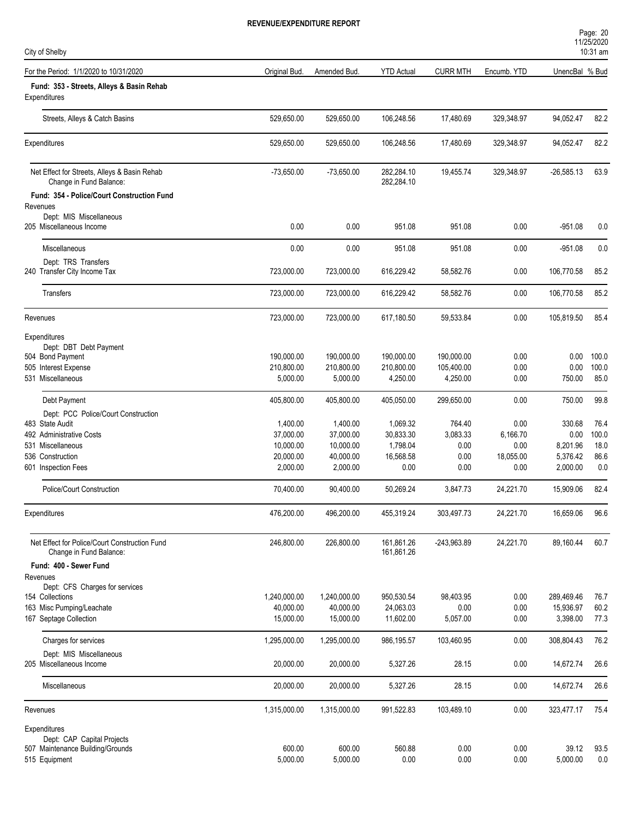| Page: 20   |  |
|------------|--|
| 11/25/2020 |  |
| 10.21 cm   |  |

| City of Shelby                                                           |               |              |                          |                 |             |                | 10:31 am |
|--------------------------------------------------------------------------|---------------|--------------|--------------------------|-----------------|-------------|----------------|----------|
| For the Period: 1/1/2020 to 10/31/2020                                   | Original Bud. | Amended Bud  | <b>YTD Actual</b>        | <b>CURR MTH</b> | Encumb. YTD | UnencBal % Bud |          |
| Fund: 353 - Streets, Alleys & Basin Rehab<br>Expenditures                |               |              |                          |                 |             |                |          |
| Streets, Alleys & Catch Basins                                           | 529,650.00    | 529,650.00   | 106,248.56               | 17,480.69       | 329,348.97  | 94,052.47      | 82.2     |
| Expenditures                                                             | 529,650.00    | 529,650.00   | 106,248.56               | 17,480.69       | 329,348.97  | 94,052.47      | 82.2     |
| Net Effect for Streets, Alleys & Basin Rehab<br>Change in Fund Balance:  | $-73,650.00$  | $-73,650.00$ | 282,284.10<br>282,284.10 | 19,455.74       | 329,348.97  | $-26,585.13$   | 63.9     |
| Fund: 354 - Police/Court Construction Fund<br>Revenues                   |               |              |                          |                 |             |                |          |
| Dept: MIS Miscellaneous<br>205 Miscellaneous Income                      | 0.00          | 0.00         | 951.08                   | 951.08          | 0.00        | $-951.08$      | 0.0      |
| <b>Miscellaneous</b>                                                     | 0.00          | 0.00         | 951.08                   | 951.08          | 0.00        | $-951.08$      | 0.0      |
| Dept: TRS Transfers<br>240 Transfer City Income Tax                      | 723,000.00    | 723,000.00   | 616,229.42               | 58,582.76       | 0.00        | 106,770.58     | 85.2     |
| Transfers                                                                | 723,000.00    | 723,000.00   | 616,229.42               | 58,582.76       | 0.00        | 106,770.58     | 85.2     |
| Revenues                                                                 | 723,000.00    | 723,000.00   | 617,180.50               | 59,533.84       | 0.00        | 105,819.50     | 85.4     |
| Expenditures<br>Dept: DBT Debt Payment<br>504 Bond Payment               | 190,000.00    | 190,000.00   | 190,000.00               | 190,000.00      | 0.00        | 0.00           | 100.0    |
| 505 Interest Expense                                                     | 210,800.00    | 210,800.00   | 210,800.00               | 105,400.00      | 0.00        | 0.00           | 100.0    |
| 531 Miscellaneous                                                        | 5,000.00      | 5,000.00     | 4,250.00                 | 4,250.00        | 0.00        | 750.00         | 85.0     |
| Debt Payment<br>Dept: PCC Police/Court Construction                      | 405,800.00    | 405,800.00   | 405,050.00               | 299,650.00      | 0.00        | 750.00         | 99.8     |
| 483 State Audit                                                          | 1,400.00      | 1,400.00     | 1,069.32                 | 764.40          | 0.00        | 330.68         | 76.4     |
| 492 Administrative Costs                                                 | 37,000.00     | 37,000.00    | 30,833.30                | 3,083.33        | 6,166.70    | 0.00           | 100.0    |
| 531 Miscellaneous                                                        | 10,000.00     | 10,000.00    | 1,798.04                 | 0.00            | 0.00        | 8,201.96       | 18.0     |
| 536 Construction                                                         | 20,000.00     | 40,000.00    | 16,568.58                | 0.00            | 18,055.00   | 5,376.42       | 86.6     |
| 601 Inspection Fees                                                      | 2,000.00      | 2,000.00     | 0.00                     | 0.00            | 0.00        | 2,000.00       | 0.0      |
| Police/Court Construction                                                | 70,400.00     | 90,400.00    | 50,269.24                | 3,847.73        | 24,221.70   | 15,909.06      | 82.4     |
| Expenditures                                                             | 476,200.00    | 496,200.00   | 455,319.24               | 303,497.73      | 24,221.70   | 16,659.06      | 96.6     |
| Net Effect for Police/Court Construction Fund<br>Change in Fund Balance: | 246,800.00    | 226,800.00   | 161,861.26<br>161,861.26 | $-243,963.89$   | 24,221.70   | 89,160.44      | 60.7     |
| Fund: 400 - Sewer Fund<br>Revenues<br>Dept: CFS Charges for services     |               |              |                          |                 |             |                |          |
| 154 Collections                                                          | 1,240,000.00  | 1,240,000.00 | 950,530.54               | 98,403.95       | 0.00        | 289,469.46     | 76.7     |
| 163 Misc Pumping/Leachate                                                | 40,000.00     | 40,000.00    | 24,063.03                | 0.00            | 0.00        | 15,936.97      | 60.2     |
| 167 Septage Collection                                                   | 15,000.00     | 15,000.00    | 11,602.00                | 5,057.00        | 0.00        | 3,398.00       | 77.3     |
| Charges for services                                                     | 1,295,000.00  | 1,295,000.00 | 986,195.57               | 103,460.95      | 0.00        | 308,804.43     | 76.2     |
| Dept: MIS Miscellaneous<br>205 Miscellaneous Income                      | 20,000.00     | 20,000.00    | 5,327.26                 | 28.15           | 0.00        | 14,672.74      | 26.6     |
| Miscellaneous                                                            | 20,000.00     | 20,000.00    | 5,327.26                 | 28.15           | 0.00        | 14,672.74      | 26.6     |
| Revenues                                                                 | 1,315,000.00  | 1,315,000.00 | 991,522.83               | 103,489.10      | 0.00        | 323,477.17     | 75.4     |
| Expenditures                                                             |               |              |                          |                 |             |                |          |
| Dept: CAP Capital Projects<br>507 Maintenance Building/Grounds           | 600.00        | 600.00       | 560.88                   | 0.00            | 0.00        | 39.12          | 93.5     |
| 515 Equipment                                                            | 5,000.00      | 5,000.00     | 0.00                     | 0.00            | 0.00        | 5,000.00       | $0.0\,$  |
|                                                                          |               |              |                          |                 |             |                |          |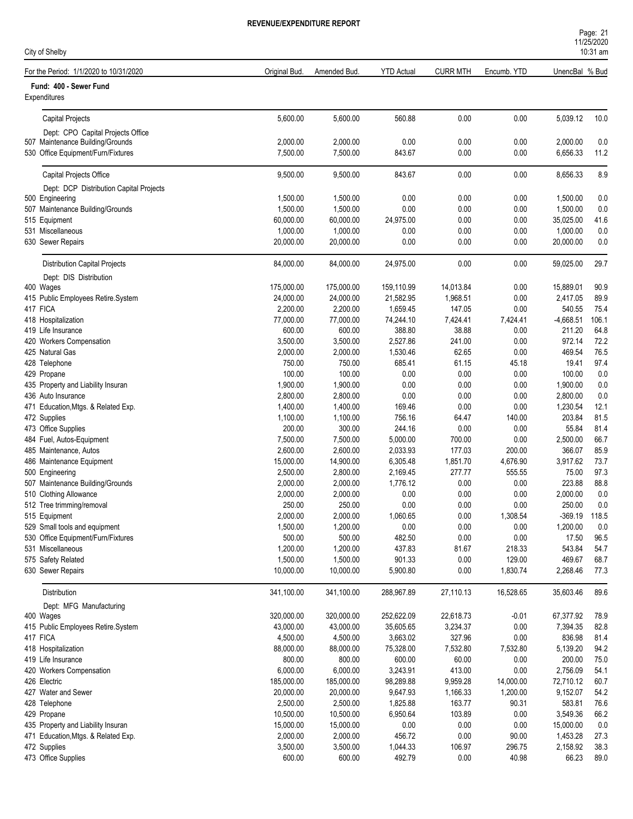| Page: 21                          |  |  |
|-----------------------------------|--|--|
| 11/25/2020                        |  |  |
| $\lambda$ $\sim$ $\sim$ $\lambda$ |  |  |

| City of Shelby                                      |                       |                       |                       |                    |                  |                       | 10:31 am     |
|-----------------------------------------------------|-----------------------|-----------------------|-----------------------|--------------------|------------------|-----------------------|--------------|
| For the Period: 1/1/2020 to 10/31/2020              | Original Bud.         | Amended Bud.          | <b>YTD Actual</b>     | <b>CURR MTH</b>    | Encumb. YTD      | UnencBal % Bud        |              |
| Fund: 400 - Sewer Fund<br>Expenditures              |                       |                       |                       |                    |                  |                       |              |
| <b>Capital Projects</b>                             | 5,600.00              | 5,600.00              | 560.88                | 0.00               | 0.00             | 5,039.12              | 10.0         |
| Dept: CPO Capital Projects Office                   |                       |                       |                       |                    |                  |                       |              |
| 507 Maintenance Building/Grounds                    | 2,000.00              | 2,000.00              | 0.00                  | 0.00               | 0.00             | 2,000.00              | 0.0          |
| 530 Office Equipment/Furn/Fixtures                  | 7,500.00              | 7,500.00              | 843.67                | 0.00               | 0.00             | 6,656.33              | 11.2         |
| Capital Projects Office                             | 9,500.00              | 9,500.00              | 843.67                | 0.00               | 0.00             | 8,656.33              | 8.9          |
| Dept: DCP Distribution Capital Projects             |                       |                       |                       |                    |                  |                       |              |
| 500 Engineering                                     | 1,500.00              | 1,500.00              | 0.00                  | 0.00               | 0.00             | 1,500.00              | 0.0          |
| 507 Maintenance Building/Grounds                    | 1,500.00              | 1,500.00              | 0.00                  | 0.00               | 0.00             | 1,500.00              | 0.0          |
| 515 Equipment                                       | 60,000.00             | 60,000.00             | 24,975.00             | 0.00               | 0.00             | 35,025.00             | 41.6         |
| 531 Miscellaneous                                   | 1,000.00              | 1,000.00              | 0.00                  | 0.00               | 0.00             | 1,000.00              | 0.0          |
| 630 Sewer Repairs                                   | 20,000.00             | 20,000.00             | 0.00                  | 0.00               | 0.00             | 20,000.00             | 0.0          |
| Distribution Capital Projects                       | 84,000.00             | 84,000.00             | 24,975.00             | 0.00               | 0.00             | 59,025.00             | 29.7         |
| Dept: DIS Distribution                              |                       |                       |                       |                    |                  |                       |              |
| 400 Wages                                           | 175,000.00            | 175,000.00            | 159,110.99            | 14,013.84          | 0.00             | 15,889.01             | 90.9         |
| 415 Public Employees Retire.System                  | 24,000.00<br>2,200.00 | 24,000.00             | 21,582.95             | 1,968.51<br>147.05 | 0.00             | 2,417.05              | 89.9<br>75.4 |
| 417 FICA<br>418 Hospitalization                     | 77,000.00             | 2,200.00<br>77,000.00 | 1,659.45<br>74,244.10 | 7,424.41           | 0.00<br>7,424.41 | 540.55<br>$-4,668.51$ | 106.1        |
| 419 Life Insurance                                  | 600.00                | 600.00                | 388.80                | 38.88              | 0.00             | 211.20                | 64.8         |
| 420 Workers Compensation                            | 3,500.00              | 3,500.00              | 2,527.86              | 241.00             | 0.00             | 972.14                | 72.2         |
| 425 Natural Gas                                     | 2,000.00              | 2,000.00              | 1,530.46              | 62.65              | 0.00             | 469.54                | 76.5         |
| 428 Telephone                                       | 750.00                | 750.00                | 685.41                | 61.15              | 45.18            | 19.41                 | 97.4         |
| 429 Propane                                         | 100.00                | 100.00                | 0.00                  | 0.00               | 0.00             | 100.00                | 0.0          |
| 435 Property and Liability Insuran                  | 1,900.00              | 1,900.00              | 0.00                  | 0.00               | 0.00             | 1,900.00              | 0.0          |
| 436 Auto Insurance                                  | 2,800.00              | 2,800.00              | 0.00                  | 0.00               | 0.00             | 2,800.00              | 0.0          |
| 471 Education, Mtgs. & Related Exp.                 | 1,400.00              | 1,400.00              | 169.46                | 0.00               | 0.00             | 1,230.54              | 12.1         |
| 472 Supplies                                        | 1,100.00              | 1,100.00              | 756.16                | 64.47              | 140.00           | 203.84                | 81.5         |
| 473 Office Supplies                                 | 200.00                | 300.00                | 244.16                | 0.00               | 0.00<br>0.00     | 55.84                 | 81.4<br>66.7 |
| 484 Fuel, Autos-Equipment<br>485 Maintenance, Autos | 7,500.00<br>2,600.00  | 7,500.00<br>2,600.00  | 5,000.00<br>2,033.93  | 700.00<br>177.03   | 200.00           | 2,500.00<br>366.07    | 85.9         |
| 486 Maintenance Equipment                           | 15,000.00             | 14,900.00             | 6,305.48              | 1,851.70           | 4,676.90         | 3,917.62              | 73.7         |
| 500 Engineering                                     | 2,500.00              | 2,800.00              | 2,169.45              | 277.77             | 555.55           | 75.00                 | 97.3         |
| 507 Maintenance Building/Grounds                    | 2,000.00              | 2,000.00              | 1,776.12              | 0.00               | 0.00             | 223.88                | 88.8         |
| 510 Clothing Allowance                              | 2,000.00              | 2,000.00              | 0.00                  | 0.00               | 0.00             | 2,000.00              | 0.0          |
| 512 Tree trimming/removal                           | 250.00                | 250.00                | 0.00                  | 0.00               | 0.00             | 250.00                | 0.0          |
| 515 Equipment                                       | 2,000.00              | 2,000.00              | 1,060.65              | $0.00\,$           | 1,308.54         | $-369.19$             | 118.5        |
| 529 Small tools and equipment                       | 1,500.00              | 1,200.00              | 0.00                  | 0.00               | 0.00             | 1,200.00              | 0.0          |
| 530 Office Equipment/Furn/Fixtures                  | 500.00                | 500.00                | 482.50                | 0.00               | 0.00             | 17.50                 | 96.5         |
| 531 Miscellaneous<br>575 Safety Related             | 1,200.00<br>1,500.00  | 1,200.00<br>1,500.00  | 437.83<br>901.33      | 81.67<br>0.00      | 218.33<br>129.00 | 543.84<br>469.67      | 54.7<br>68.7 |
| 630 Sewer Repairs                                   | 10,000.00             | 10,000.00             | 5,900.80              | 0.00               | 1,830.74         | 2,268.46              | 77.3         |
| Distribution                                        | 341,100.00            | 341,100.00            | 288,967.89            | 27,110.13          | 16,528.65        | 35,603.46             | 89.6         |
| Dept: MFG Manufacturing                             |                       |                       |                       |                    |                  |                       |              |
| 400 Wages                                           | 320,000.00            | 320,000.00            | 252,622.09            | 22,618.73          | $-0.01$          | 67,377.92             | 78.9         |
| 415 Public Employees Retire.System                  | 43,000.00             | 43,000.00             | 35,605.65             | 3,234.37           | 0.00             | 7,394.35              | 82.8         |
| 417 FICA                                            | 4,500.00              | 4,500.00              | 3,663.02              | 327.96             | 0.00             | 836.98                | 81.4         |
| 418 Hospitalization                                 | 88,000.00             | 88,000.00             | 75,328.00             | 7,532.80           | 7,532.80         | 5,139.20              | 94.2         |
| 419 Life Insurance<br>420 Workers Compensation      | 800.00<br>6,000.00    | 800.00<br>6,000.00    | 600.00<br>3,243.91    | 60.00<br>413.00    | 0.00<br>0.00     | 200.00<br>2,756.09    | 75.0<br>54.1 |
| 426 Electric                                        | 185,000.00            | 185,000.00            | 98,289.88             | 9,959.28           | 14,000.00        | 72,710.12             | 60.7         |
| 427 Water and Sewer                                 | 20,000.00             | 20,000.00             | 9,647.93              | 1,166.33           | 1,200.00         | 9,152.07              | 54.2         |
| 428 Telephone                                       | 2,500.00              | 2,500.00              | 1,825.88              | 163.77             | 90.31            | 583.81                | 76.6         |
| 429 Propane                                         | 10,500.00             | 10,500.00             | 6,950.64              | 103.89             | 0.00             | 3,549.36              | 66.2         |
| 435 Property and Liability Insuran                  | 15,000.00             | 15,000.00             | 0.00                  | 0.00               | $0.00\,$         | 15,000.00             | 0.0          |
| 471 Education, Mtgs. & Related Exp.                 | 2,000.00              | 2,000.00              | 456.72                | 0.00               | 90.00            | 1,453.28              | 27.3         |
| 472 Supplies                                        | 3,500.00              | 3,500.00              | 1,044.33              | 106.97             | 296.75           | 2,158.92              | 38.3         |
| 473 Office Supplies                                 | 600.00                | 600.00                | 492.79                | 0.00               | 40.98            | 66.23                 | 89.0         |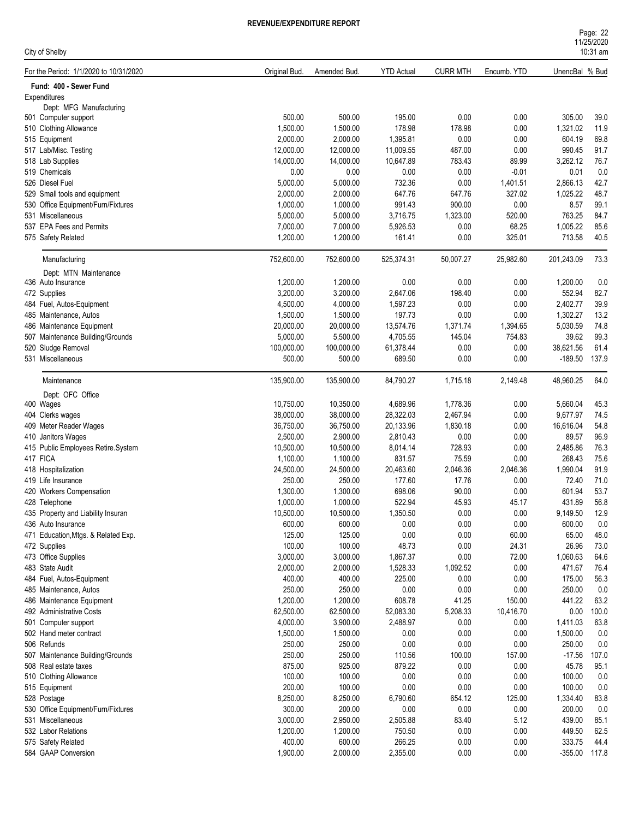| Page: 22   |  |
|------------|--|
| 11/25/2020 |  |
| $10:31$ am |  |

| City of Shelby                         |               |              |                   |                 |             |                | 10:31 am |
|----------------------------------------|---------------|--------------|-------------------|-----------------|-------------|----------------|----------|
| For the Period: 1/1/2020 to 10/31/2020 | Original Bud. | Amended Bud. | <b>YTD Actual</b> | <b>CURR MTH</b> | Encumb. YTD | UnencBal % Bud |          |
| Fund: 400 - Sewer Fund                 |               |              |                   |                 |             |                |          |
| Expenditures                           |               |              |                   |                 |             |                |          |
| Dept: MFG Manufacturing                |               |              |                   |                 |             |                |          |
| 501 Computer support                   | 500.00        | 500.00       | 195.00            | 0.00            | 0.00        | 305.00         | 39.0     |
| 510 Clothing Allowance                 | 1,500.00      | 1,500.00     | 178.98            | 178.98          | 0.00        | 1,321.02       | 11.9     |
| 515 Equipment                          | 2,000.00      | 2,000.00     | 1,395.81          | 0.00            | 0.00        | 604.19         | 69.8     |
| 517 Lab/Misc. Testing                  | 12,000.00     | 12,000.00    | 11,009.55         | 487.00          | 0.00        | 990.45         | 91.7     |
| 518 Lab Supplies                       | 14,000.00     | 14,000.00    | 10,647.89         | 783.43          | 89.99       | 3,262.12       | 76.7     |
| 519 Chemicals                          | 0.00          | 0.00         | 0.00              | 0.00            | $-0.01$     | 0.01           | 0.0      |
| 526 Diesel Fuel                        | 5,000.00      | 5,000.00     | 732.36            | 0.00            | 1,401.51    | 2,866.13       | 42.7     |
| 529 Small tools and equipment          | 2,000.00      | 2,000.00     | 647.76            | 647.76          | 327.02      | 1,025.22       | 48.7     |
| 530 Office Equipment/Furn/Fixtures     | 1,000.00      | 1,000.00     | 991.43            | 900.00          | 0.00        | 8.57           | 99.1     |
| 531 Miscellaneous                      | 5,000.00      | 5,000.00     | 3,716.75          | 1,323.00        | 520.00      | 763.25         | 84.7     |
| 537 EPA Fees and Permits               | 7,000.00      | 7,000.00     | 5,926.53          | 0.00            | 68.25       | 1,005.22       | 85.6     |
| 575 Safety Related                     | 1,200.00      | 1,200.00     | 161.41            | 0.00            | 325.01      | 713.58         | 40.5     |
| Manufacturing                          | 752,600.00    | 752,600.00   | 525,374.31        | 50,007.27       | 25,982.60   | 201,243.09     | 73.3     |
| Dept: MTN Maintenance                  |               |              |                   |                 |             |                |          |
| 436 Auto Insurance                     | 1,200.00      | 1,200.00     | 0.00              | 0.00            | 0.00        | 1,200.00       | 0.0      |
| 472 Supplies                           | 3,200.00      | 3,200.00     | 2,647.06          | 198.40          | 0.00        | 552.94         | 82.7     |
| 484 Fuel, Autos-Equipment              | 4,500.00      | 4,000.00     | 1,597.23          | 0.00            | 0.00        | 2,402.77       | 39.9     |
| 485 Maintenance, Autos                 | 1,500.00      | 1,500.00     | 197.73            | 0.00            | 0.00        | 1,302.27       | 13.2     |
| 486 Maintenance Equipment              | 20,000.00     | 20,000.00    | 13,574.76         | 1,371.74        | 1,394.65    | 5,030.59       | 74.8     |
| 507 Maintenance Building/Grounds       | 5,000.00      | 5,500.00     | 4,705.55          | 145.04          | 754.83      | 39.62          | 99.3     |
| 520 Sludge Removal                     | 100,000.00    | 100,000.00   | 61,378.44         | 0.00            | 0.00        | 38,621.56      | 61.4     |
| 531 Miscellaneous                      | 500.00        | 500.00       | 689.50            | 0.00            | 0.00        | $-189.50$      | 137.9    |
| Maintenance                            | 135,900.00    | 135,900.00   | 84,790.27         | 1,715.18        | 2,149.48    | 48,960.25      | 64.0     |
|                                        |               |              |                   |                 |             |                |          |
| Dept: OFC Office                       | 10,750.00     | 10,350.00    |                   | 1,778.36        | 0.00        | 5,660.04       | 45.3     |
| 400 Wages                              |               |              | 4,689.96          |                 |             | 9,677.97       |          |
| 404 Clerks wages                       | 38,000.00     | 38,000.00    | 28,322.03         | 2,467.94        | 0.00        |                | 74.5     |
| 409 Meter Reader Wages                 | 36,750.00     | 36,750.00    | 20,133.96         | 1,830.18        | 0.00        | 16,616.04      | 54.8     |
| 410 Janitors Wages                     | 2,500.00      | 2,900.00     | 2,810.43          | 0.00            | 0.00        | 89.57          | 96.9     |
| 415 Public Employees Retire.System     | 10,500.00     | 10,500.00    | 8,014.14          | 728.93          | 0.00        | 2,485.86       | 76.3     |
| 417 FICA                               | 1,100.00      | 1,100.00     | 831.57            | 75.59           | 0.00        | 268.43         | 75.6     |
| 418 Hospitalization                    | 24,500.00     | 24,500.00    | 20,463.60         | 2,046.36        | 2,046.36    | 1,990.04       | 91.9     |
| 419 Life Insurance                     | 250.00        | 250.00       | 177.60            | 17.76           | 0.00        | 72.40          | 71.0     |
| 420 Workers Compensation               | 1,300.00      | 1,300.00     | 698.06            | 90.00           | 0.00        | 601.94         | 53.7     |
| 428 Telephone                          | 1,000.00      | 1,000.00     | 522.94            | 45.93           | 45.17       | 431.89         | 56.8     |
| 435 Property and Liability Insuran     | 10,500.00     | 10,500.00    | 1,350.50          | 0.00            | 0.00        | 9,149.50       | 12.9     |
| 436 Auto Insurance                     | 600.00        | 600.00       | 0.00              | 0.00            | 0.00        | 600.00         | 0.0      |
| 471 Education, Mtgs. & Related Exp.    | 125.00        | 125.00       | $0.00\,$          | 0.00            | 60.00       | 65.00          | 48.0     |
| 472 Supplies                           | 100.00        | 100.00       | 48.73             | 0.00            | 24.31       | 26.96          | 73.0     |
| 473 Office Supplies                    | 3,000.00      | 3,000.00     | 1,867.37          | 0.00            | 72.00       | 1,060.63       | 64.6     |
| 483 State Audit                        | 2,000.00      | 2,000.00     | 1,528.33          | 1,092.52        | 0.00        | 471.67         | 76.4     |
| 484 Fuel, Autos-Equipment              | 400.00        | 400.00       | 225.00            | $0.00\,$        | 0.00        | 175.00         | 56.3     |
| 485 Maintenance, Autos                 | 250.00        | 250.00       | 0.00              | 0.00            | 0.00        | 250.00         | $0.0\,$  |
| 486 Maintenance Equipment              | 1,200.00      | 1,200.00     | 608.78            | 41.25           | 150.00      | 441.22         | 63.2     |
| 492 Administrative Costs               | 62,500.00     | 62,500.00    | 52,083.30         | 5,208.33        | 10,416.70   | 0.00           | 100.0    |
| 501 Computer support                   | 4,000.00      | 3,900.00     | 2,488.97          | 0.00            | 0.00        | 1,411.03       | 63.8     |
| 502 Hand meter contract                | 1,500.00      | 1,500.00     | 0.00              | 0.00            | 0.00        | 1,500.00       | 0.0      |
| 506 Refunds                            | 250.00        | 250.00       | 0.00              | 0.00            | 0.00        | 250.00         | 0.0      |
| 507 Maintenance Building/Grounds       | 250.00        | 250.00       | 110.56            | 100.00          | 157.00      | $-17.56$       | 107.0    |
| 508 Real estate taxes                  | 875.00        | 925.00       | 879.22            | 0.00            | 0.00        | 45.78          | 95.1     |
| 510 Clothing Allowance                 | 100.00        | 100.00       | 0.00              | 0.00            | 0.00        | 100.00         | 0.0      |
| 515 Equipment                          | 200.00        | 100.00       | 0.00              | 0.00            | 0.00        | 100.00         | 0.0      |
| 528 Postage                            | 8,250.00      | 8,250.00     | 6,790.60          | 654.12          | 125.00      | 1,334.40       | 83.8     |
| 530 Office Equipment/Furn/Fixtures     | 300.00        | 200.00       | $0.00\,$          | 0.00            | 0.00        | 200.00         | 0.0      |
| 531 Miscellaneous                      | 3,000.00      | 2,950.00     | 2,505.88          | 83.40           | 5.12        | 439.00         | 85.1     |
| 532 Labor Relations                    | 1,200.00      | 1,200.00     | 750.50            | 0.00            | 0.00        | 449.50         | 62.5     |
| 575 Safety Related                     | 400.00        | 600.00       | 266.25            | 0.00            | 0.00        | 333.75         | 44.4     |
| 584 GAAP Conversion                    | 1,900.00      | 2,000.00     | 2,355.00          | 0.00            | 0.00        | -355.00 117.8  |          |
|                                        |               |              |                   |                 |             |                |          |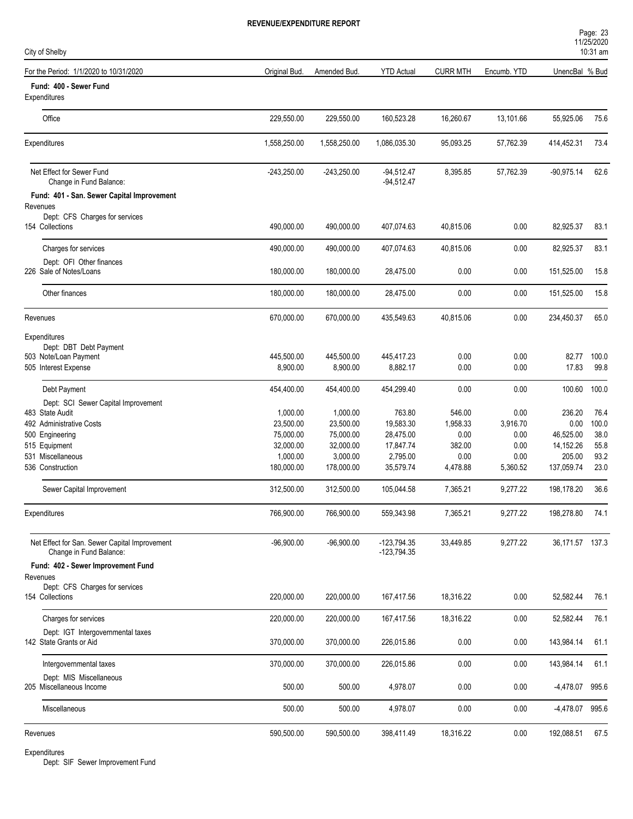| City of Shelby                                                           |                       |                       |                                |                    |                  |                 | <b>I IILUILULU</b><br>10:31 am |
|--------------------------------------------------------------------------|-----------------------|-----------------------|--------------------------------|--------------------|------------------|-----------------|--------------------------------|
| For the Period: 1/1/2020 to 10/31/2020                                   | Original Bud.         | Amended Bud.          | <b>YTD Actual</b>              | <b>CURR MTH</b>    | Encumb. YTD      | UnencBal % Bud  |                                |
| Fund: 400 - Sewer Fund<br>Expenditures                                   |                       |                       |                                |                    |                  |                 |                                |
| Office                                                                   | 229,550.00            | 229,550.00            | 160,523.28                     | 16,260.67          | 13,101.66        | 55,925.06       | 75.6                           |
| Expenditures                                                             | 1,558,250.00          | 1,558,250.00          | 1,086,035.30                   | 95,093.25          | 57,762.39        | 414,452.31      | 73.4                           |
| Net Effect for Sewer Fund<br>Change in Fund Balance:                     | $-243,250.00$         | $-243,250.00$         | $-94,512.47$<br>$-94,512.47$   | 8,395.85           | 57,762.39        | $-90,975.14$    | 62.6                           |
| Fund: 401 - San. Sewer Capital Improvement                               |                       |                       |                                |                    |                  |                 |                                |
| Revenues<br>Dept: CFS Charges for services<br>154 Collections            | 490,000.00            | 490,000.00            | 407,074.63                     | 40,815.06          | 0.00             | 82,925.37       | 83.1                           |
| Charges for services                                                     | 490,000.00            | 490,000.00            | 407,074.63                     | 40,815.06          | 0.00             | 82,925.37       | 83.1                           |
| Dept: OFI Other finances<br>226 Sale of Notes/Loans                      | 180,000.00            | 180,000.00            | 28,475.00                      | 0.00               | 0.00             | 151,525.00      | 15.8                           |
| Other finances                                                           | 180,000.00            | 180,000.00            | 28,475.00                      | 0.00               | 0.00             | 151,525.00      | 15.8                           |
| Revenues                                                                 | 670,000.00            | 670,000.00            | 435,549.63                     | 40,815.06          | 0.00             | 234,450.37      | 65.0                           |
| Expenditures                                                             |                       |                       |                                |                    |                  |                 |                                |
| Dept: DBT Debt Payment<br>503 Note/Loan Payment                          | 445,500.00            | 445,500.00            | 445,417.23                     | 0.00               | 0.00             | 82.77           | 100.0                          |
| 505 Interest Expense                                                     | 8,900.00              | 8,900.00              | 8,882.17                       | 0.00               | 0.00             | 17.83           | 99.8                           |
| Debt Payment                                                             | 454,400.00            | 454,400.00            | 454,299.40                     | 0.00               | 0.00             | 100.60          | 100.0                          |
| Dept: SCI Sewer Capital Improvement                                      |                       |                       |                                |                    |                  |                 |                                |
| 483 State Audit<br>492 Administrative Costs                              | 1,000.00<br>23,500.00 | 1,000.00<br>23,500.00 | 763.80<br>19,583.30            | 546.00<br>1,958.33 | 0.00<br>3,916.70 | 236.20<br>0.00  | 76.4<br>100.0                  |
| 500 Engineering                                                          | 75,000.00             | 75,000.00             | 28,475.00                      | 0.00               | 0.00             | 46,525.00       | 38.0                           |
| 515 Equipment                                                            | 32,000.00             | 32,000.00             | 17,847.74                      | 382.00             | 0.00             | 14,152.26       | 55.8                           |
| 531 Miscellaneous                                                        | 1,000.00              | 3,000.00              | 2,795.00                       | 0.00               | 0.00             | 205.00          | 93.2                           |
| 536 Construction                                                         | 180,000.00            | 178,000.00            | 35,579.74                      | 4,478.88           | 5,360.52         | 137,059.74      | 23.0                           |
| Sewer Capital Improvement                                                | 312,500.00            | 312,500.00            | 105,044.58                     | 7,365.21           | 9,277.22         | 198,178.20      | 36.6                           |
| Expenditures                                                             | 766,900.00            | 766,900.00            | 559,343.98                     | 7,365.21           | 9,277.22         | 198,278.80      | 74.1                           |
| Net Effect for San. Sewer Capital Improvement<br>Change in Fund Balance: | $-96,900.00$          | $-96,900.00$          | $-123,794.35$<br>$-123,794.35$ | 33,449.85          | 9,277.22         | 36,171.57 137.3 |                                |
| Fund: 402 - Sewer Improvement Fund                                       |                       |                       |                                |                    |                  |                 |                                |
| Revenues<br>Dept: CFS Charges for services                               |                       |                       |                                |                    |                  |                 |                                |
| 154 Collections                                                          | 220,000.00            | 220,000.00            | 167,417.56                     | 18,316.22          | 0.00             | 52,582.44       | 76.1                           |
| Charges for services                                                     | 220,000.00            | 220,000.00            | 167,417.56                     | 18,316.22          | 0.00             | 52,582.44       | 76.1                           |
| Dept: IGT Intergovernmental taxes<br>142 State Grants or Aid             | 370,000.00            | 370,000.00            | 226,015.86                     | $0.00\,$           | 0.00             | 143,984.14      | 61.1                           |
| Intergovernmental taxes                                                  | 370,000.00            | 370,000.00            | 226,015.86                     | 0.00               | 0.00             | 143,984.14      | 61.1                           |
| Dept: MIS Miscellaneous<br>205 Miscellaneous Income                      | 500.00                | 500.00                | 4,978.07                       | $0.00\,$           | $0.00\,$         | -4,478.07       | 995.6                          |
| Miscellaneous                                                            | 500.00                | 500.00                | 4,978.07                       | 0.00               | 0.00             | -4,478.07 995.6 |                                |
| Revenues                                                                 | 590,500.00            | 590,500.00            | 398,411.49                     | 18,316.22          | 0.00             | 192,088.51      | 67.5                           |
|                                                                          |                       |                       |                                |                    |                  |                 |                                |

Dept: SIF Sewer Improvement Fund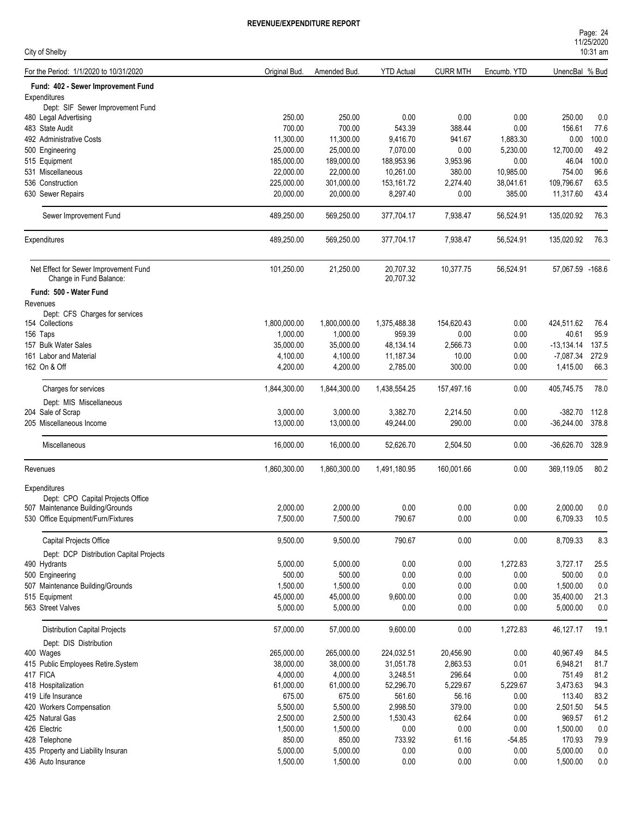| Page: 24   |  |
|------------|--|
| 11/25/2020 |  |
| $10:31$ am |  |

| City of Shelby                           |                                         |               |              |                   |                 |             |                  | $10:31$ am |
|------------------------------------------|-----------------------------------------|---------------|--------------|-------------------|-----------------|-------------|------------------|------------|
| For the Period: 1/1/2020 to 10/31/2020   |                                         | Original Bud. | Amended Bud  | <b>YTD Actual</b> | <b>CURR MTH</b> | Encumb. YTD | UnencBal % Bud   |            |
|                                          | Fund: 402 - Sewer Improvement Fund      |               |              |                   |                 |             |                  |            |
| Expenditures                             |                                         |               |              |                   |                 |             |                  |            |
|                                          | Dept: SIF Sewer Improvement Fund        | 250.00        | 250.00       | 0.00              | 0.00            | 0.00        | 250.00           | 0.0        |
| 480 Legal Advertising<br>483 State Audit |                                         | 700.00        | 700.00       | 543.39            | 388.44          | 0.00        | 156.61           | 77.6       |
| 492 Administrative Costs                 |                                         | 11,300.00     | 11,300.00    | 9,416.70          | 941.67          | 1,883.30    | 0.00             | 100.0      |
| 500 Engineering                          |                                         | 25,000.00     | 25,000.00    | 7,070.00          | 0.00            | 5,230.00    | 12,700.00        | 49.2       |
| 515 Equipment                            |                                         | 185,000.00    | 189,000.00   | 188,953.96        | 3,953.96        | 0.00        | 46.04            | 100.0      |
| 531 Miscellaneous                        |                                         | 22,000.00     | 22,000.00    | 10,261.00         | 380.00          | 10,985.00   | 754.00           | 96.6       |
| 536 Construction                         |                                         | 225,000.00    | 301,000.00   | 153,161.72        | 2,274.40        | 38,041.61   | 109,796.67       | 63.5       |
| 630 Sewer Repairs                        |                                         | 20,000.00     | 20,000.00    | 8,297.40          | 0.00            | 385.00      | 11,317.60        | 43.4       |
| Sewer Improvement Fund                   |                                         | 489,250.00    | 569,250.00   | 377,704.17        | 7,938.47        | 56,524.91   | 135,020.92       | 76.3       |
| Expenditures                             |                                         | 489,250.00    | 569,250.00   | 377,704.17        | 7,938.47        | 56,524.91   | 135,020.92       | 76.3       |
|                                          | Net Effect for Sewer Improvement Fund   | 101,250.00    | 21,250.00    | 20,707.32         | 10,377.75       | 56,524.91   | 57.067.59 -168.6 |            |
| Change in Fund Balance:                  |                                         |               |              | 20,707.32         |                 |             |                  |            |
| Fund: 500 - Water Fund                   |                                         |               |              |                   |                 |             |                  |            |
| Revenues                                 |                                         |               |              |                   |                 |             |                  |            |
|                                          | Dept: CFS Charges for services          |               |              |                   |                 |             |                  |            |
| 154 Collections                          |                                         | 1,800,000.00  | 1,800,000.00 | 1,375,488.38      | 154,620.43      | 0.00        | 424,511.62       | 76.4       |
| 156 Taps                                 |                                         | 1,000.00      | 1,000.00     | 959.39            | 0.00            | 0.00        | 40.61            | 95.9       |
| 157 Bulk Water Sales                     |                                         | 35,000.00     | 35,000.00    | 48,134.14         | 2,566.73        | 0.00        | $-13,134.14$     | 137.5      |
| 161 Labor and Material                   |                                         | 4,100.00      | 4,100.00     | 11,187.34         | 10.00           | 0.00        | $-7,087.34$      | 272.9      |
| 162 On & Off                             |                                         | 4,200.00      | 4,200.00     | 2,785.00          | 300.00          | 0.00        | 1,415.00         | 66.3       |
| Charges for services                     |                                         | 1,844,300.00  | 1,844,300.00 | 1,438,554.25      | 157,497.16      | 0.00        | 405,745.75       | 78.0       |
| Dept: MIS Miscellaneous                  |                                         |               |              |                   |                 |             |                  |            |
| 204 Sale of Scrap                        |                                         | 3,000.00      | 3,000.00     | 3,382.70          | 2,214.50        | 0.00        | $-382.70$        | 112.8      |
| 205 Miscellaneous Income                 |                                         | 13,000.00     | 13,000.00    | 49,244.00         | 290.00          | 0.00        | $-36,244.00$     | 378.8      |
| Miscellaneous                            |                                         | 16,000.00     | 16,000.00    | 52,626.70         | 2,504.50        | 0.00        | $-36,626.70$     | 328.9      |
| Revenues                                 |                                         | 1,860,300.00  | 1,860,300.00 | 1,491,180.95      | 160,001.66      | 0.00        | 369,119.05       | 80.2       |
| Expenditures                             |                                         |               |              |                   |                 |             |                  |            |
|                                          | Dept: CPO Capital Projects Office       |               |              |                   |                 |             |                  |            |
| 507 Maintenance Building/Grounds         |                                         | 2,000.00      | 2,000.00     | 0.00              | 0.00            | 0.00        | 2,000.00         | 0.0        |
| 530 Office Equipment/Furn/Fixtures       |                                         | 7,500.00      | 7,500.00     | 790.67            | 0.00            | 0.00        | 6,709.33         | 10.5       |
| Capital Projects Office                  |                                         | 9,500.00      | 9,500.00     | 790.67            | 0.00            | 0.00        | 8,709.33         | 8.3        |
|                                          | Dept: DCP Distribution Capital Projects |               |              |                   |                 |             |                  |            |
| 490 Hydrants                             |                                         | 5,000.00      | 5,000.00     | 0.00              | 0.00            | 1,272.83    | 3,727.17         | 25.5       |
| 500 Engineering                          |                                         | 500.00        | 500.00       | 0.00              | 0.00            | 0.00        | 500.00           | 0.0        |
| 507 Maintenance Building/Grounds         |                                         | 1,500.00      | 1,500.00     | 0.00              | 0.00            | 0.00        | 1,500.00         | 0.0        |
| 515 Equipment                            |                                         | 45,000.00     | 45,000.00    | 9,600.00          | 0.00            | 0.00        | 35,400.00        | 21.3       |
| 563 Street Valves                        |                                         | 5,000.00      | 5,000.00     | 0.00              | 0.00            | 0.00        | 5,000.00         | $0.0\,$    |
| <b>Distribution Capital Projects</b>     |                                         | 57,000.00     | 57,000.00    | 9,600.00          | 0.00            | 1,272.83    | 46,127.17        | 19.1       |
| Dept: DIS Distribution                   |                                         |               |              |                   |                 |             |                  |            |
| 400 Wages                                |                                         | 265,000.00    | 265,000.00   | 224,032.51        | 20,456.90       | 0.00        | 40,967.49        | 84.5       |
| 415 Public Employees Retire.System       |                                         | 38,000.00     | 38,000.00    | 31,051.78         | 2,863.53        | 0.01        | 6,948.21         | 81.7       |
| 417 FICA                                 |                                         | 4,000.00      | 4,000.00     | 3,248.51          | 296.64          | 0.00        | 751.49           | 81.2       |
| 418 Hospitalization                      |                                         | 61,000.00     | 61,000.00    | 52,296.70         | 5,229.67        | 5,229.67    | 3,473.63         | 94.3       |
| 419 Life Insurance                       |                                         | 675.00        | 675.00       | 561.60            | 56.16           | 0.00        | 113.40           | 83.2       |
| 420 Workers Compensation                 |                                         | 5,500.00      | 5,500.00     | 2,998.50          | 379.00          | 0.00        | 2,501.50         | 54.5       |
| 425 Natural Gas                          |                                         | 2,500.00      | 2,500.00     | 1,530.43          | 62.64           | 0.00        | 969.57           | 61.2       |
| 426 Electric                             |                                         | 1,500.00      | 1,500.00     | 0.00              | 0.00            | 0.00        | 1,500.00         | 0.0        |
| 428 Telephone                            |                                         | 850.00        | 850.00       | 733.92            | 61.16           | $-54.85$    | 170.93           | 79.9       |
| 435 Property and Liability Insuran       |                                         | 5,000.00      | 5,000.00     | 0.00              | 0.00            | 0.00        | 5,000.00         | $0.0\,$    |
| 436 Auto Insurance                       |                                         | 1,500.00      | 1,500.00     | 0.00              | 0.00            | 0.00        | 1,500.00         | 0.0        |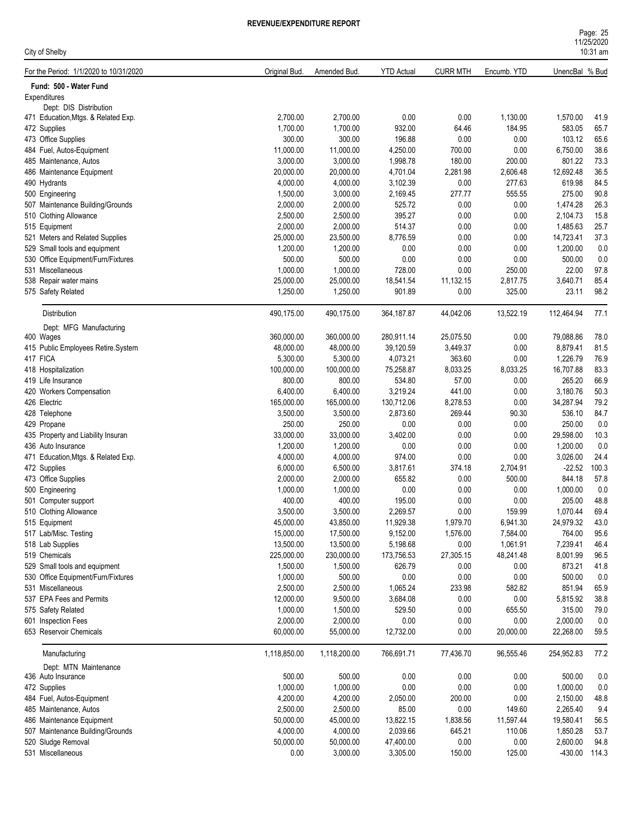| City of Shelby                                                   |                      |                       |                    |                 |                  |                    | 10:31 am     |
|------------------------------------------------------------------|----------------------|-----------------------|--------------------|-----------------|------------------|--------------------|--------------|
| For the Period: 1/1/2020 to 10/31/2020                           | Original Bud.        | Amended Bud.          | <b>YTD Actual</b>  | <b>CURR MTH</b> | Encumb. YTD      | UnencBal % Bud     |              |
| Fund: 500 - Water Fund                                           |                      |                       |                    |                 |                  |                    |              |
| Expenditures                                                     |                      |                       |                    |                 |                  |                    |              |
| Dept: DIS Distribution                                           |                      |                       |                    |                 |                  |                    |              |
| 471 Education, Mtgs. & Related Exp.                              | 2,700.00             | 2,700.00              | 0.00               | 0.00            | 1,130.00         | 1,570.00           | 41.9         |
| 472 Supplies                                                     | 1,700.00             | 1,700.00              | 932.00             | 64.46           | 184.95           | 583.05             | 65.7         |
| 473 Office Supplies                                              | 300.00               | 300.00                | 196.88             | 0.00            | 0.00             | 103.12             | 65.6         |
| 484 Fuel, Autos-Equipment                                        | 11,000.00            | 11,000.00             | 4,250.00           | 700.00          | 0.00             | 6,750.00           | 38.6         |
| 485 Maintenance, Autos                                           | 3,000.00             | 3,000.00              | 1,998.78           | 180.00          | 200.00           | 801.22             | 73.3         |
| 486 Maintenance Equipment                                        | 20,000.00            | 20,000.00             | 4,701.04           | 2,281.98        | 2,606.48         | 12,692.48          | 36.5         |
| 490 Hydrants                                                     | 4,000.00<br>1,500.00 | 4,000.00<br>3,000.00  | 3,102.39           | 0.00<br>277.77  | 277.63<br>555.55 | 619.98<br>275.00   | 84.5<br>90.8 |
| 500 Engineering<br>507 Maintenance Building/Grounds              | 2,000.00             | 2,000.00              | 2,169.45<br>525.72 | 0.00            | 0.00             | 1,474.28           | 26.3         |
|                                                                  | 2,500.00             | 2,500.00              | 395.27             | 0.00            | 0.00             | 2,104.73           | 15.8         |
| 510 Clothing Allowance<br>515 Equipment                          | 2,000.00             | 2,000.00              | 514.37             | 0.00            | 0.00             | 1,485.63           | 25.7         |
|                                                                  | 25,000.00            |                       | 8,776.59           | 0.00            | 0.00             | 14,723.41          | 37.3         |
| 521 Meters and Related Supplies<br>529 Small tools and equipment | 1,200.00             | 23,500.00<br>1,200.00 | 0.00               | 0.00            | 0.00             | 1,200.00           | 0.0          |
| 530 Office Equipment/Furn/Fixtures                               | 500.00               | 500.00                | 0.00               | 0.00            | 0.00             | 500.00             | 0.0          |
| 531 Miscellaneous                                                | 1,000.00             | 1,000.00              | 728.00             | 0.00            | 250.00           | 22.00              | 97.8         |
| 538 Repair water mains                                           | 25,000.00            | 25,000.00             | 18,541.54          | 11,132.15       | 2,817.75         | 3,640.71           | 85.4         |
| 575 Safety Related                                               | 1,250.00             | 1,250.00              | 901.89             | 0.00            | 325.00           | 23.11              | 98.2         |
|                                                                  |                      |                       |                    |                 |                  |                    |              |
| Distribution                                                     | 490,175.00           | 490,175.00            | 364, 187.87        | 44,042.06       | 13,522.19        | 112,464.94         | 77.1         |
| Dept: MFG Manufacturing                                          |                      |                       |                    |                 |                  |                    |              |
| 400 Wages                                                        | 360,000.00           | 360,000.00            | 280,911.14         | 25,075.50       | 0.00             | 79,088.86          | 78.0         |
| 415 Public Employees Retire.System                               | 48,000.00            | 48,000.00             | 39,120.59          | 3,449.37        | 0.00             | 8,879.41           | 81.5         |
| 417 FICA                                                         | 5,300.00             | 5,300.00              | 4,073.21           | 363.60          | 0.00             | 1,226.79           | 76.9         |
| 418 Hospitalization                                              | 100,000.00           | 100,000.00            | 75,258.87          | 8,033.25        | 8,033.25         | 16,707.88          | 83.3         |
| 419 Life Insurance                                               | 800.00<br>6,400.00   | 800.00                | 534.80<br>3,219.24 | 57.00<br>441.00 | 0.00<br>0.00     | 265.20<br>3,180.76 | 66.9<br>50.3 |
| 420 Workers Compensation                                         |                      | 6,400.00              |                    |                 |                  |                    |              |
| 426 Electric                                                     | 165,000.00           | 165,000.00            | 130,712.06         | 8,278.53        | 0.00             | 34,287.94          | 79.2         |
| 428 Telephone<br>429 Propane                                     | 3,500.00<br>250.00   | 3,500.00<br>250.00    | 2,873.60<br>0.00   | 269.44<br>0.00  | 90.30<br>0.00    | 536.10<br>250.00   | 84.7<br>0.0  |
|                                                                  | 33,000.00            | 33,000.00             |                    | 0.00            | 0.00             | 29,598.00          | 10.3         |
| 435 Property and Liability Insuran<br>436 Auto Insurance         | 1,200.00             | 1,200.00              | 3,402.00<br>0.00   | 0.00            | 0.00             | 1,200.00           | 0.0          |
| 471 Education, Mtgs. & Related Exp.                              | 4,000.00             | 4,000.00              | 974.00             | 0.00            | 0.00             | 3,026.00           | 24.4         |
| 472 Supplies                                                     | 6,000.00             | 6,500.00              | 3,817.61           | 374.18          | 2,704.91         | $-22.52$           | 100.3        |
| 473 Office Supplies                                              | 2,000.00             | 2,000.00              | 655.82             | 0.00            | 500.00           | 844.18             | 57.8         |
| 500 Engineering                                                  | 1,000.00             | 1,000.00              | 0.00               | 0.00            | 0.00             | 1,000.00           | 0.0          |
| 501 Computer support                                             | 400.00               | 400.00                | 195.00             | 0.00            | 0.00             | 205.00             | 48.8         |
| 510 Clothing Allowance                                           | 3,500.00             | 3,500.00              | 2,269.57           | 0.00            | 159.99           | 1,070.44           | 69.4         |
| 515 Equipment                                                    | 45,000.00            | 43,850.00             | 11,929.38          | 1,979.70        | 6,941.30         | 24,979.32          | 43.0         |
| 517 Lab/Misc. Testing                                            | 15,000.00            | 17,500.00             | 9,152.00           | 1,576.00        | 7,584.00         | 764.00             | 95.6         |
| 518 Lab Supplies                                                 | 13,500.00            | 13,500.00             | 5,198.68           | 0.00            | 1,061.91         | 7,239.41           | 46.4         |
| 519 Chemicals                                                    | 225,000.00           | 230,000.00            | 173,756.53         | 27,305.15       | 48,241.48        | 8,001.99           | 96.5         |
| 529 Small tools and equipment                                    | 1,500.00             | 1,500.00              | 626.79             | 0.00            | 0.00             | 873.21             | 41.8         |
| 530 Office Equipment/Furn/Fixtures                               | 1,000.00             | 500.00                | 0.00               | 0.00            | 0.00             | 500.00             | 0.0          |
| 531 Miscellaneous                                                | 2,500.00             | 2,500.00              | 1,065.24           | 233.98          | 582.82           | 851.94             | 65.9         |
| 537 EPA Fees and Permits                                         | 12,000.00            | 9,500.00              | 3,684.08           | 0.00            | 0.00             | 5,815.92           | 38.8         |
| 575 Safety Related                                               | 1,000.00             | 1,500.00              | 529.50             | 0.00            | 655.50           | 315.00             | 79.0         |
| 601 Inspection Fees                                              | 2,000.00             | 2,000.00              | 0.00               | 0.00            | 0.00             | 2,000.00           | 0.0          |
| 653 Reservoir Chemicals                                          | 60,000.00            | 55,000.00             | 12,732.00          | 0.00            | 20,000.00        | 22,268.00          | 59.5         |
| Manufacturing                                                    | 1,118,850.00         | 1,118,200.00          | 766,691.71         | 77,436.70       | 96,555.46        | 254,952.83         | 77.2         |
| Dept: MTN Maintenance                                            |                      |                       |                    |                 |                  |                    |              |
| 436 Auto Insurance                                               | 500.00               | 500.00                | $0.00\,$           | 0.00            | 0.00             | 500.00             | $0.0\,$      |
| 472 Supplies                                                     | 1,000.00             | 1,000.00              | 0.00               | 0.00            | 0.00             | 1,000.00           | 0.0          |
| 484 Fuel, Autos-Equipment                                        | 4,200.00             | 4,200.00              | 2,050.00           | 200.00          | 0.00             | 2,150.00           | 48.8         |
| 485 Maintenance, Autos                                           | 2,500.00             | 2,500.00              | 85.00              | 0.00            | 149.60           | 2,265.40           | 9.4          |
| 486 Maintenance Equipment                                        | 50,000.00            | 45,000.00             | 13,822.15          | 1,838.56        | 11,597.44        | 19,580.41          | 56.5         |
| 507 Maintenance Building/Grounds                                 | 4,000.00             | 4,000.00              | 2,039.66           | 645.21          | 110.06           | 1,850.28           | 53.7         |
| 520 Sludge Removal                                               | 50,000.00            | 50,000.00             | 47,400.00          | 0.00            | 0.00             | 2,600.00           | 94.8         |
| 531 Miscellaneous                                                | 0.00                 | 3,000.00              | 3,305.00           | 150.00          | 125.00           | -430.00 114.3      |              |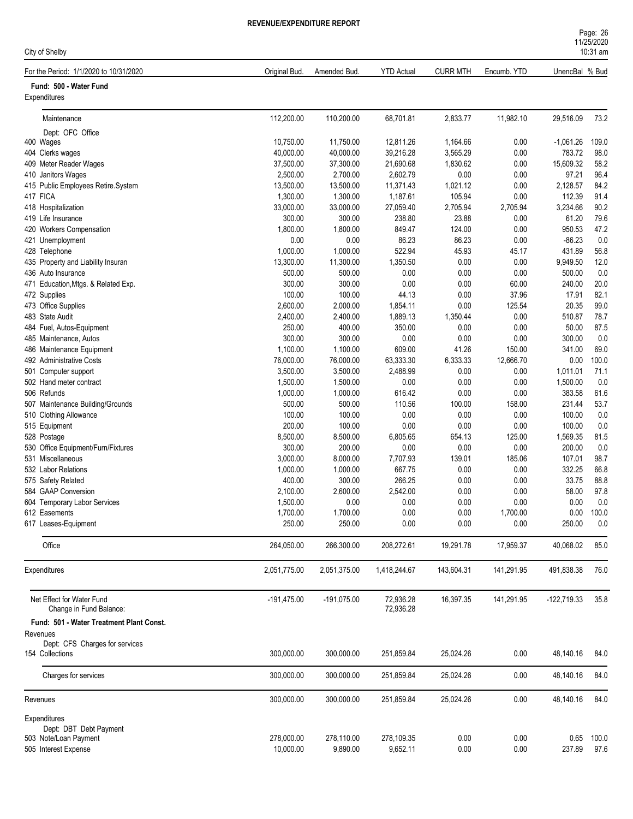| Page: 26   |  |  |  |
|------------|--|--|--|
| 11/25/2020 |  |  |  |
| $10:31$ am |  |  |  |

| City of Shelby                                          |                    |                    |                        |                 |                |                  | 10:31 am    |
|---------------------------------------------------------|--------------------|--------------------|------------------------|-----------------|----------------|------------------|-------------|
| For the Period: 1/1/2020 to 10/31/2020                  | Original Bud.      | Amended Bud.       | <b>YTD Actual</b>      | <b>CURR MTH</b> | Encumb. YTD    | UnencBal % Bud   |             |
| Fund: 500 - Water Fund<br>Expenditures                  |                    |                    |                        |                 |                |                  |             |
| Maintenance                                             | 112,200.00         | 110,200.00         | 68,701.81              | 2,833.77        | 11,982.10      | 29,516.09        | 73.2        |
| Dept: OFC Office                                        |                    |                    |                        |                 |                |                  |             |
| 400 Wages                                               | 10,750.00          | 11,750.00          | 12,811.26              | 1,164.66        | 0.00           | $-1,061.26$      | 109.0       |
| 404 Clerks wages                                        | 40,000.00          | 40,000.00          | 39,216.28              | 3,565.29        | 0.00           | 783.72           | 98.0        |
| 409 Meter Reader Wages                                  | 37,500.00          | 37,300.00          | 21,690.68              | 1,830.62        | 0.00           | 15,609.32        | 58.2        |
| 410 Janitors Wages                                      | 2,500.00           | 2,700.00           | 2,602.79               | 0.00            | 0.00           | 97.21            | 96.4        |
| 415 Public Employees Retire.System                      | 13,500.00          | 13,500.00          | 11,371.43              | 1,021.12        | 0.00           | 2,128.57         | 84.2        |
| 417 FICA                                                | 1,300.00           | 1,300.00           | 1,187.61               | 105.94          | 0.00           | 112.39           | 91.4        |
| 418 Hospitalization                                     | 33,000.00          | 33,000.00          | 27,059.40              | 2,705.94        | 2,705.94       | 3,234.66         | 90.2        |
| 419 Life Insurance                                      | 300.00             | 300.00             | 238.80                 | 23.88           | 0.00           | 61.20<br>950.53  | 79.6        |
| 420 Workers Compensation                                | 1,800.00<br>0.00   | 1,800.00<br>0.00   | 849.47<br>86.23        | 124.00<br>86.23 | 0.00<br>0.00   | $-86.23$         | 47.2        |
| 421 Unemployment<br>428 Telephone                       | 1,000.00           | 1,000.00           | 522.94                 | 45.93           | 45.17          | 431.89           | 0.0<br>56.8 |
| 435 Property and Liability Insuran                      | 13,300.00          | 11,300.00          | 1,350.50               | 0.00            | 0.00           | 9,949.50         | 12.0        |
| 436 Auto Insurance                                      | 500.00             | 500.00             | 0.00                   | 0.00            | 0.00           | 500.00           | 0.0         |
| 471 Education, Mtgs. & Related Exp.                     | 300.00             | 300.00             | 0.00                   | 0.00            | 60.00          | 240.00           | 20.0        |
| 472 Supplies                                            | 100.00             | 100.00             | 44.13                  | 0.00            | 37.96          | 17.91            | 82.1        |
| 473 Office Supplies                                     | 2,600.00           | 2,000.00           | 1,854.11               | 0.00            | 125.54         | 20.35            | 99.0        |
| 483 State Audit                                         | 2,400.00           | 2,400.00           | 1,889.13               | 1,350.44        | 0.00           | 510.87           | 78.7        |
| 484 Fuel, Autos-Equipment                               | 250.00             | 400.00             | 350.00                 | 0.00            | 0.00           | 50.00            | 87.5        |
| 485 Maintenance, Autos                                  | 300.00             | 300.00             | 0.00                   | 0.00            | 0.00           | 300.00           | 0.0         |
| 486 Maintenance Equipment                               | 1,100.00           | 1,100.00           | 609.00                 | 41.26           | 150.00         | 341.00           | 69.0        |
| 492 Administrative Costs                                | 76,000.00          | 76,000.00          | 63,333.30              | 6,333.33        | 12,666.70      | 0.00             | 100.0       |
| 501 Computer support                                    | 3,500.00           | 3,500.00           | 2,488.99               | 0.00            | 0.00           | 1,011.01         | 71.1        |
| 502 Hand meter contract                                 | 1,500.00           | 1,500.00           | 0.00                   | 0.00            | 0.00           | 1,500.00         | 0.0         |
| 506 Refunds                                             | 1,000.00           | 1,000.00           | 616.42                 | 0.00            | 0.00           | 383.58           | 61.6        |
| 507 Maintenance Building/Grounds                        | 500.00             | 500.00             | 110.56                 | 100.00          | 158.00         | 231.44           | 53.7        |
| 510 Clothing Allowance                                  | 100.00             | 100.00             | 0.00                   | 0.00            | 0.00           | 100.00           | 0.0         |
| 515 Equipment                                           | 200.00             | 100.00             | 0.00                   | 0.00            | 0.00           | 100.00           | 0.0         |
| 528 Postage                                             | 8,500.00           | 8,500.00           | 6,805.65               | 654.13          | 125.00         | 1,569.35         | 81.5        |
| 530 Office Equipment/Furn/Fixtures<br>531 Miscellaneous | 300.00<br>3,000.00 | 200.00<br>8,000.00 | 0.00<br>7,707.93       | 0.00<br>139.01  | 0.00<br>185.06 | 200.00<br>107.01 | 0.0<br>98.7 |
| 532 Labor Relations                                     | 1,000.00           | 1,000.00           | 667.75                 | 0.00            | 0.00           | 332.25           | 66.8        |
| 575 Safety Related                                      | 400.00             | 300.00             | 266.25                 | 0.00            | 0.00           | 33.75            | 88.8        |
| 584 GAAP Conversion                                     | 2,100.00           | 2,600.00           | 2,542.00               | 0.00            | 0.00           | 58.00            | 97.8        |
| 604 Temporary Labor Services                            | 1,500.00           | 0.00               | 0.00                   | 0.00            | 0.00           | 0.00             | 0.0         |
| 612 Easements                                           | 1,700.00           | 1,700.00           | 0.00                   | 0.00            | 1,700.00       | 0.00             | 100.0       |
| 617 Leases-Equipment                                    | 250.00             | 250.00             | 0.00                   | 0.00            | 0.00           | 250.00           | 0.0         |
| Office                                                  |                    |                    |                        |                 |                |                  |             |
|                                                         | 264,050.00         | 266,300.00         | 208,272.61             | 19,291.78       | 17,959.37      | 40,068.02        | 85.0        |
| Expenditures                                            | 2,051,775.00       | 2,051,375.00       | 1,418,244.67           | 143,604.31      | 141,291.95     | 491,838.38       | 76.0        |
| Net Effect for Water Fund<br>Change in Fund Balance:    | $-191,475.00$      | $-191,075.00$      | 72,936.28<br>72,936.28 | 16,397.35       | 141,291.95     | $-122,719.33$    | 35.8        |
| Fund: 501 - Water Treatment Plant Const.                |                    |                    |                        |                 |                |                  |             |
| Revenues                                                |                    |                    |                        |                 |                |                  |             |
| Dept: CFS Charges for services                          |                    |                    |                        |                 |                |                  |             |
| 154 Collections                                         | 300,000.00         | 300,000.00         | 251,859.84             | 25,024.26       | 0.00           | 48,140.16        | 84.0        |
| Charges for services                                    | 300,000.00         | 300,000.00         | 251,859.84             | 25,024.26       | 0.00           | 48,140.16        | 84.0        |
| Revenues                                                | 300,000.00         | 300,000.00         | 251,859.84             | 25,024.26       | 0.00           | 48,140.16        | 84.0        |
|                                                         |                    |                    |                        |                 |                |                  |             |
| Expenditures<br>Dept: DBT Debt Payment                  |                    |                    |                        |                 |                |                  |             |
| 503 Note/Loan Payment                                   | 278,000.00         | 278,110.00         | 278,109.35             | 0.00            | 0.00           | 0.65             | 100.0       |
| 505 Interest Expense                                    | 10,000.00          | 9,890.00           | 9,652.11               | 0.00            | 0.00           | 237.89           | 97.6        |
|                                                         |                    |                    |                        |                 |                |                  |             |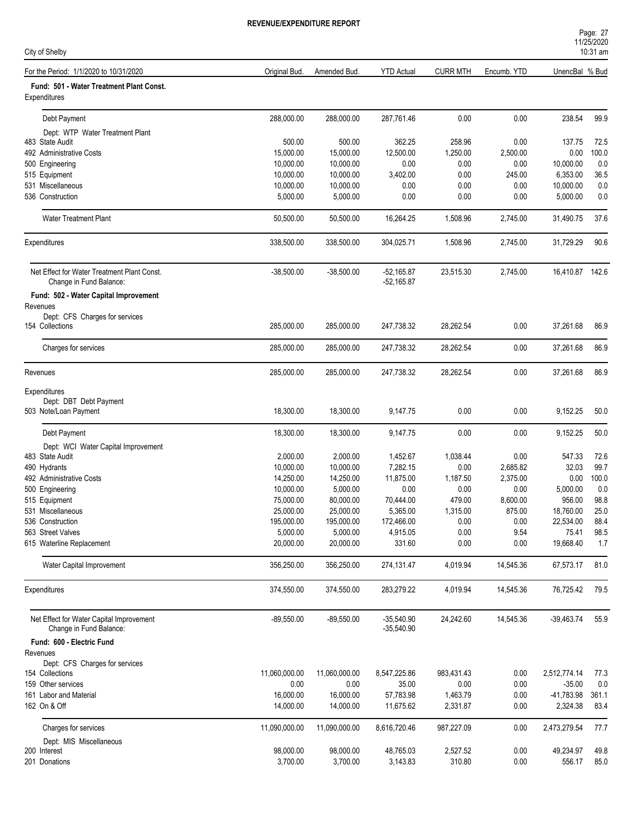| City of Shelby                                                         |               |               |                              |                 |             |                 | 10:31 am |
|------------------------------------------------------------------------|---------------|---------------|------------------------------|-----------------|-------------|-----------------|----------|
| For the Period: 1/1/2020 to 10/31/2020                                 | Original Bud. | Amended Bud.  | <b>YTD Actual</b>            | <b>CURR MTH</b> | Encumb. YTD | UnencBal % Bud  |          |
| Fund: 501 - Water Treatment Plant Const.<br>Expenditures               |               |               |                              |                 |             |                 |          |
| Debt Payment                                                           | 288,000.00    | 288,000.00    | 287,761.46                   | 0.00            | 0.00        | 238.54          | 99.9     |
| Dept: WTP Water Treatment Plant                                        |               |               |                              |                 |             |                 |          |
| 483 State Audit                                                        | 500.00        | 500.00        | 362.25                       | 258.96          | 0.00        | 137.75          | 72.5     |
| 492 Administrative Costs                                               | 15,000.00     | 15,000.00     | 12,500.00                    | 1,250.00        | 2,500.00    | 0.00            | 100.0    |
| 500 Engineering                                                        | 10,000.00     | 10,000.00     | 0.00                         | 0.00            | 0.00        | 10,000.00       | 0.0      |
| 515 Equipment                                                          | 10,000.00     | 10,000.00     | 3,402.00                     | 0.00            | 245.00      | 6,353.00        | 36.5     |
| 531 Miscellaneous                                                      | 10,000.00     | 10,000.00     | 0.00                         | 0.00            | 0.00        | 10,000.00       | 0.0      |
| 536 Construction                                                       | 5,000.00      | 5,000.00      | 0.00                         | 0.00            | 0.00        | 5,000.00        | 0.0      |
| <b>Water Treatment Plant</b>                                           | 50,500.00     | 50,500.00     | 16,264.25                    | 1,508.96        | 2,745.00    | 31,490.75       | 37.6     |
| Expenditures                                                           | 338,500.00    | 338,500.00    | 304,025.71                   | 1,508.96        | 2,745.00    | 31,729.29       | 90.6     |
| Net Effect for Water Treatment Plant Const.<br>Change in Fund Balance: | $-38,500.00$  | $-38,500.00$  | $-52,165.87$<br>$-52,165.87$ | 23,515.30       | 2,745.00    | 16,410.87 142.6 |          |
| Fund: 502 - Water Capital Improvement<br>Revenues                      |               |               |                              |                 |             |                 |          |
| Dept: CFS Charges for services                                         |               |               |                              |                 |             |                 |          |
| 154 Collections                                                        | 285,000.00    | 285,000.00    | 247,738.32                   | 28,262.54       | 0.00        | 37,261.68       | 86.9     |
| Charges for services                                                   | 285,000.00    | 285,000.00    | 247,738.32                   | 28,262.54       | 0.00        | 37,261.68       | 86.9     |
| Revenues                                                               | 285,000.00    | 285,000.00    | 247,738.32                   | 28,262.54       | 0.00        | 37,261.68       | 86.9     |
| Expenditures                                                           |               |               |                              |                 |             |                 |          |
| Dept: DBT Debt Payment                                                 |               |               |                              |                 |             |                 |          |
| 503 Note/Loan Payment                                                  | 18,300.00     | 18,300.00     | 9,147.75                     | 0.00            | 0.00        | 9,152.25        | 50.0     |
|                                                                        |               |               |                              |                 |             |                 |          |
| Debt Payment                                                           | 18,300.00     | 18,300.00     | 9,147.75                     | 0.00            | 0.00        | 9,152.25        | 50.0     |
| Dept: WCI Water Capital Improvement                                    |               |               |                              |                 |             |                 |          |
| 483 State Audit                                                        | 2,000.00      | 2,000.00      | 1,452.67                     | 1,038.44        | 0.00        | 547.33          | 72.6     |
| 490 Hydrants                                                           | 10,000.00     | 10,000.00     | 7,282.15                     | 0.00            | 2,685.82    | 32.03           | 99.7     |
| 492 Administrative Costs                                               | 14,250.00     | 14,250.00     | 11,875.00                    | 1,187.50        | 2,375.00    | 0.00            | 100.0    |
| 500 Engineering                                                        | 10,000.00     | 5,000.00      | 0.00                         | 0.00            | 0.00        | 5,000.00        | 0.0      |
| 515 Equipment                                                          | 75,000.00     | 80,000.00     | 70,444.00                    | 479.00          | 8,600.00    | 956.00          | 98.8     |
| 531 Miscellaneous                                                      | 25,000.00     | 25,000.00     | 5,365.00                     | 1,315.00        | 875.00      | 18,760.00       | 25.0     |
| 536 Construction                                                       | 195,000.00    | 195,000.00    | 172,466.00                   | 0.00            | 0.00        | 22,534.00       | 88.4     |
| 563 Street Valves                                                      | 5,000.00      | 5,000.00      | 4,915.05                     | 0.00            | 9.54        | 75.41           | 98.5     |
| 615 Waterline Replacement                                              | 20,000.00     | 20,000.00     | 331.60                       | 0.00            | 0.00        | 19,668.40       | 1.7      |
| Water Capital Improvement                                              | 356,250.00    | 356,250.00    | 274,131.47                   | 4,019.94        | 14,545.36   | 67,573.17       | 81.0     |
| Expenditures                                                           | 374,550.00    | 374,550.00    | 283,279.22                   | 4,019.94        | 14,545.36   | 76,725.42       | 79.5     |
| Net Effect for Water Capital Improvement<br>Change in Fund Balance:    | $-89,550.00$  | $-89,550.00$  | $-35,540.90$<br>$-35,540.90$ | 24,242.60       | 14,545.36   | $-39,463.74$    | 55.9     |
| Fund: 600 - Electric Fund                                              |               |               |                              |                 |             |                 |          |
| Revenues                                                               |               |               |                              |                 |             |                 |          |
| Dept: CFS Charges for services                                         |               |               |                              |                 |             |                 |          |
| 154 Collections                                                        | 11,060,000.00 | 11,060,000.00 | 8,547,225.86                 | 983,431.43      | 0.00        | 2,512,774.14    | 77.3     |
| 159 Other services                                                     | 0.00          | 0.00          | 35.00                        | 0.00            | 0.00        | $-35.00$        | 0.0      |
| 161 Labor and Material                                                 | 16,000.00     | 16,000.00     | 57,783.98                    | 1,463.79        | 0.00        | -41,783.98      | 361.1    |
| 162 On & Off                                                           | 14,000.00     | 14,000.00     | 11,675.62                    | 2,331.87        | 0.00        | 2,324.38        | 83.4     |
| Charges for services                                                   | 11,090,000.00 | 11,090,000.00 | 8,616,720.46                 | 987,227.09      | 0.00        | 2,473,279.54    | 77.7     |
| Dept: MIS Miscellaneous                                                |               |               |                              |                 |             |                 |          |
| 200 Interest                                                           | 98,000.00     | 98,000.00     | 48,765.03                    | 2,527.52        | 0.00        | 49,234.97       | 49.8     |
| 201 Donations                                                          | 3,700.00      | 3,700.00      | 3,143.83                     | 310.80          | 0.00        | 556.17          | 85.0     |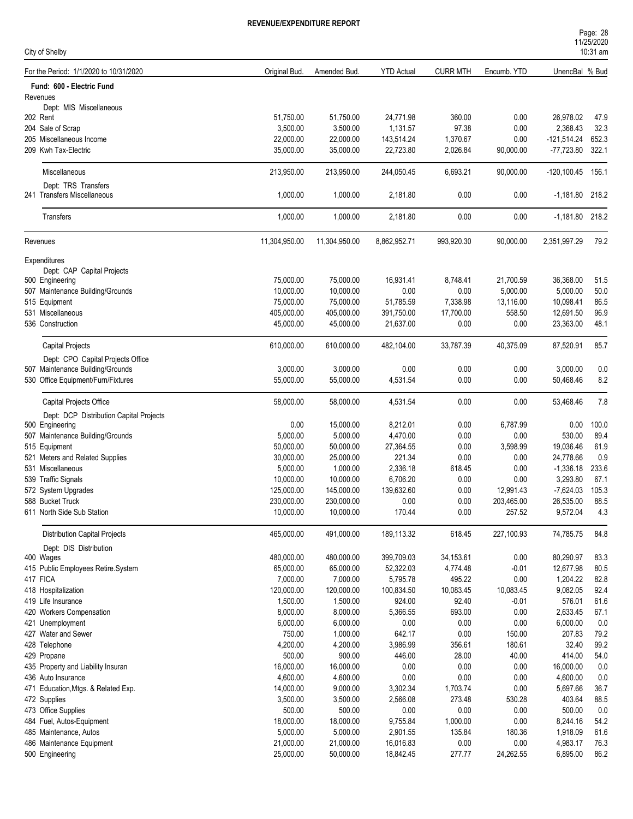| Page: 28   |  |  |
|------------|--|--|
| 11/25/2020 |  |  |
| 10.21 cm   |  |  |

| City of Shelby                                     |                         |                         |                         |                       | 1112312020<br>$10:31$ am |                                 |              |  |  |
|----------------------------------------------------|-------------------------|-------------------------|-------------------------|-----------------------|--------------------------|---------------------------------|--------------|--|--|
| For the Period: 1/1/2020 to 10/31/2020             | Original Bud.           | Amended Bud.            | <b>YTD Actual</b>       | <b>CURR MTH</b>       | Encumb. YTD              | UnencBal % Bud                  |              |  |  |
| Fund: 600 - Electric Fund                          |                         |                         |                         |                       |                          |                                 |              |  |  |
| Revenues                                           |                         |                         |                         |                       |                          |                                 |              |  |  |
| Dept: MIS Miscellaneous                            |                         |                         |                         |                       |                          |                                 |              |  |  |
| 202 Rent                                           | 51,750.00               | 51,750.00               | 24,771.98               | 360.00                | 0.00                     | 26,978.02                       | 47.9         |  |  |
| 204 Sale of Scrap                                  | 3,500.00                | 3,500.00                | 1,131.57                | 97.38                 | 0.00                     | 2,368.43                        | 32.3         |  |  |
| 205 Miscellaneous Income                           | 22,000.00               | 22,000.00               | 143,514.24              | 1,370.67              | 0.00                     | -121,514.24<br>-77,723.80 322.1 | 652.3        |  |  |
| 209 Kwh Tax-Electric                               | 35,000.00               | 35,000.00               | 22,723.80               | 2,026.84              | 90,000.00                |                                 |              |  |  |
| <b>Miscellaneous</b>                               | 213,950.00              | 213,950.00              | 244,050.45              | 6,693.21              | 90,000.00                | $-120, 100.45$                  | 156.1        |  |  |
| Dept: TRS Transfers<br>241 Transfers Miscellaneous | 1,000.00                | 1,000.00                | 2,181.80                | 0.00                  | 0.00                     | $-1,181.80$ 218.2               |              |  |  |
| Transfers                                          | 1,000.00                | 1,000.00                | 2,181.80                | 0.00                  | 0.00                     | $-1,181.80$ 218.2               |              |  |  |
| Revenues                                           | 11,304,950.00           | 11,304,950.00           | 8,862,952.71            | 993,920.30            | 90,000.00                | 2,351,997.29                    | 79.2         |  |  |
| Expenditures                                       |                         |                         |                         |                       |                          |                                 |              |  |  |
| Dept: CAP Capital Projects                         |                         |                         |                         |                       |                          |                                 |              |  |  |
| 500 Engineering                                    | 75,000.00               | 75,000.00               | 16,931.41               | 8,748.41              | 21,700.59                | 36,368.00                       | 51.5         |  |  |
| 507 Maintenance Building/Grounds                   | 10,000.00               | 10,000.00               | 0.00                    | 0.00                  | 5,000.00                 | 5,000.00                        | 50.0         |  |  |
| 515 Equipment                                      | 75,000.00               | 75,000.00               | 51,785.59               | 7,338.98              | 13,116.00                | 10,098.41                       | 86.5         |  |  |
| 531 Miscellaneous                                  | 405,000.00              | 405,000.00              | 391,750.00              | 17,700.00             | 558.50                   | 12,691.50                       | 96.9         |  |  |
| 536 Construction                                   | 45,000.00               | 45,000.00               | 21,637.00               | 0.00                  | 0.00                     | 23,363.00                       | 48.1         |  |  |
| <b>Capital Projects</b>                            | 610,000.00              | 610,000.00              | 482,104.00              | 33,787.39             | 40,375.09                | 87,520.91                       | 85.7         |  |  |
| Dept: CPO Capital Projects Office                  |                         |                         |                         |                       |                          |                                 |              |  |  |
| 507 Maintenance Building/Grounds                   | 3,000.00                | 3,000.00                | 0.00                    | 0.00                  | 0.00                     | 3,000.00                        | 0.0          |  |  |
| 530 Office Equipment/Furn/Fixtures                 | 55,000.00               | 55,000.00               | 4,531.54                | 0.00                  | 0.00                     | 50,468.46                       | 8.2          |  |  |
| Capital Projects Office                            | 58,000.00               | 58,000.00               | 4,531.54                | 0.00                  | 0.00                     | 53,468.46                       | 7.8          |  |  |
| Dept: DCP Distribution Capital Projects            |                         |                         |                         |                       |                          |                                 |              |  |  |
| 500 Engineering                                    | 0.00                    | 15,000.00               | 8,212.01                | 0.00                  | 6,787.99                 | 0.00                            | 100.0        |  |  |
| 507 Maintenance Building/Grounds                   | 5,000.00                | 5,000.00                | 4,470.00                | 0.00                  | 0.00                     | 530.00                          | 89.4         |  |  |
| 515 Equipment                                      | 50,000.00               | 50,000.00               | 27,364.55               | 0.00                  | 3,598.99                 | 19,036.46                       | 61.9         |  |  |
| 521 Meters and Related Supplies                    | 30,000.00               | 25,000.00               | 221.34                  | 0.00                  | 0.00                     | 24,778.66                       | 0.9          |  |  |
| 531 Miscellaneous                                  | 5,000.00                | 1,000.00                | 2,336.18                | 618.45                | 0.00                     | $-1,336.18$                     | 233.6        |  |  |
| 539 Traffic Signals                                | 10,000.00               | 10,000.00               | 6,706.20                | 0.00                  | 0.00                     | 3,293.80                        | 67.1         |  |  |
| 572 System Upgrades                                | 125,000.00              | 145,000.00              | 139,632.60              | 0.00                  | 12,991.43                | $-7,624.03$                     | 105.3        |  |  |
| 588 Bucket Truck                                   | 230,000.00              | 230,000.00              | 0.00                    | 0.00                  | 203,465.00               | 26,535.00                       | 88.5         |  |  |
| 611 North Side Sub Station                         | 10,000.00               | 10,000.00               | 170.44                  | $0.00\,$              | 257.52                   | 9,572.04                        | 4.3          |  |  |
| <b>Distribution Capital Projects</b>               | 465,000.00              | 491,000.00              | 189,113.32              | 618.45                | 227,100.93               | 74,785.75                       | 84.8         |  |  |
| Dept: DIS Distribution                             |                         |                         |                         |                       |                          |                                 |              |  |  |
| 400 Wages                                          | 480,000.00<br>65,000.00 | 480,000.00<br>65,000.00 | 399,709.03<br>52,322.03 | 34,153.61<br>4,774.48 | 0.00<br>$-0.01$          | 80,290.97<br>12,677.98          | 83.3         |  |  |
| 415 Public Employees Retire.System<br>417 FICA     | 7,000.00                | 7,000.00                | 5,795.78                | 495.22                | 0.00                     | 1,204.22                        | 80.5<br>82.8 |  |  |
| 418 Hospitalization                                | 120,000.00              | 120,000.00              | 100,834.50              | 10,083.45             | 10,083.45                | 9,082.05                        | 92.4         |  |  |
| 419 Life Insurance                                 | 1,500.00                | 1,500.00                | 924.00                  | 92.40                 | $-0.01$                  | 576.01                          | 61.6         |  |  |
| 420 Workers Compensation                           | 8,000.00                | 8,000.00                | 5,366.55                | 693.00                | 0.00                     | 2,633.45                        | 67.1         |  |  |
| 421 Unemployment                                   | 6,000.00                | 6,000.00                | 0.00                    | 0.00                  | 0.00                     | 6,000.00                        | 0.0          |  |  |
| 427 Water and Sewer                                | 750.00                  | 1,000.00                | 642.17                  | 0.00                  | 150.00                   | 207.83                          | 79.2         |  |  |
| 428 Telephone                                      | 4,200.00                | 4,200.00                | 3,986.99                | 356.61                | 180.61                   | 32.40                           | 99.2         |  |  |
| 429 Propane                                        | 500.00                  | 900.00                  | 446.00                  | 28.00                 | 40.00                    | 414.00                          | 54.0         |  |  |
| 435 Property and Liability Insuran                 | 16,000.00               | 16,000.00               | 0.00                    | 0.00                  | 0.00                     | 16,000.00                       | 0.0          |  |  |
| 436 Auto Insurance                                 | 4,600.00                | 4,600.00                | 0.00                    | 0.00                  | 0.00                     | 4,600.00                        | 0.0          |  |  |
| 471 Education, Mtgs. & Related Exp.                | 14,000.00               | 9,000.00                | 3,302.34                | 1,703.74              | 0.00                     | 5,697.66                        | 36.7         |  |  |
| 472 Supplies                                       | 3,500.00                | 3,500.00                | 2,566.08                | 273.48                | 530.28                   | 403.64                          | 88.5         |  |  |
| 473 Office Supplies                                | 500.00                  | 500.00                  | 0.00                    | 0.00                  | 0.00                     | 500.00                          | 0.0          |  |  |
| 484 Fuel, Autos-Equipment                          | 18,000.00               | 18,000.00               | 9,755.84                | 1,000.00              | 0.00                     | 8,244.16                        | 54.2         |  |  |
| 485 Maintenance, Autos                             | 5,000.00                | 5,000.00                | 2,901.55                | 135.84                | 180.36                   | 1,918.09                        | 61.6         |  |  |
| 486 Maintenance Equipment                          | 21,000.00               | 21,000.00               | 16,016.83               | 0.00                  | 0.00                     | 4,983.17                        | 76.3         |  |  |
| 500 Engineering                                    | 25,000.00               | 50,000.00               | 18,842.45               | 277.77                | 24,262.55                | 6,895.00                        | 86.2         |  |  |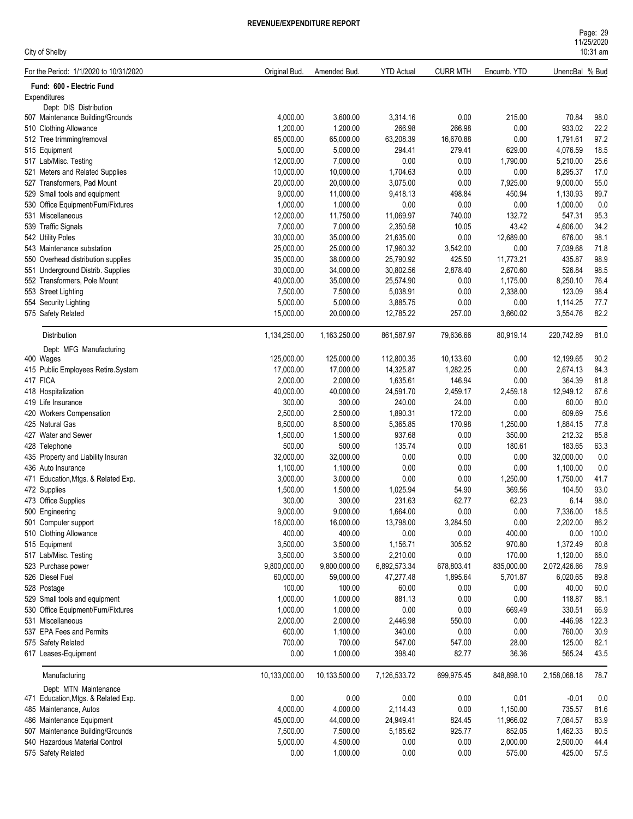| Page: 29   |  |
|------------|--|
| 11/25/2020 |  |
| $10:31$ am |  |

| City of Shelby                                             |                      |               |                   |                 |             |                | 10:31 am |
|------------------------------------------------------------|----------------------|---------------|-------------------|-----------------|-------------|----------------|----------|
| For the Period: 1/1/2020 to 10/31/2020                     | Original Bud.        | Amended Bud.  | <b>YTD Actual</b> | <b>CURR MTH</b> | Encumb. YTD | UnencBal % Bud |          |
| Fund: 600 - Electric Fund                                  |                      |               |                   |                 |             |                |          |
| Expenditures                                               |                      |               |                   |                 |             |                |          |
| Dept: DIS Distribution<br>507 Maintenance Building/Grounds | 4,000.00             | 3,600.00      | 3,314.16          | 0.00            | 215.00      | 70.84          | 98.0     |
| 510 Clothing Allowance                                     | 1,200.00             | 1,200.00      | 266.98            | 266.98          | 0.00        | 933.02         | 22.2     |
|                                                            | 65,000.00            | 65,000.00     | 63,208.39         | 16,670.88       | 0.00        | 1,791.61       | 97.2     |
| 512 Tree trimming/removal                                  |                      |               |                   |                 |             | 4.076.59       |          |
| 515 Equipment                                              | 5,000.00             | 5,000.00      | 294.41            | 279.41          | 629.00      |                | 18.5     |
| 517 Lab/Misc. Testing                                      | 12,000.00            | 7,000.00      | 0.00              | 0.00            | 1,790.00    | 5,210.00       | 25.6     |
| 521 Meters and Related Supplies                            | 10,000.00            | 10,000.00     | 1,704.63          | 0.00            | 0.00        | 8,295.37       | 17.0     |
| 527 Transformers, Pad Mount                                | 20,000.00            | 20,000.00     | 3,075.00          | 0.00            | 7,925.00    | 9,000.00       | 55.0     |
| 529 Small tools and equipment                              | 9,000.00             | 11,000.00     | 9,418.13          | 498.84          | 450.94      | 1,130.93       | 89.7     |
| 530 Office Equipment/Furn/Fixtures                         | 1,000.00             | 1,000.00      | 0.00              | 0.00            | 0.00        | 1,000.00       | 0.0      |
| 531 Miscellaneous                                          | 12,000.00            | 11,750.00     | 11,069.97         | 740.00          | 132.72      | 547.31         | 95.3     |
| 539 Traffic Signals                                        | 7,000.00             | 7,000.00      | 2,350.58          | 10.05           | 43.42       | 4,606.00       | 34.2     |
| 542 Utility Poles                                          | 30,000.00            | 35,000.00     | 21,635.00         | 0.00            | 12,689.00   | 676.00         | 98.1     |
| 543 Maintenance substation                                 | 25,000.00            | 25,000.00     | 17,960.32         | 3,542.00        | 0.00        | 7,039.68       | 71.8     |
| 550 Overhead distribution supplies                         | 35,000.00            | 38,000.00     | 25,790.92         | 425.50          | 11,773.21   | 435.87         | 98.9     |
| 551 Underground Distrib. Supplies                          | 30,000.00            | 34,000.00     | 30,802.56         | 2,878.40        | 2,670.60    | 526.84         | 98.5     |
| 552 Transformers, Pole Mount                               | 40,000.00            | 35,000.00     | 25,574.90         | 0.00            | 1,175.00    | 8,250.10       | 76.4     |
| 553 Street Lighting                                        | 7,500.00             | 7,500.00      | 5,038.91          | 0.00            | 2,338.00    | 123.09         | 98.4     |
| 554 Security Lighting                                      | 5,000.00             | 5,000.00      | 3,885.75          | 0.00            | 0.00        | 1,114.25       | 77.7     |
| 575 Safety Related                                         | 15,000.00            | 20,000.00     | 12,785.22         | 257.00          | 3,660.02    | 3,554.76       | 82.2     |
| Distribution                                               | 1,134,250.00         | 1,163,250.00  | 861,587.97        | 79,636.66       | 80,919.14   | 220,742.89     | 81.0     |
| Dept: MFG Manufacturing                                    |                      |               |                   |                 |             |                |          |
| 400 Wages                                                  | 125,000.00           | 125,000.00    | 112,800.35        | 10,133.60       | 0.00        | 12,199.65      | 90.2     |
| 415 Public Employees Retire.System                         | 17,000.00            | 17,000.00     | 14,325.87         | 1,282.25        | 0.00        | 2,674.13       | 84.3     |
| 417 FICA                                                   | 2,000.00             | 2,000.00      | 1,635.61          | 146.94          | 0.00        | 364.39         | 81.8     |
| 418 Hospitalization                                        | 40,000.00            | 40,000.00     | 24,591.70         | 2,459.17        | 2,459.18    | 12,949.12      | 67.6     |
| 419 Life Insurance                                         | 300.00               | 300.00        | 240.00            | 24.00           | 0.00        | 60.00          | 80.0     |
| 420 Workers Compensation                                   | 2,500.00             | 2,500.00      | 1,890.31          | 172.00          | 0.00        | 609.69         | 75.6     |
| 425 Natural Gas                                            | 8,500.00             | 8,500.00      | 5,365.85          | 170.98          | 1,250.00    | 1,884.15       | 77.8     |
| 427 Water and Sewer                                        | 1,500.00             | 1,500.00      | 937.68            | 0.00            | 350.00      | 212.32         | 85.8     |
| 428 Telephone                                              | 500.00               | 500.00        | 135.74            | 0.00            | 180.61      | 183.65         | 63.3     |
| 435 Property and Liability Insuran                         | 32,000.00            | 32,000.00     | 0.00              | 0.00            | 0.00        | 32,000.00      | 0.0      |
| 436 Auto Insurance                                         | 1,100.00             | 1,100.00      | 0.00              | 0.00            | 0.00        | 1,100.00       | 0.0      |
| 471 Education, Mtgs. & Related Exp.                        | 3,000.00             | 3,000.00      | 0.00              | 0.00            | 1,250.00    | 1,750.00       | 41.7     |
| 472 Supplies                                               | 1,500.00             | 1,500.00      | 1,025.94          | 54.90           | 369.56      | 104.50         | 93.0     |
| 473 Office Supplies                                        | 300.00               | 300.00        | 231.63            | 62.77           | 62.23       | 6.14           | 98.0     |
| 500 Engineering                                            | 9,000.00             | 9,000.00      | 1,664.00          | 0.00            | 0.00        | 7,336.00       | 18.5     |
| 501 Computer support                                       | 16,000.00            | 16,000.00     | 13,798.00         | 3,284.50        | 0.00        | 2,202.00       | 86.2     |
| 510 Clothing Allowance                                     | 400.00               | 400.00        | 0.00              | 0.00            | 400.00      | 0.00           | 100.0    |
| 515 Equipment                                              | 3,500.00             | 3,500.00      | 1,156.71          | 305.52          | 970.80      | 1,372.49       | 60.8     |
| 517 Lab/Misc. Testing                                      | 3,500.00             | 3,500.00      | 2,210.00          | 0.00            | 170.00      | 1,120.00       | 68.0     |
| 523 Purchase power                                         | 9,800,000.00         | 9,800,000.00  | 6,892,573.34      | 678,803.41      | 835,000.00  | 2,072,426.66   | 78.9     |
| 526 Diesel Fuel                                            | 60,000.00            | 59,000.00     | 47,277.48         | 1,895.64        | 5,701.87    | 6.020.65       | 89.8     |
| 528 Postage                                                | 100.00               | 100.00        | 60.00             | 0.00            | 0.00        | 40.00          | 60.0     |
| 529 Small tools and equipment                              |                      |               | 881.13            |                 | 0.00        | 118.87         | 88.1     |
|                                                            | 1,000.00<br>1,000.00 | 1,000.00      | 0.00              | 0.00<br>0.00    | 669.49      | 330.51         | 66.9     |
| 530 Office Equipment/Furn/Fixtures<br>531 Miscellaneous    |                      | 1,000.00      |                   |                 |             |                |          |
|                                                            | 2,000.00             | 2,000.00      | 2,446.98          | 550.00          | 0.00        | -446.98        | 122.3    |
| 537 EPA Fees and Permits                                   | 600.00               | 1,100.00      | 340.00            | 0.00            | 0.00        | 760.00         | 30.9     |
| 575 Safety Related                                         | 700.00               | 700.00        | 547.00            | 547.00          | 28.00       | 125.00         | 82.1     |
| 617 Leases-Equipment                                       | 0.00                 | 1,000.00      | 398.40            | 82.77           | 36.36       | 565.24         | 43.5     |
| Manufacturing                                              | 10,133,000.00        | 10,133,500.00 | 7,126,533.72      | 699,975.45      | 848,898.10  | 2,158,068.18   | 78.7     |
| Dept: MTN Maintenance                                      |                      |               |                   |                 |             |                |          |
| 471 Education, Mtgs. & Related Exp.                        | $0.00\,$             | 0.00          | 0.00              | 0.00            | 0.01        | $-0.01$        | $0.0\,$  |
| 485 Maintenance, Autos                                     | 4,000.00             | 4,000.00      | 2,114.43          | 0.00            | 1,150.00    | 735.57         | 81.6     |
| 486 Maintenance Equipment                                  | 45,000.00            | 44,000.00     | 24,949.41         | 824.45          | 11,966.02   | 7,084.57       | 83.9     |
| 507 Maintenance Building/Grounds                           | 7,500.00             | 7,500.00      | 5,185.62          | 925.77          | 852.05      | 1,462.33       | 80.5     |
| 540 Hazardous Material Control                             | 5,000.00             | 4,500.00      | 0.00              | 0.00            | 2,000.00    | 2,500.00       | 44.4     |
| 575 Safety Related                                         | 0.00                 | 1,000.00      | 0.00              | 0.00            | 575.00      | 425.00         | 57.5     |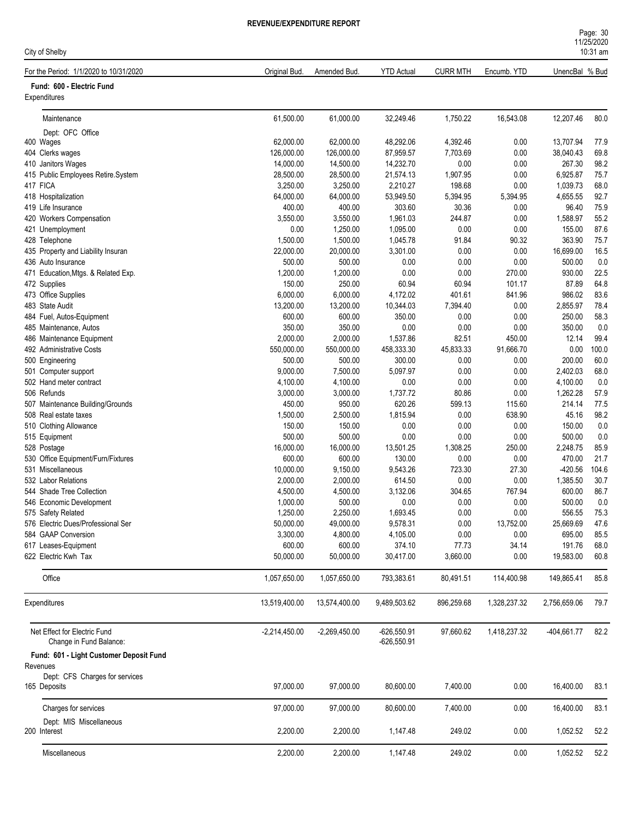| Page: 30   |  |
|------------|--|
| 11/25/2020 |  |
| $10:31$ am |  |

| City of Shelby                                          |                     |                       |                      |                  |                |                     | 10:31 am     |
|---------------------------------------------------------|---------------------|-----------------------|----------------------|------------------|----------------|---------------------|--------------|
| For the Period: 1/1/2020 to 10/31/2020                  | Original Bud.       | Amended Bud.          | <b>YTD Actual</b>    | <b>CURR MTH</b>  | Encumb. YTD    | UnencBal % Bud      |              |
| Fund: 600 - Electric Fund                               |                     |                       |                      |                  |                |                     |              |
| Expenditures                                            |                     |                       |                      |                  |                |                     |              |
| Maintenance                                             | 61,500.00           | 61,000.00             | 32,249.46            | 1,750.22         | 16,543.08      | 12,207.46           | 80.0         |
| Dept: OFC Office                                        |                     |                       |                      |                  |                |                     |              |
| 400 Wages                                               | 62,000.00           | 62,000.00             | 48,292.06            | 4,392.46         | 0.00           | 13,707.94           | 77.9         |
| 404 Clerks wages                                        | 126,000.00          | 126,000.00            | 87,959.57            | 7,703.69         | 0.00           | 38,040.43           | 69.8         |
| 410 Janitors Wages                                      | 14,000.00           | 14,500.00             | 14,232.70            | 0.00             | 0.00           | 267.30              | 98.2         |
| 415 Public Employees Retire.System                      | 28,500.00           | 28,500.00             | 21,574.13            | 1,907.95         | 0.00           | 6.925.87            | 75.7         |
| 417 FICA                                                | 3,250.00            | 3,250.00              | 2,210.27             | 198.68           | 0.00           | 1,039.73            | 68.0         |
| 418 Hospitalization                                     | 64,000.00           | 64,000.00             | 53,949.50            | 5,394.95         | 5,394.95       | 4,655.55            | 92.7         |
| 419 Life Insurance                                      | 400.00              | 400.00                | 303.60               | 30.36            | 0.00           | 96.40               | 75.9         |
| 420 Workers Compensation                                | 3,550.00            | 3,550.00              | 1,961.03             | 244.87           | 0.00           | 1,588.97            | 55.2         |
| 421 Unemployment                                        | 0.00                | 1,250.00              | 1,095.00             | 0.00             | 0.00           | 155.00              | 87.6         |
| 428 Telephone<br>435 Property and Liability Insuran     | 1,500.00            | 1,500.00<br>20,000.00 | 1,045.78<br>3,301.00 | 91.84<br>0.00    | 90.32<br>0.00  | 363.90<br>16,699.00 | 75.7<br>16.5 |
| 436 Auto Insurance                                      | 22,000.00<br>500.00 | 500.00                | 0.00                 | 0.00             | 0.00           | 500.00              | 0.0          |
| 471 Education, Mtgs. & Related Exp.                     | 1,200.00            | 1,200.00              | 0.00                 | 0.00             | 270.00         | 930.00              | 22.5         |
| 472 Supplies                                            | 150.00              | 250.00                | 60.94                | 60.94            | 101.17         | 87.89               | 64.8         |
| 473 Office Supplies                                     | 6,000.00            | 6,000.00              | 4,172.02             | 401.61           | 841.96         | 986.02              | 83.6         |
| 483 State Audit                                         | 13,200.00           | 13,200.00             | 10,344.03            | 7,394.40         | 0.00           | 2,855.97            | 78.4         |
| 484 Fuel, Autos-Equipment                               | 600.00              | 600.00                | 350.00               | 0.00             | 0.00           | 250.00              | 58.3         |
| 485 Maintenance, Autos                                  | 350.00              | 350.00                | 0.00                 | 0.00             | 0.00           | 350.00              | 0.0          |
| 486 Maintenance Equipment                               | 2,000.00            | 2,000.00              | 1,537.86             | 82.51            | 450.00         | 12.14               | 99.4         |
| 492 Administrative Costs                                | 550,000.00          | 550,000.00            | 458,333.30           | 45,833.33        | 91,666.70      | 0.00                | 100.0        |
| 500 Engineering                                         | 500.00              | 500.00                | 300.00               | 0.00             | 0.00           | 200.00              | 60.0         |
| 501 Computer support                                    | 9,000.00            | 7,500.00              | 5,097.97             | 0.00             | 0.00           | 2,402.03            | 68.0         |
| 502 Hand meter contract                                 | 4,100.00            | 4,100.00              | 0.00                 | 0.00             | 0.00           | 4,100.00            | 0.0          |
| 506 Refunds                                             | 3,000.00            | 3,000.00              | 1,737.72             | 80.86            | 0.00           | 1,262.28            | 57.9         |
| 507 Maintenance Building/Grounds                        | 450.00              | 950.00                | 620.26               | 599.13           | 115.60         | 214.14              | 77.5         |
| 508 Real estate taxes                                   | 1,500.00            | 2,500.00              | 1,815.94             | 0.00             | 638.90         | 45.16               | 98.2         |
| 510 Clothing Allowance                                  | 150.00              | 150.00                | 0.00                 | 0.00             | 0.00           | 150.00              | 0.0          |
| 515 Equipment                                           | 500.00              | 500.00                | 0.00<br>13,501.25    | 0.00             | 0.00           | 500.00              | 0.0          |
| 528 Postage                                             | 16,000.00<br>600.00 | 16,000.00<br>600.00   | 130.00               | 1,308.25<br>0.00 | 250.00<br>0.00 | 2,248.75<br>470.00  | 85.9<br>21.7 |
| 530 Office Equipment/Furn/Fixtures<br>531 Miscellaneous | 10,000.00           | 9,150.00              | 9,543.26             | 723.30           | 27.30          | $-420.56$           | 104.6        |
| 532 Labor Relations                                     | 2,000.00            | 2,000.00              | 614.50               | 0.00             | 0.00           | 1,385.50            | 30.7         |
| 544 Shade Tree Collection                               | 4,500.00            | 4,500.00              | 3,132.06             | 304.65           | 767.94         | 600.00              | 86.7         |
| 546 Economic Development                                | 1,000.00            | 500.00                | 0.00                 | 0.00             | 0.00           | 500.00              | 0.0          |
| 575 Safety Related                                      | 1,250.00            | 2,250.00              | 1,693.45             | 0.00             | 0.00           | 556.55              | 75.3         |
| 576 Electric Dues/Professional Ser                      | 50,000.00           | 49,000.00             | 9,578.31             | 0.00             | 13,752.00      | 25,669.69           | 47.6         |
| 584 GAAP Conversion                                     | 3,300.00            | 4,800.00              | 4,105.00             | 0.00             | 0.00           | 695.00              | 85.5         |
| 617 Leases-Equipment                                    | 600.00              | 600.00                | 374.10               | 77.73            | 34.14          | 191.76              | 68.0         |
| 622 Electric Kwh Tax                                    | 50,000.00           | 50,000.00             | 30,417.00            | 3,660.00         | 0.00           | 19,583.00           | 60.8         |
| Office                                                  | 1,057,650.00        | 1,057,650.00          | 793,383.61           | 80,491.51        | 114,400.98     | 149,865.41          | 85.8         |
| Expenditures                                            | 13,519,400.00       | 13,574,400.00         | 9,489,503.62         | 896,259.68       | 1,328,237.32   | 2,756,659.06        | 79.7         |
| Net Effect for Electric Fund                            | $-2,214,450.00$     | $-2,269,450.00$       | $-626,550.91$        | 97,660.62        | 1,418,237.32   | $-404,661.77$       | 82.2         |
| Change in Fund Balance:                                 |                     |                       | $-626,550.91$        |                  |                |                     |              |
| Fund: 601 - Light Customer Deposit Fund<br>Revenues     |                     |                       |                      |                  |                |                     |              |
| Dept: CFS Charges for services<br>165 Deposits          | 97,000.00           | 97,000.00             | 80,600.00            | 7,400.00         | 0.00           | 16,400.00           | 83.1         |
| Charges for services                                    | 97,000.00           | 97,000.00             | 80,600.00            | 7,400.00         | 0.00           | 16,400.00           | 83.1         |
| Dept: MIS Miscellaneous<br>200 Interest                 | 2,200.00            | 2,200.00              | 1,147.48             | 249.02           | 0.00           | 1,052.52            | 52.2         |
| Miscellaneous                                           | 2,200.00            | 2,200.00              | 1,147.48             | 249.02           | 0.00           | 1,052.52            | 52.2         |
|                                                         |                     |                       |                      |                  |                |                     |              |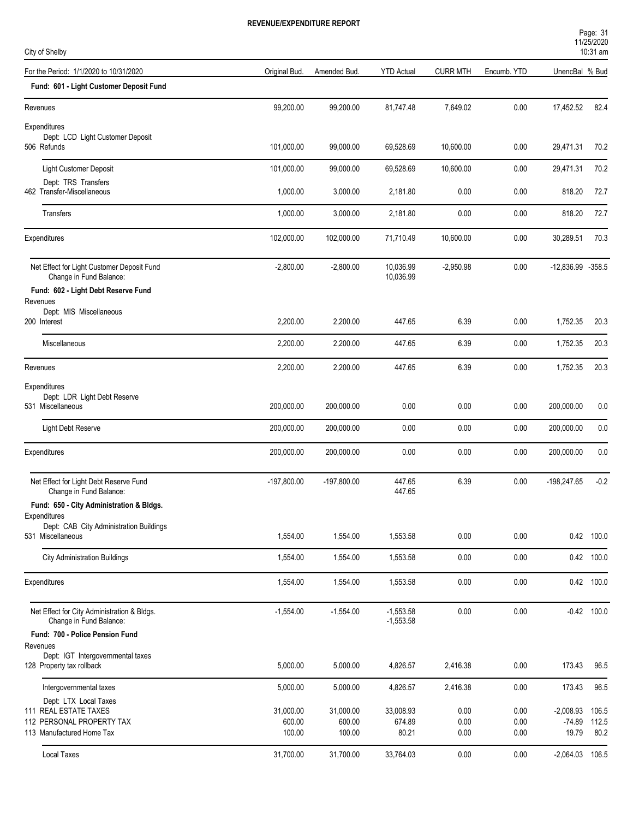| City of Shelby                                                         |               |                     |                            |                 |             |                   | 10:31 am      |
|------------------------------------------------------------------------|---------------|---------------------|----------------------------|-----------------|-------------|-------------------|---------------|
| For the Period: 1/1/2020 to 10/31/2020                                 | Original Bud. | Amended Bud.        | <b>YTD Actual</b>          | <b>CURR MTH</b> | Encumb. YTD | UnencBal % Bud    |               |
| Fund: 601 - Light Customer Deposit Fund                                |               |                     |                            |                 |             |                   |               |
| Revenues                                                               | 99,200.00     | 99,200.00           | 81,747.48                  | 7,649.02        | $0.00\,$    | 17,452.52         | 82.4          |
| Expenditures                                                           |               |                     |                            |                 |             |                   |               |
| Dept: LCD Light Customer Deposit<br>506 Refunds                        | 101,000.00    | 99,000.00           | 69,528.69                  | 10,600.00       | 0.00        | 29,471.31         | 70.2          |
| Light Customer Deposit                                                 | 101,000.00    | 99,000.00           | 69,528.69                  | 10,600.00       | 0.00        | 29,471.31         | 70.2          |
| Dept: TRS Transfers<br>462 Transfer-Miscellaneous                      | 1,000.00      | 3,000.00            | 2,181.80                   | 0.00            | 0.00        | 818.20            | 72.7          |
| Transfers                                                              | 1,000.00      | 3,000.00            | 2,181.80                   | 0.00            | 0.00        | 818.20            | 72.7          |
| Expenditures                                                           | 102,000.00    | 102,000.00          | 71,710.49                  | 10,600.00       | 0.00        | 30,289.51         | 70.3          |
| Net Effect for Light Customer Deposit Fund<br>Change in Fund Balance:  | $-2,800.00$   | $-2,800.00$         | 10,036.99<br>10,036.99     | $-2,950.98$     | 0.00        | -12,836.99 -358.5 |               |
| Fund: 602 - Light Debt Reserve Fund                                    |               |                     |                            |                 |             |                   |               |
| Revenues<br>Dept: MIS Miscellaneous                                    |               |                     |                            |                 |             |                   |               |
| 200 Interest                                                           | 2,200.00      | 2,200.00            | 447.65                     | 6.39            | 0.00        | 1,752.35          | 20.3          |
| Miscellaneous                                                          | 2,200.00      | 2,200.00            | 447.65                     | 6.39            | 0.00        | 1,752.35          | 20.3          |
| Revenues                                                               | 2,200.00      | 2,200.00            | 447.65                     | 6.39            | 0.00        | 1,752.35          | 20.3          |
| Expenditures<br>Dept: LDR Light Debt Reserve<br>531 Miscellaneous      | 200,000.00    | 200,000.00          | 0.00                       | 0.00            | 0.00        | 200,000.00        | 0.0           |
| Light Debt Reserve                                                     | 200,000.00    | 200,000.00          | 0.00                       | 0.00            | 0.00        | 200,000.00        | 0.0           |
| Expenditures                                                           | 200,000.00    | 200,000.00          | 0.00                       | 0.00            | 0.00        | 200,000.00        | 0.0           |
| Net Effect for Light Debt Reserve Fund<br>Change in Fund Balance:      | $-197,800.00$ | $-197,800.00$       | 447.65<br>447.65           | 6.39            | 0.00        | -198,247.65       | $-0.2$        |
| Fund: 650 - City Administration & Bldgs.                               |               |                     |                            |                 |             |                   |               |
| Expenditures<br>Dept: CAB City Administration Buildings                |               |                     |                            |                 |             |                   |               |
| 531 Miscellaneous                                                      | 1,554.00      | 1,554.00            | 1,553.58                   | 0.00            | 0.00        |                   | 0.42 100.0    |
| <b>City Administration Buildings</b>                                   | 1,554.00      | 1,554.00            | 1,553.58                   | 0.00            | 0.00        |                   | 0.42 100.0    |
| Expenditures                                                           | 1,554.00      | 1,554.00            | 1,553.58                   | 0.00            | 0.00        |                   | 0.42 100.0    |
| Net Effect for City Administration & Bldgs.<br>Change in Fund Balance: | $-1,554.00$   | $-1,554.00$         | $-1,553.58$<br>$-1,553.58$ | 0.00            | 0.00        |                   | $-0.42$ 100.0 |
| Fund: 700 - Police Pension Fund                                        |               |                     |                            |                 |             |                   |               |
| Revenues<br>Dept: IGT Intergovernmental taxes                          |               |                     |                            |                 |             |                   |               |
| 128 Property tax rollback                                              | 5,000.00      | 5,000.00            | 4,826.57                   | 2,416.38        | 0.00        | 173.43            | 96.5          |
| Intergovernmental taxes                                                | 5,000.00      | 5,000.00            | 4,826.57                   | 2,416.38        | 0.00        | 173.43            | 96.5          |
| Dept: LTX Local Taxes<br>111 REAL ESTATE TAXES                         | 31,000.00     |                     | 33,008.93                  | 0.00            | 0.00        | $-2,008.93$       | 106.5         |
| 112 PERSONAL PROPERTY TAX                                              | 600.00        | 31,000.00<br>600.00 | 674.89                     | 0.00            | 0.00        | $-74.89$          | 112.5         |
| 113 Manufactured Home Tax                                              | 100.00        | 100.00              | 80.21                      | 0.00            | 0.00        | 19.79             | 80.2          |
| <b>Local Taxes</b>                                                     | 31,700.00     | 31,700.00           | 33,764.03                  | 0.00            | 0.00        | $-2,064.03$ 106.5 |               |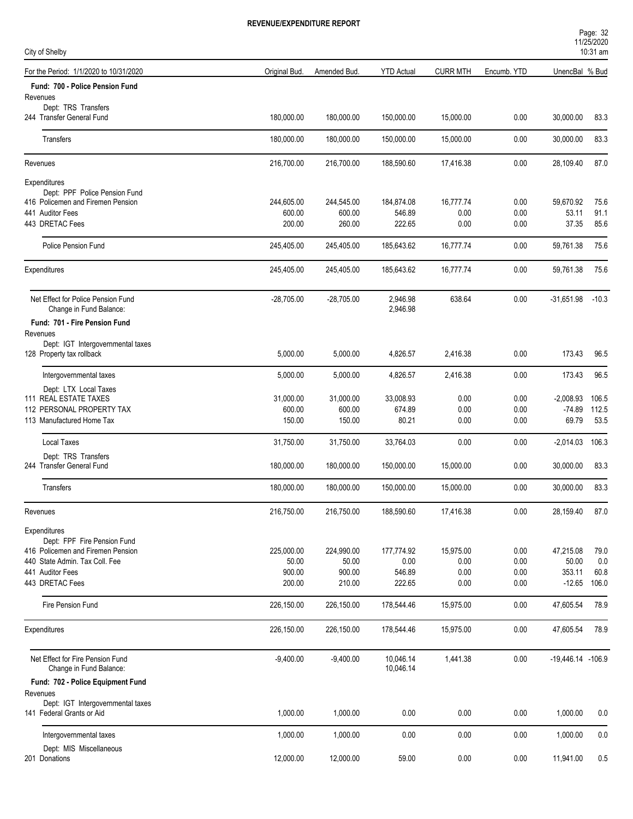| Page: 32   |  |  |
|------------|--|--|
| 11/25/2020 |  |  |
| $\cdots$   |  |  |

| City of Shelby                                                     |                  |                     |                        |                   |              |                    | 10:31 am      |
|--------------------------------------------------------------------|------------------|---------------------|------------------------|-------------------|--------------|--------------------|---------------|
| For the Period: 1/1/2020 to 10/31/2020                             | Original Bud.    | Amended Bud.        | <b>YTD Actual</b>      | <b>CURR MTH</b>   | Encumb. YTD  | UnencBal % Bud     |               |
| Fund: 700 - Police Pension Fund<br>Revenues                        |                  |                     |                        |                   |              |                    |               |
| Dept: TRS Transfers<br>244 Transfer General Fund                   | 180,000.00       | 180,000.00          | 150,000.00             | 15,000.00         | 0.00         | 30,000.00          | 83.3          |
| Transfers                                                          | 180,000.00       | 180,000.00          | 150,000.00             | 15,000.00         | 0.00         | 30,000.00          | 83.3          |
| Revenues                                                           | 216,700.00       | 216,700.00          | 188,590.60             | 17,416.38         | 0.00         | 28,109.40          | 87.0          |
| Expenditures                                                       |                  |                     |                        |                   |              |                    |               |
| Dept: PPF Police Pension Fund<br>416 Policemen and Firemen Pension | 244,605.00       | 244,545.00          | 184,874.08             | 16,777.74         | 0.00         | 59,670.92          | 75.6          |
| 441 Auditor Fees                                                   | 600.00           | 600.00              | 546.89                 | 0.00              | 0.00         | 53.11              | 91.1          |
| 443 DRETAC Fees                                                    | 200.00           | 260.00              | 222.65                 | 0.00              | 0.00         | 37.35              | 85.6          |
| <b>Police Pension Fund</b>                                         | 245,405.00       | 245,405.00          | 185,643.62             | 16,777.74         | 0.00         | 59,761.38          | 75.6          |
| Expenditures                                                       | 245,405.00       | 245,405.00          | 185,643.62             | 16,777.74         | 0.00         | 59,761.38          | 75.6          |
| Net Effect for Police Pension Fund<br>Change in Fund Balance:      | $-28,705.00$     | $-28,705.00$        | 2,946.98<br>2,946.98   | 638.64            | 0.00         | $-31,651.98$       | $-10.3$       |
| Fund: 701 - Fire Pension Fund                                      |                  |                     |                        |                   |              |                    |               |
| Revenues                                                           |                  |                     |                        |                   |              |                    |               |
| Dept: IGT Intergovernmental taxes<br>128 Property tax rollback     | 5,000.00         | 5,000.00            | 4,826.57               | 2,416.38          | 0.00         | 173.43             | 96.5          |
| Intergovernmental taxes                                            | 5,000.00         | 5,000.00            | 4,826.57               | 2,416.38          | 0.00         | 173.43             | 96.5          |
| Dept: LTX Local Taxes                                              |                  |                     |                        |                   |              |                    |               |
| 111 REAL ESTATE TAXES                                              | 31,000.00        | 31,000.00           | 33,008.93              | 0.00              | 0.00         | $-2,008.93$        | 106.5         |
| 112 PERSONAL PROPERTY TAX<br>113 Manufactured Home Tax             | 600.00<br>150.00 | 600.00<br>150.00    | 674.89<br>80.21        | 0.00<br>0.00      | 0.00<br>0.00 | -74.89<br>69.79    | 112.5<br>53.5 |
| <b>Local Taxes</b>                                                 | 31,750.00        | 31,750.00           | 33,764.03              | 0.00              | 0.00         | $-2,014.03$        | 106.3         |
| Dept: TRS Transfers                                                |                  |                     |                        |                   |              |                    |               |
| 244 Transfer General Fund                                          | 180,000.00       | 180,000.00          | 150,000.00             | 15,000.00         | 0.00         | 30,000.00          | 83.3          |
| Transfers                                                          | 180,000.00       | 180,000.00          | 150,000.00             | 15,000.00         | 0.00         | 30,000.00          | 83.3          |
| Revenues                                                           | 216,750.00       | 216,750.00          | 188,590.60             | 17,416.38         | 0.00         | 28,159.40          | 87.0          |
| Expenditures                                                       |                  |                     |                        |                   |              |                    |               |
| Dept: FPF Fire Pension Fund<br>416 Policemen and Firemen Pension   | 225,000.00       |                     |                        |                   | 0.00         |                    | 79.0          |
| 440 State Admin, Tax Coll, Fee                                     | 50.00            | 224,990.00<br>50.00 | 177,774.92<br>0.00     | 15,975.00<br>0.00 | 0.00         | 47,215.08<br>50.00 | 0.0           |
| 441 Auditor Fees                                                   | 900.00           | 900.00              | 546.89                 | 0.00              | 0.00         | 353.11             | 60.8          |
| 443 DRETAC Fees                                                    | 200.00           | 210.00              | 222.65                 | 0.00              | 0.00         | $-12.65$           | 106.0         |
| Fire Pension Fund                                                  | 226,150.00       | 226,150.00          | 178,544.46             | 15,975.00         | 0.00         | 47,605.54          | 78.9          |
| Expenditures                                                       | 226,150.00       | 226,150.00          | 178,544.46             | 15,975.00         | 0.00         | 47,605.54          | 78.9          |
| Net Effect for Fire Pension Fund<br>Change in Fund Balance:        | $-9,400.00$      | $-9,400.00$         | 10,046.14<br>10,046.14 | 1,441.38          | 0.00         | -19,446.14 -106.9  |               |
| Fund: 702 - Police Equipment Fund                                  |                  |                     |                        |                   |              |                    |               |
| Revenues<br>Dept: IGT Intergovernmental taxes                      |                  |                     |                        |                   |              |                    |               |
| 141 Federal Grants or Aid                                          | 1,000.00         | 1,000.00            | 0.00                   | 0.00              | 0.00         | 1,000.00           | 0.0           |
| Intergovernmental taxes                                            | 1,000.00         | 1,000.00            | 0.00                   | 0.00              | 0.00         | 1,000.00           | 0.0           |
| Dept: MIS Miscellaneous<br>201 Donations                           | 12,000.00        | 12,000.00           | 59.00                  | 0.00              | 0.00         |                    | 0.5           |
|                                                                    |                  |                     |                        |                   |              | 11,941.00          |               |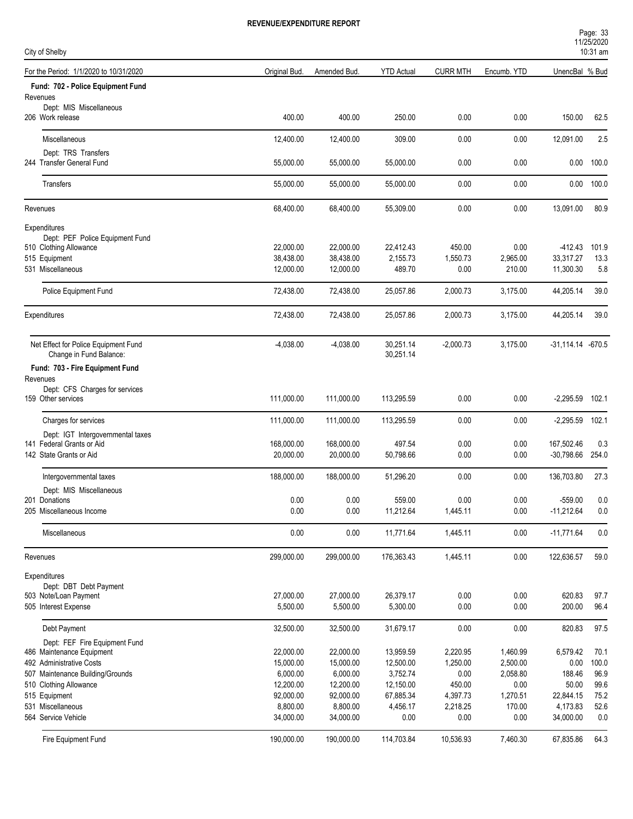| Page: 33   |  |
|------------|--|
| 11/25/2020 |  |
| $10.31$ am |  |

| City of Shelby                                             |               |              |                   |                 |             |                       | <b>I IILUILULU</b><br>$10:31$ am |
|------------------------------------------------------------|---------------|--------------|-------------------|-----------------|-------------|-----------------------|----------------------------------|
| For the Period: 1/1/2020 to 10/31/2020                     | Original Bud. | Amended Bud. | <b>YTD Actual</b> | <b>CURR MTH</b> | Encumb. YTD | UnencBal % Bud        |                                  |
| Fund: 702 - Police Equipment Fund                          |               |              |                   |                 |             |                       |                                  |
| Revenues                                                   |               |              |                   |                 |             |                       |                                  |
| Dept: MIS Miscellaneous<br>206 Work release                | 400.00        | 400.00       | 250.00            | 0.00            | 0.00        | 150.00                | 62.5                             |
| Miscellaneous                                              | 12,400.00     | 12,400.00    | 309.00            | 0.00            | 0.00        | 12,091.00             | 2.5                              |
| Dept: TRS Transfers<br>244 Transfer General Fund           | 55,000.00     | 55,000.00    | 55,000.00         | 0.00            | 0.00        | 0.00                  | 100.0                            |
|                                                            |               |              |                   |                 |             |                       |                                  |
| Transfers                                                  | 55,000.00     | 55,000.00    | 55,000.00         | 0.00            | 0.00        | 0.00                  | 100.0                            |
| Revenues                                                   | 68,400.00     | 68,400.00    | 55,309.00         | 0.00            | 0.00        | 13,091.00             | 80.9                             |
| Expenditures                                               |               |              |                   |                 |             |                       |                                  |
| Dept: PEF Police Equipment Fund                            |               |              |                   |                 |             |                       |                                  |
| 510 Clothing Allowance                                     | 22,000.00     | 22,000.00    | 22,412.43         | 450.00          | 0.00        | -412.43               | 101.9                            |
| 515 Equipment                                              | 38,438.00     | 38,438.00    | 2,155.73          | 1,550.73        | 2,965.00    | 33,317.27             | 13.3                             |
| 531 Miscellaneous                                          | 12,000.00     | 12,000.00    | 489.70            | 0.00            | 210.00      | 11,300.30             | 5.8                              |
| Police Equipment Fund                                      | 72,438.00     | 72,438.00    | 25,057.86         | 2,000.73        | 3,175.00    | 44,205.14             | 39.0                             |
| Expenditures                                               | 72,438.00     | 72,438.00    | 25,057.86         | 2,000.73        | 3,175.00    | 44,205.14             | 39.0                             |
| Net Effect for Police Equipment Fund                       | $-4,038.00$   | $-4,038.00$  | 30,251.14         | $-2,000.73$     | 3,175.00    | $-31,114.14$ $-670.5$ |                                  |
| Change in Fund Balance:<br>Fund: 703 - Fire Equipment Fund |               |              | 30,251.14         |                 |             |                       |                                  |
| Revenues                                                   |               |              |                   |                 |             |                       |                                  |
| Dept: CFS Charges for services                             |               |              |                   |                 |             |                       |                                  |
| 159 Other services                                         | 111,000.00    | 111,000.00   | 113,295.59        | 0.00            | 0.00        | $-2,295.59$           | 102.1                            |
| Charges for services                                       | 111,000.00    | 111,000.00   | 113,295.59        | 0.00            | 0.00        | $-2,295.59$           | 102.1                            |
| Dept: IGT Intergovernmental taxes                          |               |              |                   |                 |             |                       |                                  |
| 141 Federal Grants or Aid                                  | 168,000.00    | 168,000.00   | 497.54            | 0.00            | 0.00        | 167,502.46            | 0.3                              |
| 142 State Grants or Aid                                    | 20,000.00     | 20,000.00    | 50,798.66         | 0.00            | 0.00        | $-30,798.66$          | 254.0                            |
| Intergovernmental taxes                                    | 188,000.00    | 188,000.00   | 51,296.20         | 0.00            | 0.00        | 136,703.80            | 27.3                             |
| Dept: MIS Miscellaneous                                    |               |              |                   |                 |             |                       |                                  |
| 201 Donations                                              | 0.00          | 0.00         | 559.00            | 0.00            | 0.00        | $-559.00$             | 0.0                              |
| 205 Miscellaneous Income                                   | 0.00          | 0.00         | 11,212.64         | 1,445.11        | 0.00        | -11,212.64            | 0.0                              |
| Miscellaneous                                              | 0.00          | 0.00         | 11,771.64         | 1,445.11        | 0.00        | $-11,771.64$          | 0.0                              |
| Revenues                                                   | 299,000.00    | 299,000.00   | 176,363.43        | 1,445.11        | 0.00        | 122,636.57            | 59.0                             |
| Expenditures                                               |               |              |                   |                 |             |                       |                                  |
| Dept: DBT Debt Payment                                     |               |              |                   |                 |             |                       |                                  |
| 503 Note/Loan Payment                                      | 27,000.00     | 27,000.00    | 26,379.17         | 0.00            | 0.00        | 620.83                | 97.7                             |
| 505 Interest Expense                                       | 5,500.00      | 5,500.00     | 5,300.00          | 0.00            | 0.00        | 200.00                | 96.4                             |
| Debt Payment                                               | 32,500.00     | 32,500.00    | 31,679.17         | 0.00            | 0.00        | 820.83                | 97.5                             |
| Dept: FEF Fire Equipment Fund                              |               |              |                   |                 |             |                       |                                  |
| 486 Maintenance Equipment                                  | 22,000.00     | 22,000.00    | 13,959.59         | 2,220.95        | 1,460.99    | 6,579.42              | 70.1                             |
| 492 Administrative Costs                                   | 15,000.00     | 15,000.00    | 12,500.00         | 1,250.00        | 2,500.00    | 0.00                  | 100.0                            |
| 507 Maintenance Building/Grounds                           | 6,000.00      | 6,000.00     | 3,752.74          | 0.00            | 2,058.80    | 188.46                | 96.9                             |
| 510 Clothing Allowance                                     | 12,200.00     | 12,200.00    | 12,150.00         | 450.00          | 0.00        | 50.00                 | 99.6                             |
| 515 Equipment                                              | 92,000.00     | 92,000.00    | 67,885.34         | 4,397.73        | 1,270.51    | 22,844.15             | 75.2                             |
| 531 Miscellaneous                                          | 8,800.00      | 8,800.00     | 4,456.17          | 2,218.25        | 170.00      | 4,173.83              | 52.6                             |
| 564 Service Vehicle                                        | 34,000.00     | 34,000.00    | 0.00              | 0.00            | 0.00        | 34,000.00             | 0.0                              |
| Fire Equipment Fund                                        | 190,000.00    | 190,000.00   | 114,703.84        | 10,536.93       | 7,460.30    | 67,835.86             | 64.3                             |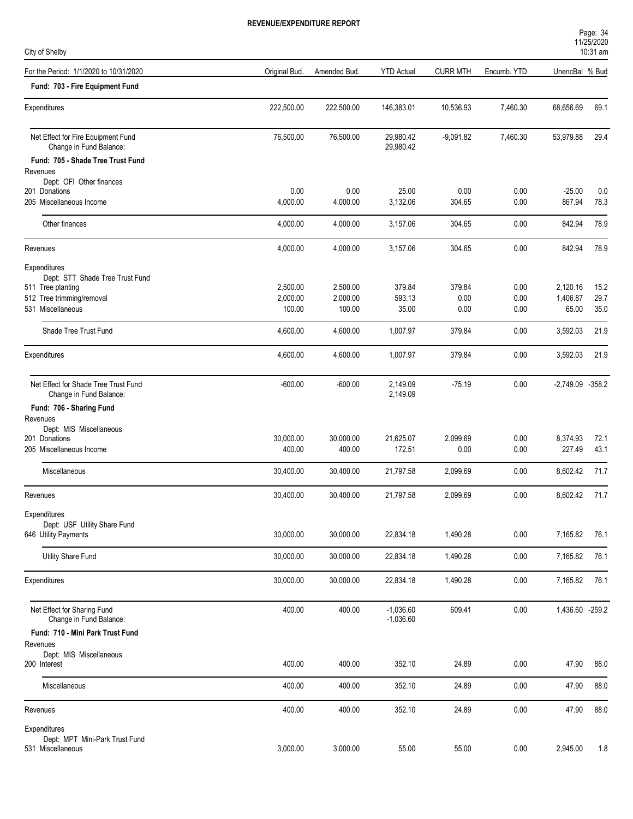| City of Shelby                                                  |               |              |                            |                 |             |                  | 10:31 am |
|-----------------------------------------------------------------|---------------|--------------|----------------------------|-----------------|-------------|------------------|----------|
| For the Period: 1/1/2020 to 10/31/2020                          | Original Bud. | Amended Bud. | <b>YTD Actual</b>          | <b>CURR MTH</b> | Encumb. YTD | UnencBal % Bud   |          |
| Fund: 703 - Fire Equipment Fund                                 |               |              |                            |                 |             |                  |          |
| Expenditures                                                    | 222,500.00    | 222,500.00   | 146,383.01                 | 10,536.93       | 7,460.30    | 68,656.69        | 69.1     |
| Net Effect for Fire Equipment Fund<br>Change in Fund Balance:   | 76,500.00     | 76,500.00    | 29,980.42<br>29,980.42     | $-9,091.82$     | 7,460.30    | 53,979.88        | 29.4     |
| Fund: 705 - Shade Tree Trust Fund                               |               |              |                            |                 |             |                  |          |
| Revenues                                                        |               |              |                            |                 |             |                  |          |
| Dept: OFI Other finances                                        |               |              |                            |                 |             |                  |          |
| 201 Donations                                                   | 0.00          | 0.00         | 25.00                      | 0.00            | 0.00        | $-25.00$         | 0.0      |
| 205 Miscellaneous Income                                        | 4,000.00      | 4,000.00     | 3,132.06                   | 304.65          | 0.00        | 867.94           | 78.3     |
| Other finances                                                  | 4,000.00      | 4,000.00     | 3,157.06                   | 304.65          | 0.00        | 842.94           | 78.9     |
| Revenues                                                        | 4,000.00      | 4,000.00     | 3,157.06                   | 304.65          | 0.00        | 842.94           | 78.9     |
| Expenditures                                                    |               |              |                            |                 |             |                  |          |
| Dept: STT Shade Tree Trust Fund                                 | 2,500.00      | 2,500.00     | 379.84                     | 379.84          | 0.00        | 2,120.16         | 15.2     |
| 511 Tree planting<br>512 Tree trimming/removal                  | 2,000.00      | 2,000.00     | 593.13                     | 0.00            | 0.00        | 1,406.87         | 29.7     |
| 531 Miscellaneous                                               | 100.00        | 100.00       | 35.00                      | 0.00            | 0.00        | 65.00            | 35.0     |
|                                                                 |               |              |                            |                 |             |                  |          |
| Shade Tree Trust Fund                                           | 4,600.00      | 4,600.00     | 1,007.97                   | 379.84          | 0.00        | 3,592.03         | 21.9     |
| Expenditures                                                    | 4,600.00      | 4,600.00     | 1,007.97                   | 379.84          | 0.00        | 3,592.03         | 21.9     |
| Net Effect for Shade Tree Trust Fund<br>Change in Fund Balance: | $-600.00$     | $-600.00$    | 2,149.09<br>2,149.09       | $-75.19$        | 0.00        | -2,749.09 -358.2 |          |
| Fund: 706 - Sharing Fund                                        |               |              |                            |                 |             |                  |          |
| Revenues                                                        |               |              |                            |                 |             |                  |          |
| Dept: MIS Miscellaneous                                         |               |              |                            |                 |             |                  |          |
| 201 Donations                                                   | 30,000.00     | 30,000.00    | 21,625.07                  | 2,099.69        | 0.00        | 8,374.93         | 72.1     |
| 205 Miscellaneous Income                                        | 400.00        | 400.00       | 172.51                     | 0.00            | 0.00        | 227.49           | 43.1     |
| Miscellaneous                                                   | 30,400.00     | 30,400.00    | 21,797.58                  | 2,099.69        | 0.00        | 8,602.42         | 71.7     |
| Revenues                                                        | 30,400.00     | 30,400.00    | 21,797.58                  | 2,099.69        | 0.00        | 8,602.42         | 71.7     |
| Expenditures                                                    |               |              |                            |                 |             |                  |          |
| Dept: USF Utility Share Fund                                    |               |              |                            |                 |             |                  |          |
| 646 Utility Payments                                            | 30,000.00     | 30,000.00    | 22,834.18                  | 1,490.28        | 0.00        | 7,165.82         | 76.1     |
| Utility Share Fund                                              | 30,000.00     | 30,000.00    | 22,834.18                  | 1,490.28        | 0.00        | 7,165.82         | 76.1     |
| Expenditures                                                    | 30,000.00     | 30,000.00    | 22,834.18                  | 1,490.28        | 0.00        | 7,165.82         | 76.1     |
|                                                                 |               |              |                            |                 |             |                  |          |
| Net Effect for Sharing Fund<br>Change in Fund Balance:          | 400.00        | 400.00       | $-1,036.60$<br>$-1,036.60$ | 609.41          | 0.00        | 1,436.60 -259.2  |          |
| Fund: 710 - Mini Park Trust Fund                                |               |              |                            |                 |             |                  |          |
| Revenues                                                        |               |              |                            |                 |             |                  |          |
| Dept: MIS Miscellaneous                                         |               |              |                            |                 |             |                  |          |
| 200 Interest                                                    | 400.00        | 400.00       | 352.10                     | 24.89           | 0.00        | 47.90            | 88.0     |
| Miscellaneous                                                   | 400.00        | 400.00       | 352.10                     | 24.89           | 0.00        | 47.90            | 88.0     |
| Revenues                                                        | 400.00        | 400.00       | 352.10                     | 24.89           | 0.00        | 47.90            | 88.0     |
| Expenditures                                                    |               |              |                            |                 |             |                  |          |
| Dept: MPT Mini-Park Trust Fund                                  |               |              |                            |                 |             |                  |          |
| 531 Miscellaneous                                               | 3,000.00      | 3,000.00     | 55.00                      | 55.00           | 0.00        | 2,945.00         | $1.8$    |